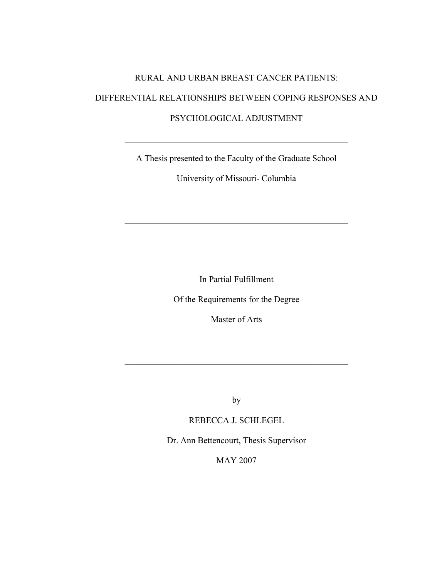# RURAL AND URBAN BREAST CANCER PATIENTS: DIFFERENTIAL RELATIONSHIPS BETWEEN COPING RESPONSES AND PSYCHOLOGICAL ADJUSTMENT

A Thesis presented to the Faculty of the Graduate School

 $\mathcal{L}_\text{max}$  , and the contract of the contract of the contract of the contract of the contract of the contract of the contract of the contract of the contract of the contract of the contract of the contract of the contr

University of Missouri- Columbia

 $\mathcal{L}_\text{max}$  , and the contract of the contract of the contract of the contract of the contract of the contract of the contract of the contract of the contract of the contract of the contract of the contract of the contr

In Partial Fulfillment

Of the Requirements for the Degree

Master of Arts

by

 $\mathcal{L}_\mathcal{L}$  , and the contribution of the contribution of the contribution of the contribution of the contribution of the contribution of the contribution of the contribution of the contribution of the contribution of

REBECCA J. SCHLEGEL

Dr. Ann Bettencourt, Thesis Supervisor

MAY 2007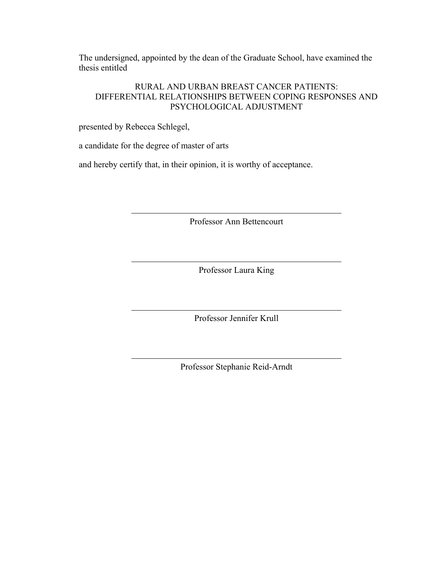The undersigned, appointed by the dean of the Graduate School, have examined the thesis entitled

# RURAL AND URBAN BREAST CANCER PATIENTS: DIFFERENTIAL RELATIONSHIPS BETWEEN COPING RESPONSES AND PSYCHOLOGICAL ADJUSTMENT

presented by Rebecca Schlegel,

a candidate for the degree of master of arts

and hereby certify that, in their opinion, it is worthy of acceptance.

Professor Ann Bettencourt

Professor Laura King

Professor Jennifer Krull

Professor Stephanie Reid-Arndt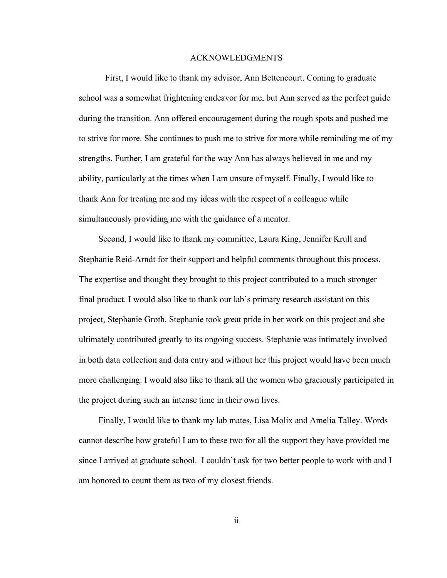#### ACKNOWLEDGMENTS

 First, I would like to thank my advisor, Ann Bettencourt. Coming to graduate school was a somewhat frightening endeavor for me, but Ann served as the perfect guide during the transition. Ann offered encouragement during the rough spots and pushed me to strive for more. She continues to push me to strive for more while reminding me of my strengths. Further, I am grateful for the way Ann has always believed in me and my ability, particularly at the times when I am unsure of myself. Finally, I would like to thank Ann for treating me and my ideas with the respect of a colleague while simultaneously providing me with the guidance of a mentor.

 Second, I would like to thank my committee, Laura King, Jennifer Krull and Stephanie Reid-Arndt for their support and helpful comments throughout this process. The expertise and thought they brought to this project contributed to a much stronger final product. I would also like to thank our lab's primary research assistant on this project, Stephanie Groth. Stephanie took great pride in her work on this project and she ultimately contributed greatly to its ongoing success. Stephanie was intimately involved in both data collection and data entry and without her this project would have been much more challenging. I would also like to thank all the women who graciously participated in the project during such an intense time in their own lives.

 Finally, I would like to thank my lab mates, Lisa Molix and Amelia Talley. Words cannot describe how grateful I am to these two for all the support they have provided me since I arrived at graduate school. I couldn't ask for two better people to work with and I am honored to count them as two of my closest friends.

ii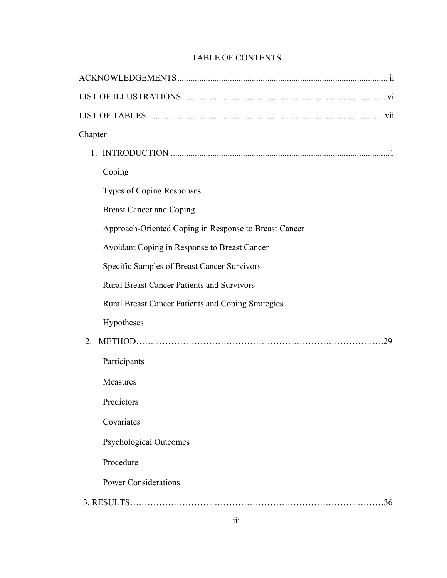# TABLE OF CONTENTS

| Chapter                                               |  |
|-------------------------------------------------------|--|
|                                                       |  |
| Coping                                                |  |
| <b>Types of Coping Responses</b>                      |  |
| <b>Breast Cancer and Coping</b>                       |  |
| Approach-Oriented Coping in Response to Breast Cancer |  |
| Avoidant Coping in Response to Breast Cancer          |  |
| Specific Samples of Breast Cancer Survivors           |  |
| <b>Rural Breast Cancer Patients and Survivors</b>     |  |
| Rural Breast Cancer Patients and Coping Strategies    |  |
| Hypotheses                                            |  |
| 29<br>$2^{\circ}$                                     |  |
| Participants                                          |  |
| Measures                                              |  |
| Predictors                                            |  |
| Covariates                                            |  |
| <b>Psychological Outcomes</b>                         |  |
| Procedure                                             |  |
| <b>Power Considerations</b>                           |  |
| 36                                                    |  |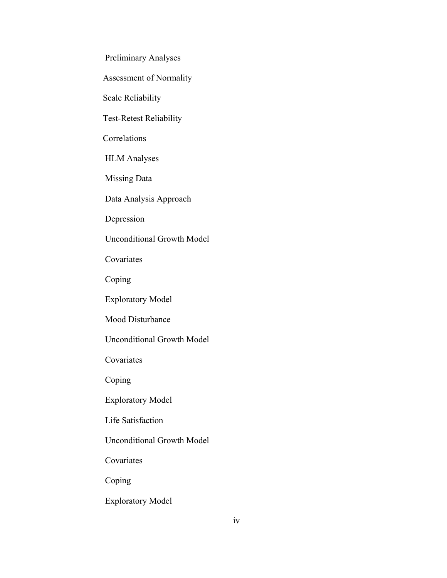Preliminary Analyses

Assessment of Normality

Scale Reliability

Test-Retest Reliability

**Correlations** 

HLM Analyses

Missing Data

Data Analysis Approach

Depression

Unconditional Growth Model

Covariates

Coping

Exploratory Model

Mood Disturbance

Unconditional Growth Model

Covariates

Coping

Exploratory Model

Life Satisfaction

Unconditional Growth Model

Covariates

Coping

Exploratory Model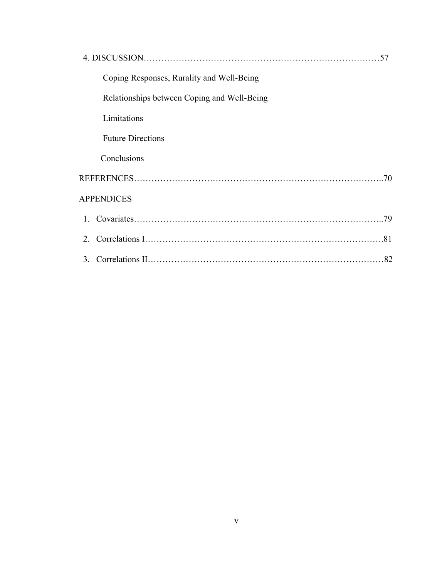| 57                                          |
|---------------------------------------------|
| Coping Responses, Rurality and Well-Being   |
| Relationships between Coping and Well-Being |
| Limitations                                 |
| <b>Future Directions</b>                    |
| Conclusions                                 |
|                                             |
| <b>APPENDICES</b>                           |
|                                             |
| 2                                           |
| 3.<br>.82                                   |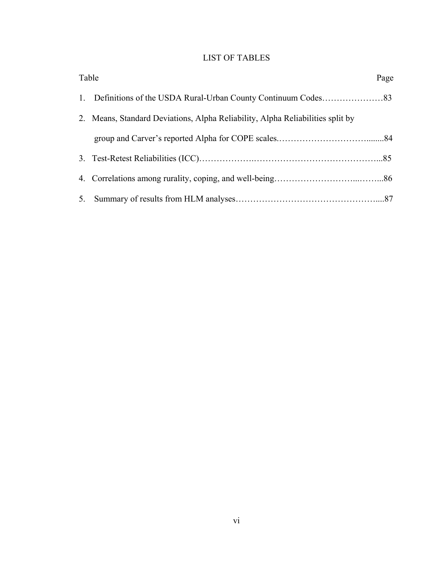# LIST OF TABLES

| Table |                                                                                | Page |
|-------|--------------------------------------------------------------------------------|------|
|       |                                                                                |      |
|       | 2. Means, Standard Deviations, Alpha Reliability, Alpha Reliabilities split by |      |
|       |                                                                                |      |
|       |                                                                                |      |
|       |                                                                                |      |
|       |                                                                                |      |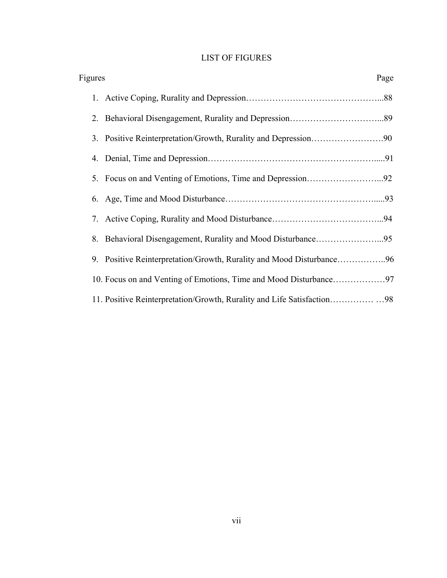# LIST OF FIGURES

| Figures<br>Page                                                      |  |  |  |
|----------------------------------------------------------------------|--|--|--|
|                                                                      |  |  |  |
|                                                                      |  |  |  |
|                                                                      |  |  |  |
|                                                                      |  |  |  |
|                                                                      |  |  |  |
|                                                                      |  |  |  |
|                                                                      |  |  |  |
|                                                                      |  |  |  |
| 9. Positive Reinterpretation/Growth, Rurality and Mood Disturbance96 |  |  |  |
|                                                                      |  |  |  |
|                                                                      |  |  |  |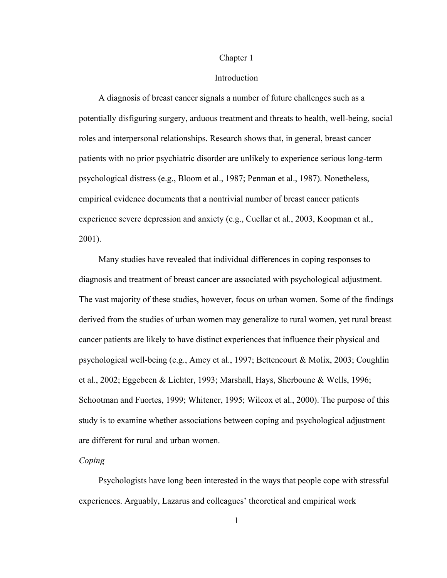#### Chapter 1

#### Introduction

 A diagnosis of breast cancer signals a number of future challenges such as a potentially disfiguring surgery, arduous treatment and threats to health, well-being, social roles and interpersonal relationships. Research shows that, in general, breast cancer patients with no prior psychiatric disorder are unlikely to experience serious long-term psychological distress (e.g., Bloom et al., 1987; Penman et al., 1987). Nonetheless, empirical evidence documents that a nontrivial number of breast cancer patients experience severe depression and anxiety (e.g., Cuellar et al., 2003, Koopman et al., 2001).

 Many studies have revealed that individual differences in coping responses to diagnosis and treatment of breast cancer are associated with psychological adjustment. The vast majority of these studies, however, focus on urban women. Some of the findings derived from the studies of urban women may generalize to rural women, yet rural breast cancer patients are likely to have distinct experiences that influence their physical and psychological well-being (e.g., Amey et al., 1997; Bettencourt & Molix, 2003; Coughlin et al., 2002; Eggebeen & Lichter, 1993; Marshall, Hays, Sherboune & Wells, 1996; Schootman and Fuortes, 1999; Whitener, 1995; Wilcox et al., 2000). The purpose of this study is to examine whether associations between coping and psychological adjustment are different for rural and urban women.

## *Coping*

 Psychologists have long been interested in the ways that people cope with stressful experiences. Arguably, Lazarus and colleagues' theoretical and empirical work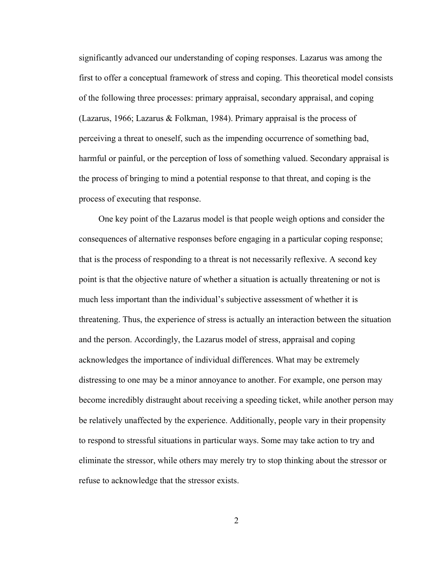significantly advanced our understanding of coping responses. Lazarus was among the first to offer a conceptual framework of stress and coping. This theoretical model consists of the following three processes: primary appraisal, secondary appraisal, and coping (Lazarus, 1966; Lazarus & Folkman, 1984). Primary appraisal is the process of perceiving a threat to oneself, such as the impending occurrence of something bad, harmful or painful, or the perception of loss of something valued. Secondary appraisal is the process of bringing to mind a potential response to that threat, and coping is the process of executing that response.

 One key point of the Lazarus model is that people weigh options and consider the consequences of alternative responses before engaging in a particular coping response; that is the process of responding to a threat is not necessarily reflexive. A second key point is that the objective nature of whether a situation is actually threatening or not is much less important than the individual's subjective assessment of whether it is threatening. Thus, the experience of stress is actually an interaction between the situation and the person. Accordingly, the Lazarus model of stress, appraisal and coping acknowledges the importance of individual differences. What may be extremely distressing to one may be a minor annoyance to another. For example, one person may become incredibly distraught about receiving a speeding ticket, while another person may be relatively unaffected by the experience. Additionally, people vary in their propensity to respond to stressful situations in particular ways. Some may take action to try and eliminate the stressor, while others may merely try to stop thinking about the stressor or refuse to acknowledge that the stressor exists.

2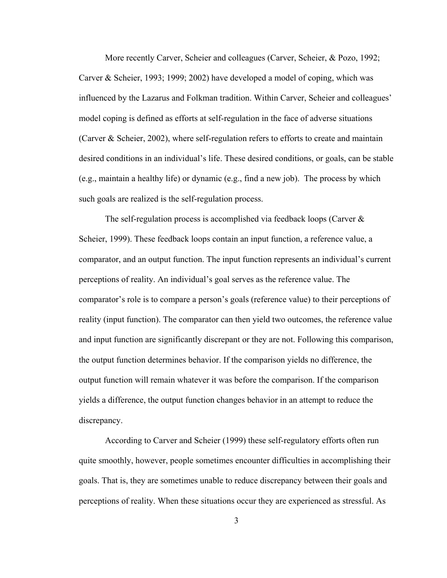More recently Carver, Scheier and colleagues (Carver, Scheier, & Pozo, 1992; Carver & Scheier, 1993; 1999; 2002) have developed a model of coping, which was influenced by the Lazarus and Folkman tradition. Within Carver, Scheier and colleagues' model coping is defined as efforts at self-regulation in the face of adverse situations (Carver  $\&$  Scheier, 2002), where self-regulation refers to efforts to create and maintain desired conditions in an individual's life. These desired conditions, or goals, can be stable (e.g., maintain a healthy life) or dynamic (e.g., find a new job). The process by which such goals are realized is the self-regulation process.

 The self-regulation process is accomplished via feedback loops (Carver & Scheier, 1999). These feedback loops contain an input function, a reference value, a comparator, and an output function. The input function represents an individual's current perceptions of reality. An individual's goal serves as the reference value. The comparator's role is to compare a person's goals (reference value) to their perceptions of reality (input function). The comparator can then yield two outcomes, the reference value and input function are significantly discrepant or they are not. Following this comparison, the output function determines behavior. If the comparison yields no difference, the output function will remain whatever it was before the comparison. If the comparison yields a difference, the output function changes behavior in an attempt to reduce the discrepancy.

 According to Carver and Scheier (1999) these self-regulatory efforts often run quite smoothly, however, people sometimes encounter difficulties in accomplishing their goals. That is, they are sometimes unable to reduce discrepancy between their goals and perceptions of reality. When these situations occur they are experienced as stressful. As

3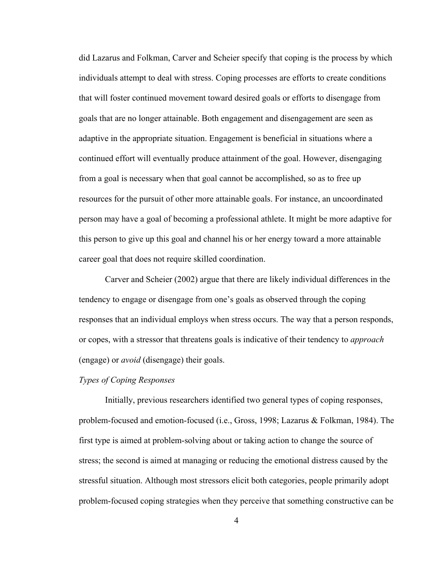did Lazarus and Folkman, Carver and Scheier specify that coping is the process by which individuals attempt to deal with stress. Coping processes are efforts to create conditions that will foster continued movement toward desired goals or efforts to disengage from goals that are no longer attainable. Both engagement and disengagement are seen as adaptive in the appropriate situation. Engagement is beneficial in situations where a continued effort will eventually produce attainment of the goal. However, disengaging from a goal is necessary when that goal cannot be accomplished, so as to free up resources for the pursuit of other more attainable goals. For instance, an uncoordinated person may have a goal of becoming a professional athlete. It might be more adaptive for this person to give up this goal and channel his or her energy toward a more attainable career goal that does not require skilled coordination.

 Carver and Scheier (2002) argue that there are likely individual differences in the tendency to engage or disengage from one's goals as observed through the coping responses that an individual employs when stress occurs. The way that a person responds, or copes, with a stressor that threatens goals is indicative of their tendency to *approach* (engage) or *avoid* (disengage) their goals.

## *Types of Coping Responses*

 Initially, previous researchers identified two general types of coping responses, problem-focused and emotion-focused (i.e., Gross, 1998; Lazarus & Folkman, 1984). The first type is aimed at problem-solving about or taking action to change the source of stress; the second is aimed at managing or reducing the emotional distress caused by the stressful situation. Although most stressors elicit both categories, people primarily adopt problem-focused coping strategies when they perceive that something constructive can be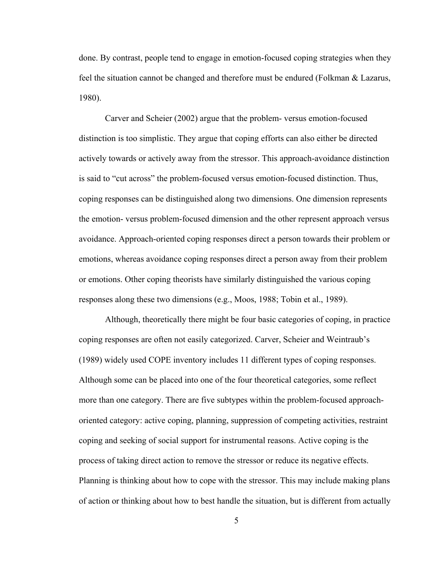done. By contrast, people tend to engage in emotion-focused coping strategies when they feel the situation cannot be changed and therefore must be endured (Folkman & Lazarus, 1980).

Carver and Scheier (2002) argue that the problem- versus emotion-focused distinction is too simplistic. They argue that coping efforts can also either be directed actively towards or actively away from the stressor. This approach-avoidance distinction is said to "cut across" the problem-focused versus emotion-focused distinction. Thus, coping responses can be distinguished along two dimensions. One dimension represents the emotion- versus problem-focused dimension and the other represent approach versus avoidance. Approach-oriented coping responses direct a person towards their problem or emotions, whereas avoidance coping responses direct a person away from their problem or emotions. Other coping theorists have similarly distinguished the various coping responses along these two dimensions (e.g., Moos, 1988; Tobin et al., 1989).

 Although, theoretically there might be four basic categories of coping, in practice coping responses are often not easily categorized. Carver, Scheier and Weintraub's (1989) widely used COPE inventory includes 11 different types of coping responses. Although some can be placed into one of the four theoretical categories, some reflect more than one category. There are five subtypes within the problem-focused approachoriented category: active coping, planning, suppression of competing activities, restraint coping and seeking of social support for instrumental reasons. Active coping is the process of taking direct action to remove the stressor or reduce its negative effects. Planning is thinking about how to cope with the stressor. This may include making plans of action or thinking about how to best handle the situation, but is different from actually

5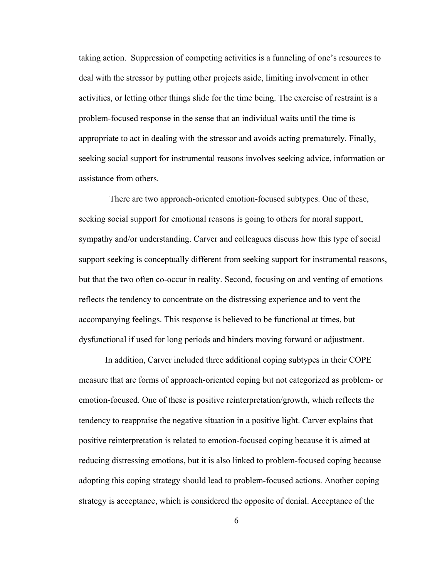taking action. Suppression of competing activities is a funneling of one's resources to deal with the stressor by putting other projects aside, limiting involvement in other activities, or letting other things slide for the time being. The exercise of restraint is a problem-focused response in the sense that an individual waits until the time is appropriate to act in dealing with the stressor and avoids acting prematurely. Finally, seeking social support for instrumental reasons involves seeking advice, information or assistance from others.

 There are two approach-oriented emotion-focused subtypes. One of these, seeking social support for emotional reasons is going to others for moral support, sympathy and/or understanding. Carver and colleagues discuss how this type of social support seeking is conceptually different from seeking support for instrumental reasons, but that the two often co-occur in reality. Second, focusing on and venting of emotions reflects the tendency to concentrate on the distressing experience and to vent the accompanying feelings. This response is believed to be functional at times, but dysfunctional if used for long periods and hinders moving forward or adjustment.

 In addition, Carver included three additional coping subtypes in their COPE measure that are forms of approach-oriented coping but not categorized as problem- or emotion-focused. One of these is positive reinterpretation/growth, which reflects the tendency to reappraise the negative situation in a positive light. Carver explains that positive reinterpretation is related to emotion-focused coping because it is aimed at reducing distressing emotions, but it is also linked to problem-focused coping because adopting this coping strategy should lead to problem-focused actions. Another coping strategy is acceptance, which is considered the opposite of denial. Acceptance of the

6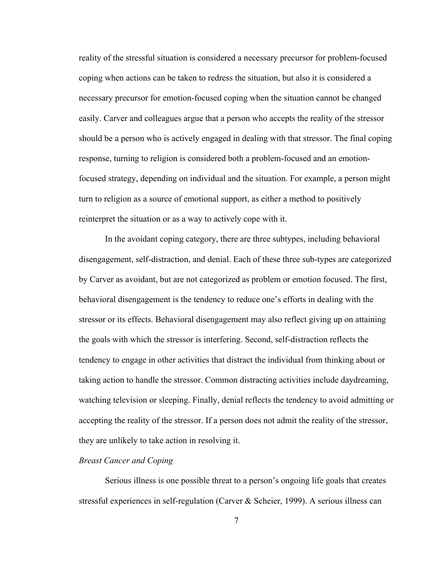reality of the stressful situation is considered a necessary precursor for problem-focused coping when actions can be taken to redress the situation, but also it is considered a necessary precursor for emotion-focused coping when the situation cannot be changed easily. Carver and colleagues argue that a person who accepts the reality of the stressor should be a person who is actively engaged in dealing with that stressor. The final coping response, turning to religion is considered both a problem-focused and an emotionfocused strategy, depending on individual and the situation. For example, a person might turn to religion as a source of emotional support, as either a method to positively reinterpret the situation or as a way to actively cope with it.

In the avoidant coping category, there are three subtypes, including behavioral disengagement, self-distraction, and denial. Each of these three sub-types are categorized by Carver as avoidant, but are not categorized as problem or emotion focused. The first, behavioral disengagement is the tendency to reduce one's efforts in dealing with the stressor or its effects. Behavioral disengagement may also reflect giving up on attaining the goals with which the stressor is interfering. Second, self-distraction reflects the tendency to engage in other activities that distract the individual from thinking about or taking action to handle the stressor. Common distracting activities include daydreaming, watching television or sleeping. Finally, denial reflects the tendency to avoid admitting or accepting the reality of the stressor. If a person does not admit the reality of the stressor, they are unlikely to take action in resolving it.

#### *Breast Cancer and Coping*

 Serious illness is one possible threat to a person's ongoing life goals that creates stressful experiences in self-regulation (Carver & Scheier, 1999). A serious illness can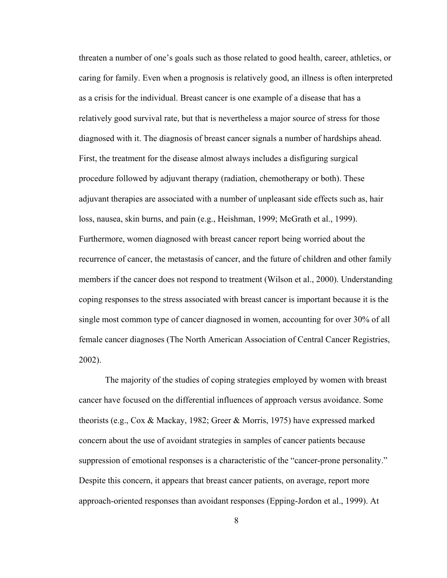threaten a number of one's goals such as those related to good health, career, athletics, or caring for family. Even when a prognosis is relatively good, an illness is often interpreted as a crisis for the individual. Breast cancer is one example of a disease that has a relatively good survival rate, but that is nevertheless a major source of stress for those diagnosed with it. The diagnosis of breast cancer signals a number of hardships ahead. First, the treatment for the disease almost always includes a disfiguring surgical procedure followed by adjuvant therapy (radiation, chemotherapy or both). These adjuvant therapies are associated with a number of unpleasant side effects such as, hair loss, nausea, skin burns, and pain (e.g., Heishman, 1999; McGrath et al., 1999). Furthermore, women diagnosed with breast cancer report being worried about the recurrence of cancer, the metastasis of cancer, and the future of children and other family members if the cancer does not respond to treatment (Wilson et al., 2000). Understanding coping responses to the stress associated with breast cancer is important because it is the single most common type of cancer diagnosed in women, accounting for over 30% of all female cancer diagnoses (The North American Association of Central Cancer Registries, 2002).

The majority of the studies of coping strategies employed by women with breast cancer have focused on the differential influences of approach versus avoidance. Some theorists (e.g., Cox & Mackay, 1982; Greer & Morris, 1975) have expressed marked concern about the use of avoidant strategies in samples of cancer patients because suppression of emotional responses is a characteristic of the "cancer-prone personality." Despite this concern, it appears that breast cancer patients, on average, report more approach-oriented responses than avoidant responses (Epping-Jordon et al., 1999). At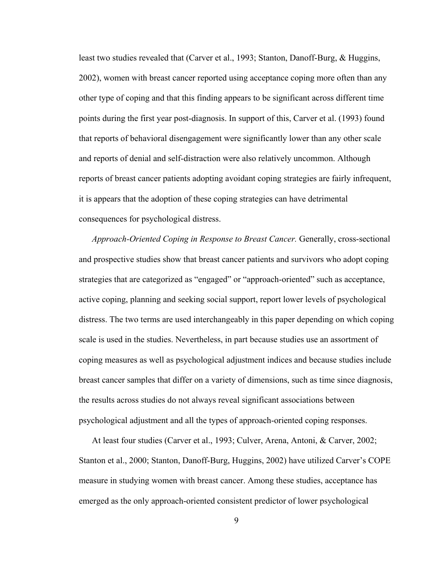least two studies revealed that (Carver et al., 1993; Stanton, Danoff-Burg, & Huggins, 2002), women with breast cancer reported using acceptance coping more often than any other type of coping and that this finding appears to be significant across different time points during the first year post-diagnosis. In support of this, Carver et al. (1993) found that reports of behavioral disengagement were significantly lower than any other scale and reports of denial and self-distraction were also relatively uncommon. Although reports of breast cancer patients adopting avoidant coping strategies are fairly infrequent, it is appears that the adoption of these coping strategies can have detrimental consequences for psychological distress.

*Approach-Oriented Coping in Response to Breast Cancer.* Generally, cross-sectional and prospective studies show that breast cancer patients and survivors who adopt coping strategies that are categorized as "engaged" or "approach-oriented" such as acceptance, active coping, planning and seeking social support, report lower levels of psychological distress. The two terms are used interchangeably in this paper depending on which coping scale is used in the studies. Nevertheless, in part because studies use an assortment of coping measures as well as psychological adjustment indices and because studies include breast cancer samples that differ on a variety of dimensions, such as time since diagnosis, the results across studies do not always reveal significant associations between psychological adjustment and all the types of approach-oriented coping responses.

At least four studies (Carver et al., 1993; Culver, Arena, Antoni, & Carver, 2002; Stanton et al., 2000; Stanton, Danoff-Burg, Huggins, 2002) have utilized Carver's COPE measure in studying women with breast cancer. Among these studies, acceptance has emerged as the only approach-oriented consistent predictor of lower psychological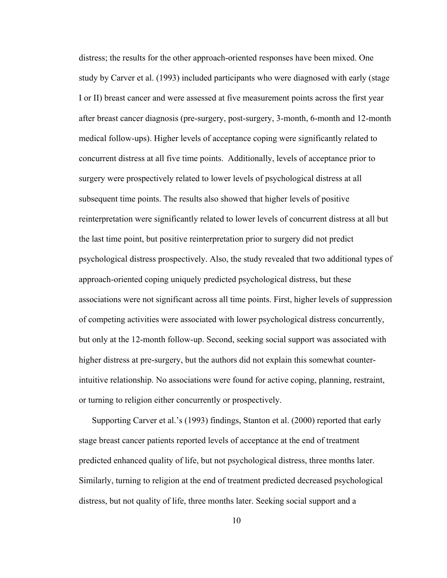distress; the results for the other approach-oriented responses have been mixed. One study by Carver et al. (1993) included participants who were diagnosed with early (stage I or II) breast cancer and were assessed at five measurement points across the first year after breast cancer diagnosis (pre-surgery, post-surgery, 3-month, 6-month and 12-month medical follow-ups). Higher levels of acceptance coping were significantly related to concurrent distress at all five time points. Additionally, levels of acceptance prior to surgery were prospectively related to lower levels of psychological distress at all subsequent time points. The results also showed that higher levels of positive reinterpretation were significantly related to lower levels of concurrent distress at all but the last time point, but positive reinterpretation prior to surgery did not predict psychological distress prospectively. Also, the study revealed that two additional types of approach-oriented coping uniquely predicted psychological distress, but these associations were not significant across all time points. First, higher levels of suppression of competing activities were associated with lower psychological distress concurrently, but only at the 12-month follow-up. Second, seeking social support was associated with higher distress at pre-surgery, but the authors did not explain this somewhat counterintuitive relationship. No associations were found for active coping, planning, restraint, or turning to religion either concurrently or prospectively.

Supporting Carver et al.'s (1993) findings, Stanton et al. (2000) reported that early stage breast cancer patients reported levels of acceptance at the end of treatment predicted enhanced quality of life, but not psychological distress, three months later. Similarly, turning to religion at the end of treatment predicted decreased psychological distress, but not quality of life, three months later. Seeking social support and a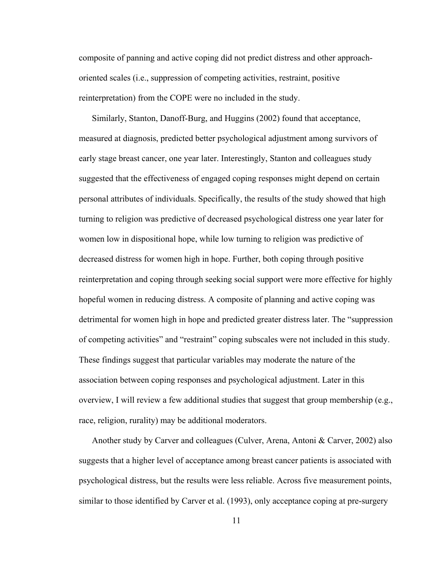composite of panning and active coping did not predict distress and other approachoriented scales (i.e., suppression of competing activities, restraint, positive reinterpretation) from the COPE were no included in the study.

Similarly, Stanton, Danoff-Burg, and Huggins (2002) found that acceptance, measured at diagnosis, predicted better psychological adjustment among survivors of early stage breast cancer, one year later. Interestingly, Stanton and colleagues study suggested that the effectiveness of engaged coping responses might depend on certain personal attributes of individuals. Specifically, the results of the study showed that high turning to religion was predictive of decreased psychological distress one year later for women low in dispositional hope, while low turning to religion was predictive of decreased distress for women high in hope. Further, both coping through positive reinterpretation and coping through seeking social support were more effective for highly hopeful women in reducing distress. A composite of planning and active coping was detrimental for women high in hope and predicted greater distress later. The "suppression of competing activities" and "restraint" coping subscales were not included in this study. These findings suggest that particular variables may moderate the nature of the association between coping responses and psychological adjustment. Later in this overview, I will review a few additional studies that suggest that group membership (e.g., race, religion, rurality) may be additional moderators.

Another study by Carver and colleagues (Culver, Arena, Antoni & Carver, 2002) also suggests that a higher level of acceptance among breast cancer patients is associated with psychological distress, but the results were less reliable. Across five measurement points, similar to those identified by Carver et al. (1993), only acceptance coping at pre-surgery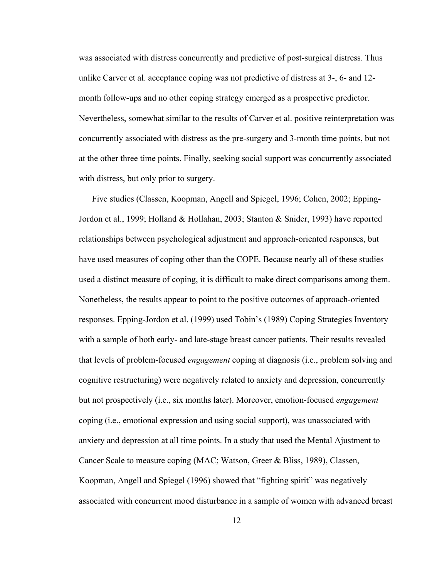was associated with distress concurrently and predictive of post-surgical distress. Thus unlike Carver et al. acceptance coping was not predictive of distress at 3-, 6- and 12 month follow-ups and no other coping strategy emerged as a prospective predictor. Nevertheless, somewhat similar to the results of Carver et al. positive reinterpretation was concurrently associated with distress as the pre-surgery and 3-month time points, but not at the other three time points. Finally, seeking social support was concurrently associated with distress, but only prior to surgery.

Five studies (Classen, Koopman, Angell and Spiegel, 1996; Cohen, 2002; Epping-Jordon et al., 1999; Holland & Hollahan, 2003; Stanton & Snider, 1993) have reported relationships between psychological adjustment and approach-oriented responses, but have used measures of coping other than the COPE. Because nearly all of these studies used a distinct measure of coping, it is difficult to make direct comparisons among them. Nonetheless, the results appear to point to the positive outcomes of approach-oriented responses. Epping-Jordon et al. (1999) used Tobin's (1989) Coping Strategies Inventory with a sample of both early- and late-stage breast cancer patients. Their results revealed that levels of problem-focused *engagement* coping at diagnosis (i.e., problem solving and cognitive restructuring) were negatively related to anxiety and depression, concurrently but not prospectively (i.e., six months later). Moreover, emotion-focused *engagement*  coping (i.e., emotional expression and using social support), was unassociated with anxiety and depression at all time points. In a study that used the Mental Ajustment to Cancer Scale to measure coping (MAC; Watson, Greer & Bliss, 1989), Classen, Koopman, Angell and Spiegel (1996) showed that "fighting spirit" was negatively associated with concurrent mood disturbance in a sample of women with advanced breast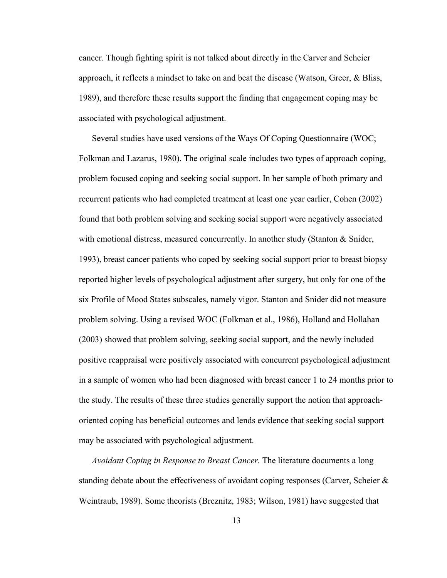cancer. Though fighting spirit is not talked about directly in the Carver and Scheier approach, it reflects a mindset to take on and beat the disease (Watson, Greer, & Bliss, 1989), and therefore these results support the finding that engagement coping may be associated with psychological adjustment.

Several studies have used versions of the Ways Of Coping Questionnaire (WOC; Folkman and Lazarus, 1980). The original scale includes two types of approach coping, problem focused coping and seeking social support. In her sample of both primary and recurrent patients who had completed treatment at least one year earlier, Cohen (2002) found that both problem solving and seeking social support were negatively associated with emotional distress, measured concurrently. In another study (Stanton  $\&$  Snider, 1993), breast cancer patients who coped by seeking social support prior to breast biopsy reported higher levels of psychological adjustment after surgery, but only for one of the six Profile of Mood States subscales, namely vigor. Stanton and Snider did not measure problem solving. Using a revised WOC (Folkman et al., 1986), Holland and Hollahan (2003) showed that problem solving, seeking social support, and the newly included positive reappraisal were positively associated with concurrent psychological adjustment in a sample of women who had been diagnosed with breast cancer 1 to 24 months prior to the study. The results of these three studies generally support the notion that approachoriented coping has beneficial outcomes and lends evidence that seeking social support may be associated with psychological adjustment.

*Avoidant Coping in Response to Breast Cancer.* The literature documents a long standing debate about the effectiveness of avoidant coping responses (Carver, Scheier  $\&$ Weintraub, 1989). Some theorists (Breznitz, 1983; Wilson, 1981) have suggested that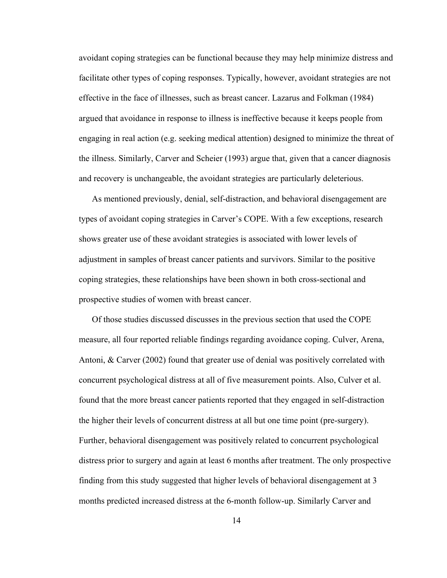avoidant coping strategies can be functional because they may help minimize distress and facilitate other types of coping responses. Typically, however, avoidant strategies are not effective in the face of illnesses, such as breast cancer. Lazarus and Folkman (1984) argued that avoidance in response to illness is ineffective because it keeps people from engaging in real action (e.g. seeking medical attention) designed to minimize the threat of the illness. Similarly, Carver and Scheier (1993) argue that, given that a cancer diagnosis and recovery is unchangeable, the avoidant strategies are particularly deleterious.

As mentioned previously, denial, self-distraction, and behavioral disengagement are types of avoidant coping strategies in Carver's COPE. With a few exceptions, research shows greater use of these avoidant strategies is associated with lower levels of adjustment in samples of breast cancer patients and survivors. Similar to the positive coping strategies, these relationships have been shown in both cross-sectional and prospective studies of women with breast cancer.

Of those studies discussed discusses in the previous section that used the COPE measure, all four reported reliable findings regarding avoidance coping. Culver, Arena, Antoni, & Carver (2002) found that greater use of denial was positively correlated with concurrent psychological distress at all of five measurement points. Also, Culver et al. found that the more breast cancer patients reported that they engaged in self-distraction the higher their levels of concurrent distress at all but one time point (pre-surgery). Further, behavioral disengagement was positively related to concurrent psychological distress prior to surgery and again at least 6 months after treatment. The only prospective finding from this study suggested that higher levels of behavioral disengagement at 3 months predicted increased distress at the 6-month follow-up. Similarly Carver and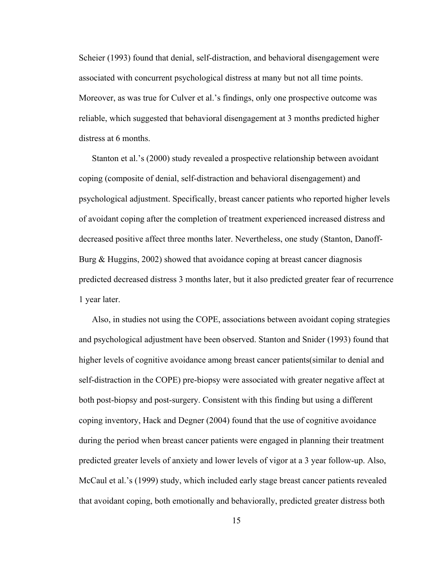Scheier (1993) found that denial, self-distraction, and behavioral disengagement were associated with concurrent psychological distress at many but not all time points. Moreover, as was true for Culver et al.'s findings, only one prospective outcome was reliable, which suggested that behavioral disengagement at 3 months predicted higher distress at 6 months.

Stanton et al.'s (2000) study revealed a prospective relationship between avoidant coping (composite of denial, self-distraction and behavioral disengagement) and psychological adjustment. Specifically, breast cancer patients who reported higher levels of avoidant coping after the completion of treatment experienced increased distress and decreased positive affect three months later. Nevertheless, one study (Stanton, Danoff-Burg & Huggins, 2002) showed that avoidance coping at breast cancer diagnosis predicted decreased distress 3 months later, but it also predicted greater fear of recurrence 1 year later.

Also, in studies not using the COPE, associations between avoidant coping strategies and psychological adjustment have been observed. Stanton and Snider (1993) found that higher levels of cognitive avoidance among breast cancer patients(similar to denial and self-distraction in the COPE) pre-biopsy were associated with greater negative affect at both post-biopsy and post-surgery. Consistent with this finding but using a different coping inventory, Hack and Degner (2004) found that the use of cognitive avoidance during the period when breast cancer patients were engaged in planning their treatment predicted greater levels of anxiety and lower levels of vigor at a 3 year follow-up. Also, McCaul et al.'s (1999) study, which included early stage breast cancer patients revealed that avoidant coping, both emotionally and behaviorally, predicted greater distress both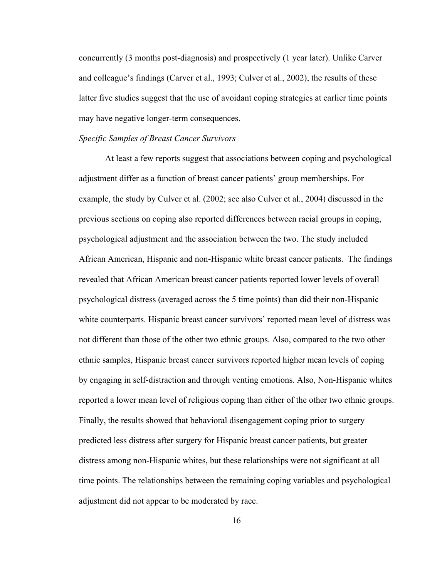concurrently (3 months post-diagnosis) and prospectively (1 year later). Unlike Carver and colleague's findings (Carver et al., 1993; Culver et al., 2002), the results of these latter five studies suggest that the use of avoidant coping strategies at earlier time points may have negative longer-term consequences.

## *Specific Samples of Breast Cancer Survivors*

 At least a few reports suggest that associations between coping and psychological adjustment differ as a function of breast cancer patients' group memberships. For example, the study by Culver et al. (2002; see also Culver et al., 2004) discussed in the previous sections on coping also reported differences between racial groups in coping, psychological adjustment and the association between the two. The study included African American, Hispanic and non-Hispanic white breast cancer patients. The findings revealed that African American breast cancer patients reported lower levels of overall psychological distress (averaged across the 5 time points) than did their non-Hispanic white counterparts. Hispanic breast cancer survivors' reported mean level of distress was not different than those of the other two ethnic groups. Also, compared to the two other ethnic samples, Hispanic breast cancer survivors reported higher mean levels of coping by engaging in self-distraction and through venting emotions. Also, Non-Hispanic whites reported a lower mean level of religious coping than either of the other two ethnic groups. Finally, the results showed that behavioral disengagement coping prior to surgery predicted less distress after surgery for Hispanic breast cancer patients, but greater distress among non-Hispanic whites, but these relationships were not significant at all time points. The relationships between the remaining coping variables and psychological adjustment did not appear to be moderated by race.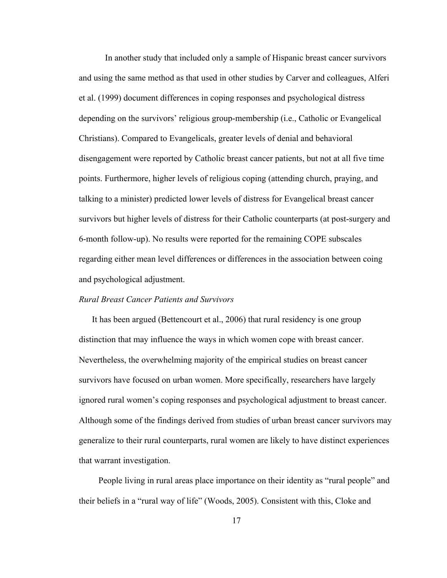In another study that included only a sample of Hispanic breast cancer survivors and using the same method as that used in other studies by Carver and colleagues, Alferi et al. (1999) document differences in coping responses and psychological distress depending on the survivors' religious group-membership (i.e., Catholic or Evangelical Christians). Compared to Evangelicals, greater levels of denial and behavioral disengagement were reported by Catholic breast cancer patients, but not at all five time points. Furthermore, higher levels of religious coping (attending church, praying, and talking to a minister) predicted lower levels of distress for Evangelical breast cancer survivors but higher levels of distress for their Catholic counterparts (at post-surgery and 6-month follow-up). No results were reported for the remaining COPE subscales regarding either mean level differences or differences in the association between coing and psychological adjustment.

## *Rural Breast Cancer Patients and Survivors*

 It has been argued (Bettencourt et al., 2006) that rural residency is one group distinction that may influence the ways in which women cope with breast cancer. Nevertheless, the overwhelming majority of the empirical studies on breast cancer survivors have focused on urban women. More specifically, researchers have largely ignored rural women's coping responses and psychological adjustment to breast cancer. Although some of the findings derived from studies of urban breast cancer survivors may generalize to their rural counterparts, rural women are likely to have distinct experiences that warrant investigation.

People living in rural areas place importance on their identity as "rural people" and their beliefs in a "rural way of life" (Woods, 2005). Consistent with this, Cloke and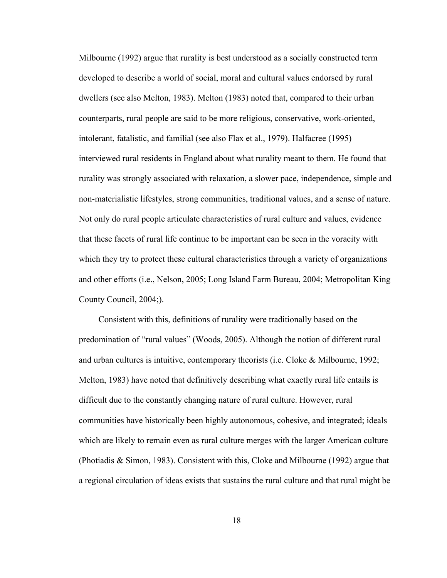Milbourne (1992) argue that rurality is best understood as a socially constructed term developed to describe a world of social, moral and cultural values endorsed by rural dwellers (see also Melton, 1983). Melton (1983) noted that, compared to their urban counterparts, rural people are said to be more religious, conservative, work-oriented, intolerant, fatalistic, and familial (see also Flax et al., 1979). Halfacree (1995) interviewed rural residents in England about what rurality meant to them. He found that rurality was strongly associated with relaxation, a slower pace, independence, simple and non-materialistic lifestyles, strong communities, traditional values, and a sense of nature. Not only do rural people articulate characteristics of rural culture and values, evidence that these facets of rural life continue to be important can be seen in the voracity with which they try to protect these cultural characteristics through a variety of organizations and other efforts (i.e., Nelson, 2005; Long Island Farm Bureau, 2004; Metropolitan King County Council, 2004;).

Consistent with this, definitions of rurality were traditionally based on the predomination of "rural values" (Woods, 2005). Although the notion of different rural and urban cultures is intuitive, contemporary theorists (i.e. Cloke & Milbourne, 1992; Melton, 1983) have noted that definitively describing what exactly rural life entails is difficult due to the constantly changing nature of rural culture. However, rural communities have historically been highly autonomous, cohesive, and integrated; ideals which are likely to remain even as rural culture merges with the larger American culture (Photiadis & Simon, 1983). Consistent with this, Cloke and Milbourne (1992) argue that a regional circulation of ideas exists that sustains the rural culture and that rural might be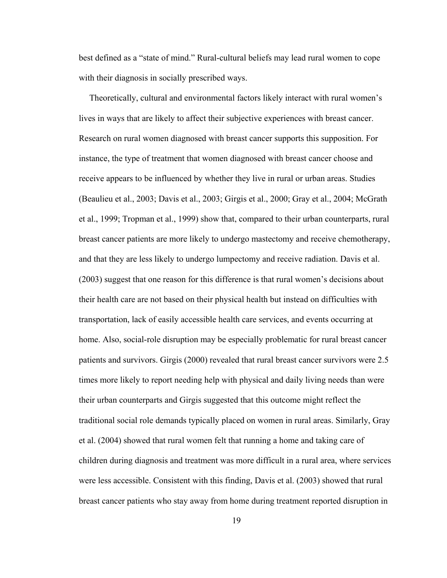best defined as a "state of mind." Rural-cultural beliefs may lead rural women to cope with their diagnosis in socially prescribed ways.

Theoretically, cultural and environmental factors likely interact with rural women's lives in ways that are likely to affect their subjective experiences with breast cancer. Research on rural women diagnosed with breast cancer supports this supposition. For instance, the type of treatment that women diagnosed with breast cancer choose and receive appears to be influenced by whether they live in rural or urban areas. Studies (Beaulieu et al., 2003; Davis et al., 2003; Girgis et al., 2000; Gray et al., 2004; McGrath et al., 1999; Tropman et al., 1999) show that, compared to their urban counterparts, rural breast cancer patients are more likely to undergo mastectomy and receive chemotherapy, and that they are less likely to undergo lumpectomy and receive radiation. Davis et al. (2003) suggest that one reason for this difference is that rural women's decisions about their health care are not based on their physical health but instead on difficulties with transportation, lack of easily accessible health care services, and events occurring at home. Also, social-role disruption may be especially problematic for rural breast cancer patients and survivors. Girgis (2000) revealed that rural breast cancer survivors were 2.5 times more likely to report needing help with physical and daily living needs than were their urban counterparts and Girgis suggested that this outcome might reflect the traditional social role demands typically placed on women in rural areas. Similarly, Gray et al. (2004) showed that rural women felt that running a home and taking care of children during diagnosis and treatment was more difficult in a rural area, where services were less accessible. Consistent with this finding, Davis et al. (2003) showed that rural breast cancer patients who stay away from home during treatment reported disruption in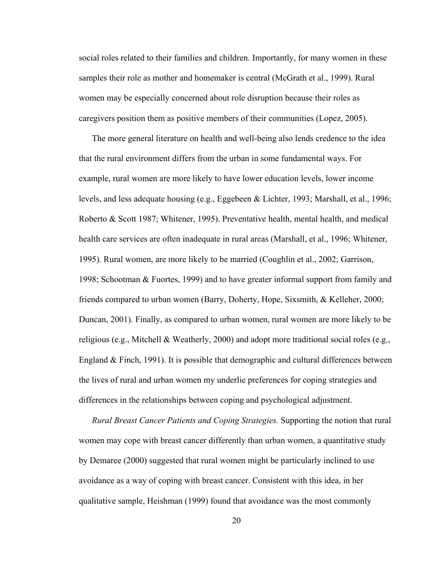social roles related to their families and children. Importantly, for many women in these samples their role as mother and homemaker is central (McGrath et al., 1999). Rural women may be especially concerned about role disruption because their roles as caregivers position them as positive members of their communities (Lopez, 2005).

 The more general literature on health and well-being also lends credence to the idea that the rural environment differs from the urban in some fundamental ways. For example, rural women are more likely to have lower education levels, lower income levels, and less adequate housing (e.g., Eggebeen & Lichter, 1993; Marshall, et al., 1996; Roberto & Scott 1987; Whitener, 1995). Preventative health, mental health, and medical health care services are often inadequate in rural areas (Marshall, et al., 1996; Whitener, 1995). Rural women, are more likely to be married (Coughlin et al., 2002; Garrison, 1998; Schootman & Fuortes, 1999) and to have greater informal support from family and friends compared to urban women (Barry, Doherty, Hope, Sixsmith, & Kelleher, 2000; Duncan, 2001). Finally, as compared to urban women, rural women are more likely to be religious (e.g., Mitchell & Weatherly, 2000) and adopt more traditional social roles (e.g., England  $&$  Finch, 1991). It is possible that demographic and cultural differences between the lives of rural and urban women my underlie preferences for coping strategies and differences in the relationships between coping and psychological adjustment.

 *Rural Breast Cancer Patients and Coping Strategies.* Supporting the notion that rural women may cope with breast cancer differently than urban women, a quantitative study by Demaree (2000) suggested that rural women might be particularly inclined to use avoidance as a way of coping with breast cancer. Consistent with this idea, in her qualitative sample, Heishman (1999) found that avoidance was the most commonly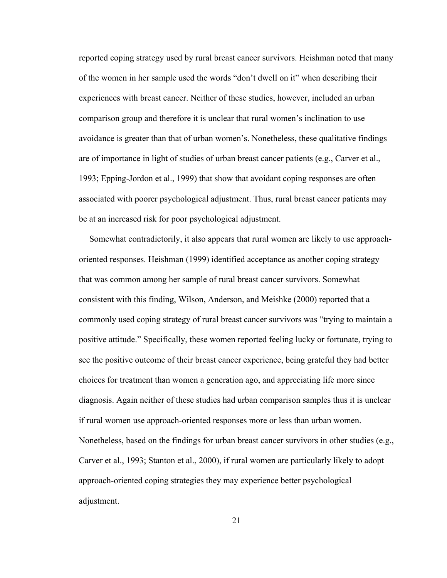reported coping strategy used by rural breast cancer survivors. Heishman noted that many of the women in her sample used the words "don't dwell on it" when describing their experiences with breast cancer. Neither of these studies, however, included an urban comparison group and therefore it is unclear that rural women's inclination to use avoidance is greater than that of urban women's. Nonetheless, these qualitative findings are of importance in light of studies of urban breast cancer patients (e.g., Carver et al., 1993; Epping-Jordon et al., 1999) that show that avoidant coping responses are often associated with poorer psychological adjustment. Thus, rural breast cancer patients may be at an increased risk for poor psychological adjustment.

Somewhat contradictorily, it also appears that rural women are likely to use approachoriented responses. Heishman (1999) identified acceptance as another coping strategy that was common among her sample of rural breast cancer survivors. Somewhat consistent with this finding, Wilson, Anderson, and Meishke (2000) reported that a commonly used coping strategy of rural breast cancer survivors was "trying to maintain a positive attitude." Specifically, these women reported feeling lucky or fortunate, trying to see the positive outcome of their breast cancer experience, being grateful they had better choices for treatment than women a generation ago, and appreciating life more since diagnosis. Again neither of these studies had urban comparison samples thus it is unclear if rural women use approach-oriented responses more or less than urban women. Nonetheless, based on the findings for urban breast cancer survivors in other studies (e.g., Carver et al., 1993; Stanton et al., 2000), if rural women are particularly likely to adopt approach-oriented coping strategies they may experience better psychological adjustment.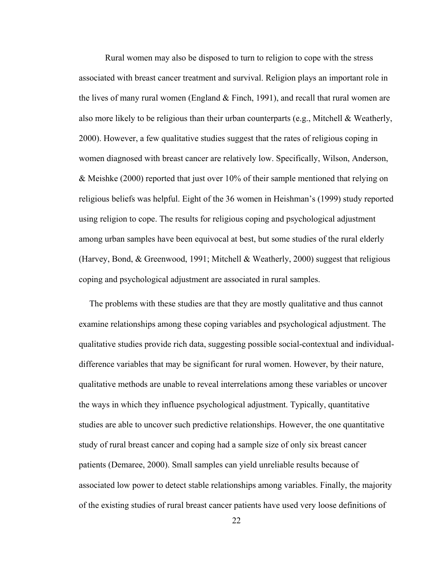Rural women may also be disposed to turn to religion to cope with the stress associated with breast cancer treatment and survival. Religion plays an important role in the lives of many rural women (England  $&$  Finch, 1991), and recall that rural women are also more likely to be religious than their urban counterparts (e.g., Mitchell & Weatherly, 2000). However, a few qualitative studies suggest that the rates of religious coping in women diagnosed with breast cancer are relatively low. Specifically, Wilson, Anderson, & Meishke (2000) reported that just over 10% of their sample mentioned that relying on religious beliefs was helpful. Eight of the 36 women in Heishman's (1999) study reported using religion to cope. The results for religious coping and psychological adjustment among urban samples have been equivocal at best, but some studies of the rural elderly (Harvey, Bond, & Greenwood, 1991; Mitchell & Weatherly, 2000) suggest that religious coping and psychological adjustment are associated in rural samples.

The problems with these studies are that they are mostly qualitative and thus cannot examine relationships among these coping variables and psychological adjustment. The qualitative studies provide rich data, suggesting possible social-contextual and individualdifference variables that may be significant for rural women. However, by their nature, qualitative methods are unable to reveal interrelations among these variables or uncover the ways in which they influence psychological adjustment. Typically, quantitative studies are able to uncover such predictive relationships. However, the one quantitative study of rural breast cancer and coping had a sample size of only six breast cancer patients (Demaree, 2000). Small samples can yield unreliable results because of associated low power to detect stable relationships among variables. Finally, the majority of the existing studies of rural breast cancer patients have used very loose definitions of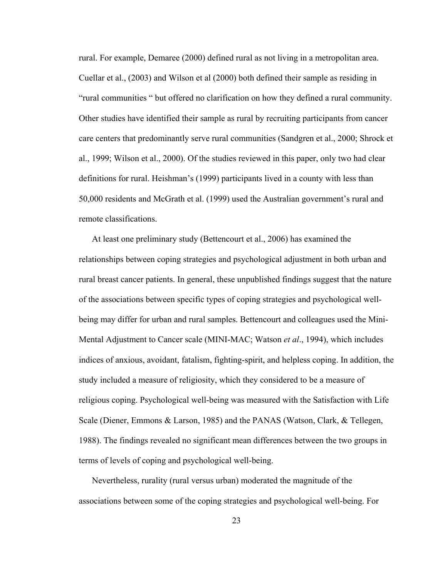rural. For example, Demaree (2000) defined rural as not living in a metropolitan area. Cuellar et al., (2003) and Wilson et al (2000) both defined their sample as residing in "rural communities " but offered no clarification on how they defined a rural community. Other studies have identified their sample as rural by recruiting participants from cancer care centers that predominantly serve rural communities (Sandgren et al., 2000; Shrock et al., 1999; Wilson et al., 2000). Of the studies reviewed in this paper, only two had clear definitions for rural. Heishman's (1999) participants lived in a county with less than 50,000 residents and McGrath et al. (1999) used the Australian government's rural and remote classifications.

 At least one preliminary study (Bettencourt et al., 2006) has examined the relationships between coping strategies and psychological adjustment in both urban and rural breast cancer patients. In general, these unpublished findings suggest that the nature of the associations between specific types of coping strategies and psychological wellbeing may differ for urban and rural samples. Bettencourt and colleagues used the Mini-Mental Adjustment to Cancer scale (MINI-MAC; Watson *et al*., 1994), which includes indices of anxious, avoidant, fatalism, fighting-spirit, and helpless coping. In addition, the study included a measure of religiosity, which they considered to be a measure of religious coping. Psychological well-being was measured with the Satisfaction with Life Scale (Diener, Emmons & Larson, 1985) and the PANAS (Watson, Clark, & Tellegen, 1988). The findings revealed no significant mean differences between the two groups in terms of levels of coping and psychological well-being.

 Nevertheless, rurality (rural versus urban) moderated the magnitude of the associations between some of the coping strategies and psychological well-being. For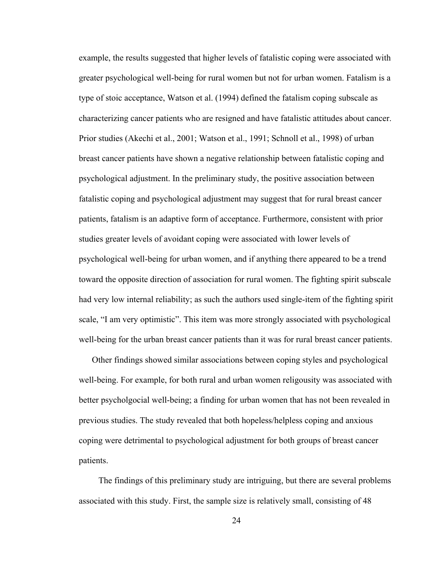example, the results suggested that higher levels of fatalistic coping were associated with greater psychological well-being for rural women but not for urban women. Fatalism is a type of stoic acceptance, Watson et al. (1994) defined the fatalism coping subscale as characterizing cancer patients who are resigned and have fatalistic attitudes about cancer. Prior studies (Akechi et al., 2001; Watson et al., 1991; Schnoll et al., 1998) of urban breast cancer patients have shown a negative relationship between fatalistic coping and psychological adjustment. In the preliminary study, the positive association between fatalistic coping and psychological adjustment may suggest that for rural breast cancer patients, fatalism is an adaptive form of acceptance. Furthermore, consistent with prior studies greater levels of avoidant coping were associated with lower levels of psychological well-being for urban women, and if anything there appeared to be a trend toward the opposite direction of association for rural women. The fighting spirit subscale had very low internal reliability; as such the authors used single-item of the fighting spirit scale, "I am very optimistic". This item was more strongly associated with psychological well-being for the urban breast cancer patients than it was for rural breast cancer patients.

 Other findings showed similar associations between coping styles and psychological well-being. For example, for both rural and urban women religousity was associated with better psycholgocial well-being; a finding for urban women that has not been revealed in previous studies. The study revealed that both hopeless/helpless coping and anxious coping were detrimental to psychological adjustment for both groups of breast cancer patients.

The findings of this preliminary study are intriguing, but there are several problems associated with this study. First, the sample size is relatively small, consisting of 48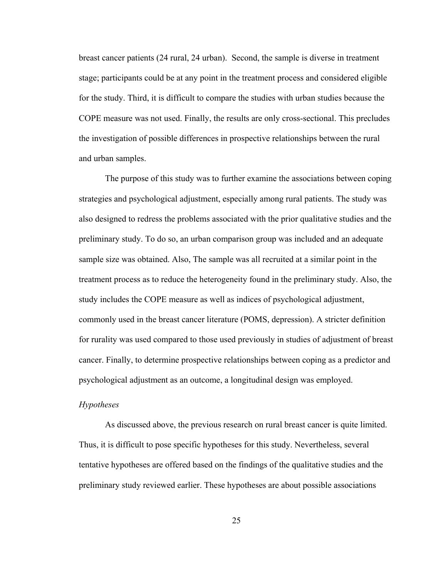breast cancer patients (24 rural, 24 urban). Second, the sample is diverse in treatment stage; participants could be at any point in the treatment process and considered eligible for the study. Third, it is difficult to compare the studies with urban studies because the COPE measure was not used. Finally, the results are only cross-sectional. This precludes the investigation of possible differences in prospective relationships between the rural and urban samples.

The purpose of this study was to further examine the associations between coping strategies and psychological adjustment, especially among rural patients. The study was also designed to redress the problems associated with the prior qualitative studies and the preliminary study. To do so, an urban comparison group was included and an adequate sample size was obtained. Also, The sample was all recruited at a similar point in the treatment process as to reduce the heterogeneity found in the preliminary study. Also, the study includes the COPE measure as well as indices of psychological adjustment, commonly used in the breast cancer literature (POMS, depression). A stricter definition for rurality was used compared to those used previously in studies of adjustment of breast cancer. Finally, to determine prospective relationships between coping as a predictor and psychological adjustment as an outcome, a longitudinal design was employed.

#### *Hypotheses*

 As discussed above, the previous research on rural breast cancer is quite limited. Thus, it is difficult to pose specific hypotheses for this study. Nevertheless, several tentative hypotheses are offered based on the findings of the qualitative studies and the preliminary study reviewed earlier. These hypotheses are about possible associations

25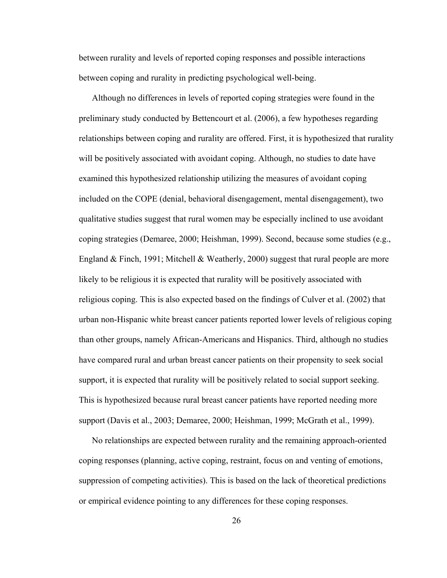between rurality and levels of reported coping responses and possible interactions between coping and rurality in predicting psychological well-being.

 Although no differences in levels of reported coping strategies were found in the preliminary study conducted by Bettencourt et al. (2006), a few hypotheses regarding relationships between coping and rurality are offered. First, it is hypothesized that rurality will be positively associated with avoidant coping. Although, no studies to date have examined this hypothesized relationship utilizing the measures of avoidant coping included on the COPE (denial, behavioral disengagement, mental disengagement), two qualitative studies suggest that rural women may be especially inclined to use avoidant coping strategies (Demaree, 2000; Heishman, 1999). Second, because some studies (e.g., England & Finch, 1991; Mitchell & Weatherly, 2000) suggest that rural people are more likely to be religious it is expected that rurality will be positively associated with religious coping. This is also expected based on the findings of Culver et al. (2002) that urban non-Hispanic white breast cancer patients reported lower levels of religious coping than other groups, namely African-Americans and Hispanics. Third, although no studies have compared rural and urban breast cancer patients on their propensity to seek social support, it is expected that rurality will be positively related to social support seeking. This is hypothesized because rural breast cancer patients have reported needing more support (Davis et al., 2003; Demaree, 2000; Heishman, 1999; McGrath et al., 1999).

 No relationships are expected between rurality and the remaining approach-oriented coping responses (planning, active coping, restraint, focus on and venting of emotions, suppression of competing activities). This is based on the lack of theoretical predictions or empirical evidence pointing to any differences for these coping responses.

26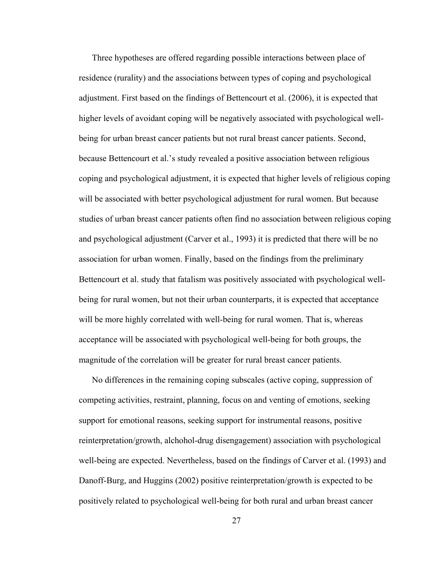Three hypotheses are offered regarding possible interactions between place of residence (rurality) and the associations between types of coping and psychological adjustment. First based on the findings of Bettencourt et al. (2006), it is expected that higher levels of avoidant coping will be negatively associated with psychological wellbeing for urban breast cancer patients but not rural breast cancer patients. Second, because Bettencourt et al.'s study revealed a positive association between religious coping and psychological adjustment, it is expected that higher levels of religious coping will be associated with better psychological adjustment for rural women. But because studies of urban breast cancer patients often find no association between religious coping and psychological adjustment (Carver et al., 1993) it is predicted that there will be no association for urban women. Finally, based on the findings from the preliminary Bettencourt et al. study that fatalism was positively associated with psychological wellbeing for rural women, but not their urban counterparts, it is expected that acceptance will be more highly correlated with well-being for rural women. That is, whereas acceptance will be associated with psychological well-being for both groups, the magnitude of the correlation will be greater for rural breast cancer patients.

 No differences in the remaining coping subscales (active coping, suppression of competing activities, restraint, planning, focus on and venting of emotions, seeking support for emotional reasons, seeking support for instrumental reasons, positive reinterpretation/growth, alchohol-drug disengagement) association with psychological well-being are expected. Nevertheless, based on the findings of Carver et al. (1993) and Danoff-Burg, and Huggins (2002) positive reinterpretation/growth is expected to be positively related to psychological well-being for both rural and urban breast cancer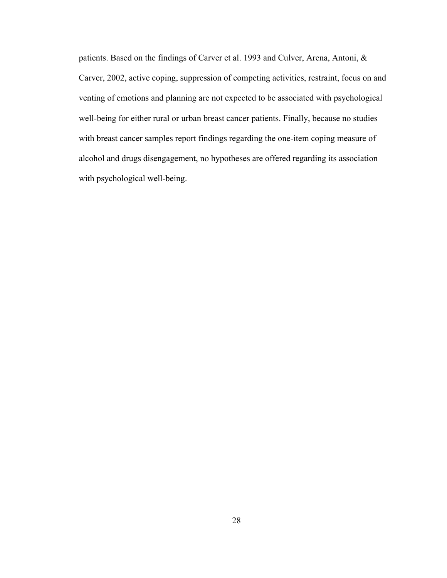patients. Based on the findings of Carver et al. 1993 and Culver, Arena, Antoni, & Carver, 2002, active coping, suppression of competing activities, restraint, focus on and venting of emotions and planning are not expected to be associated with psychological well-being for either rural or urban breast cancer patients. Finally, because no studies with breast cancer samples report findings regarding the one-item coping measure of alcohol and drugs disengagement, no hypotheses are offered regarding its association with psychological well-being.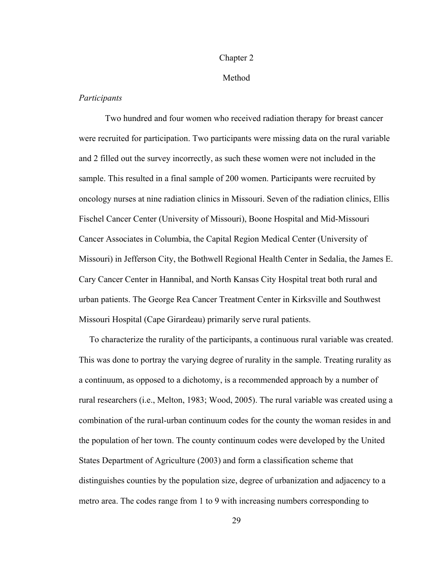### Chapter 2

# Method

# *Participants*

Two hundred and four women who received radiation therapy for breast cancer were recruited for participation. Two participants were missing data on the rural variable and 2 filled out the survey incorrectly, as such these women were not included in the sample. This resulted in a final sample of 200 women. Participants were recruited by oncology nurses at nine radiation clinics in Missouri. Seven of the radiation clinics, Ellis Fischel Cancer Center (University of Missouri), Boone Hospital and Mid-Missouri Cancer Associates in Columbia, the Capital Region Medical Center (University of Missouri) in Jefferson City, the Bothwell Regional Health Center in Sedalia, the James E. Cary Cancer Center in Hannibal, and North Kansas City Hospital treat both rural and urban patients. The George Rea Cancer Treatment Center in Kirksville and Southwest Missouri Hospital (Cape Girardeau) primarily serve rural patients.

To characterize the rurality of the participants, a continuous rural variable was created. This was done to portray the varying degree of rurality in the sample. Treating rurality as a continuum, as opposed to a dichotomy, is a recommended approach by a number of rural researchers (i.e., Melton, 1983; Wood, 2005). The rural variable was created using a combination of the rural-urban continuum codes for the county the woman resides in and the population of her town. The county continuum codes were developed by the United States Department of Agriculture (2003) and form a classification scheme that distinguishes counties by the population size, degree of urbanization and adjacency to a metro area. The codes range from 1 to 9 with increasing numbers corresponding to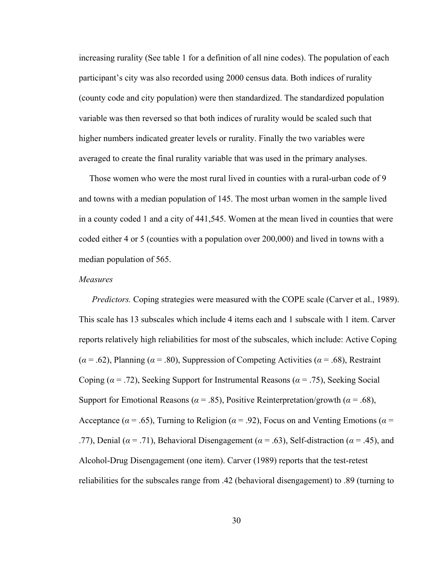increasing rurality (See table 1 for a definition of all nine codes). The population of each participant's city was also recorded using 2000 census data. Both indices of rurality (county code and city population) were then standardized. The standardized population variable was then reversed so that both indices of rurality would be scaled such that higher numbers indicated greater levels or rurality. Finally the two variables were averaged to create the final rurality variable that was used in the primary analyses.

Those women who were the most rural lived in counties with a rural-urban code of 9 and towns with a median population of 145. The most urban women in the sample lived in a county coded 1 and a city of 441,545. Women at the mean lived in counties that were coded either 4 or 5 (counties with a population over 200,000) and lived in towns with a median population of 565.

### *Measures*

*Predictors.* Coping strategies were measured with the COPE scale (Carver et al., 1989). This scale has 13 subscales which include 4 items each and 1 subscale with 1 item. Carver reports relatively high reliabilities for most of the subscales, which include: Active Coping (*α* = .62), Planning (*α* = .80), Suppression of Competing Activities (*α* = .68), Restraint Coping ( $\alpha$  = .72), Seeking Support for Instrumental Reasons ( $\alpha$  = .75), Seeking Social Support for Emotional Reasons ( $\alpha$  = .85), Positive Reinterpretation/growth ( $\alpha$  = .68), Acceptance ( $\alpha$  = .65), Turning to Religion ( $\alpha$  = .92), Focus on and Venting Emotions ( $\alpha$  = .77), Denial ( $\alpha$  = .71), Behavioral Disengagement ( $\alpha$  = .63), Self-distraction ( $\alpha$  = .45), and Alcohol-Drug Disengagement (one item). Carver (1989) reports that the test-retest reliabilities for the subscales range from .42 (behavioral disengagement) to .89 (turning to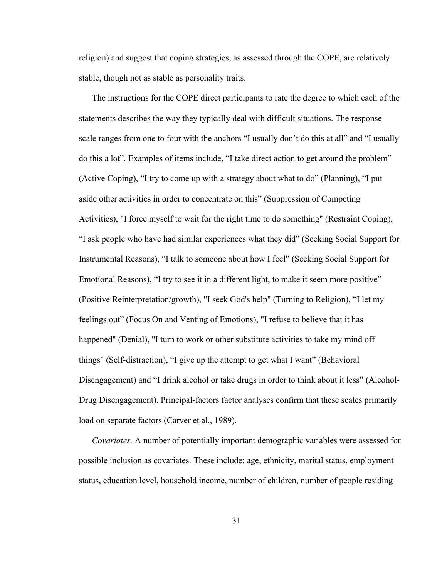religion) and suggest that coping strategies, as assessed through the COPE, are relatively stable, though not as stable as personality traits.

 The instructions for the COPE direct participants to rate the degree to which each of the statements describes the way they typically deal with difficult situations. The response scale ranges from one to four with the anchors "I usually don't do this at all" and "I usually do this a lot". Examples of items include, "I take direct action to get around the problem" (Active Coping), "I try to come up with a strategy about what to do" (Planning), "I put aside other activities in order to concentrate on this" (Suppression of Competing Activities), "I force myself to wait for the right time to do something" (Restraint Coping), "I ask people who have had similar experiences what they did" (Seeking Social Support for Instrumental Reasons), "I talk to someone about how I feel" (Seeking Social Support for Emotional Reasons), "I try to see it in a different light, to make it seem more positive" (Positive Reinterpretation/growth), "I seek God's help" (Turning to Religion), "I let my feelings out" (Focus On and Venting of Emotions), "I refuse to believe that it has happened" (Denial), "I turn to work or other substitute activities to take my mind off things" (Self-distraction), "I give up the attempt to get what I want" (Behavioral Disengagement) and "I drink alcohol or take drugs in order to think about it less" (Alcohol-Drug Disengagement). Principal-factors factor analyses confirm that these scales primarily load on separate factors (Carver et al., 1989).

*Covariates.* A number of potentially important demographic variables were assessed for possible inclusion as covariates. These include: age, ethnicity, marital status, employment status, education level, household income, number of children, number of people residing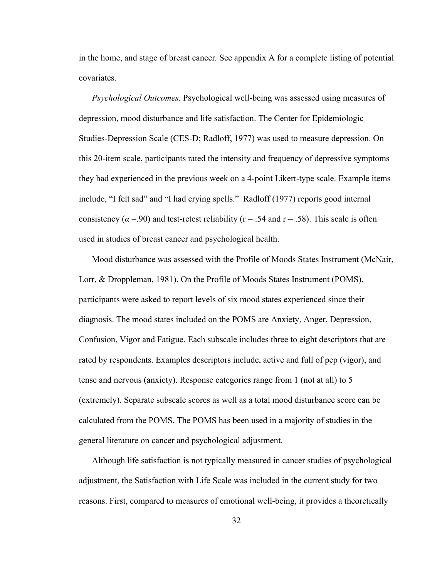in the home, and stage of breast cancer*.* See appendix A for a complete listing of potential covariates.

 *Psychological Outcomes.* Psychological well-being was assessed using measures of depression, mood disturbance and life satisfaction. The Center for Epidemiologic Studies-Depression Scale (CES-D; Radloff, 1977) was used to measure depression. On this 20-item scale, participants rated the intensity and frequency of depressive symptoms they had experienced in the previous week on a 4-point Likert-type scale. Example items include, "I felt sad" and "I had crying spells." Radloff (1977) reports good internal consistency ( $\alpha$  =.90) and test-retest reliability ( $r = .54$  and  $r = .58$ ). This scale is often used in studies of breast cancer and psychological health.

 Mood disturbance was assessed with the Profile of Moods States Instrument (McNair, Lorr, & Droppleman, 1981). On the Profile of Moods States Instrument (POMS), participants were asked to report levels of six mood states experienced since their diagnosis. The mood states included on the POMS are Anxiety, Anger, Depression, Confusion, Vigor and Fatigue. Each subscale includes three to eight descriptors that are rated by respondents. Examples descriptors include, active and full of pep (vigor), and tense and nervous (anxiety). Response categories range from 1 (not at all) to 5 (extremely). Separate subscale scores as well as a total mood disturbance score can be calculated from the POMS. The POMS has been used in a majority of studies in the general literature on cancer and psychological adjustment.

 Although life satisfaction is not typically measured in cancer studies of psychological adjustment, the Satisfaction with Life Scale was included in the current study for two reasons. First, compared to measures of emotional well-being, it provides a theoretically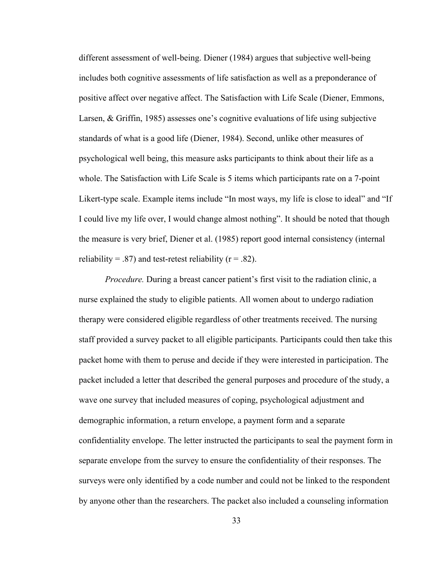different assessment of well-being. Diener (1984) argues that subjective well-being includes both cognitive assessments of life satisfaction as well as a preponderance of positive affect over negative affect. The Satisfaction with Life Scale (Diener, Emmons, Larsen, & Griffin, 1985) assesses one's cognitive evaluations of life using subjective standards of what is a good life (Diener, 1984). Second, unlike other measures of psychological well being, this measure asks participants to think about their life as a whole. The Satisfaction with Life Scale is 5 items which participants rate on a 7-point Likert-type scale. Example items include "In most ways, my life is close to ideal" and "If I could live my life over, I would change almost nothing". It should be noted that though the measure is very brief, Diener et al. (1985) report good internal consistency (internal reliability = .87) and test-retest reliability ( $r = .82$ ).

*Procedure.* During a breast cancer patient's first visit to the radiation clinic, a nurse explained the study to eligible patients. All women about to undergo radiation therapy were considered eligible regardless of other treatments received. The nursing staff provided a survey packet to all eligible participants. Participants could then take this packet home with them to peruse and decide if they were interested in participation. The packet included a letter that described the general purposes and procedure of the study, a wave one survey that included measures of coping, psychological adjustment and demographic information, a return envelope, a payment form and a separate confidentiality envelope. The letter instructed the participants to seal the payment form in separate envelope from the survey to ensure the confidentiality of their responses. The surveys were only identified by a code number and could not be linked to the respondent by anyone other than the researchers. The packet also included a counseling information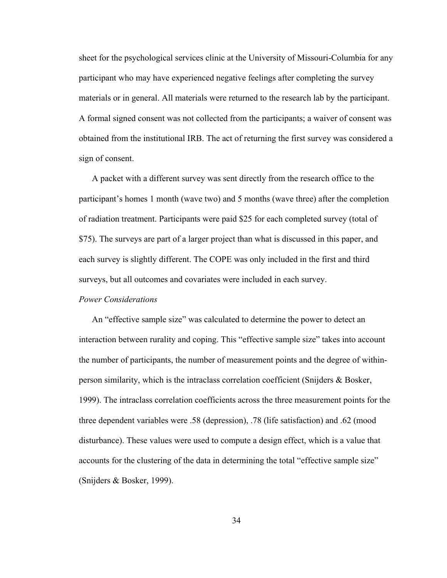sheet for the psychological services clinic at the University of Missouri-Columbia for any participant who may have experienced negative feelings after completing the survey materials or in general. All materials were returned to the research lab by the participant. A formal signed consent was not collected from the participants; a waiver of consent was obtained from the institutional IRB. The act of returning the first survey was considered a sign of consent.

 A packet with a different survey was sent directly from the research office to the participant's homes 1 month (wave two) and 5 months (wave three) after the completion of radiation treatment. Participants were paid \$25 for each completed survey (total of \$75). The surveys are part of a larger project than what is discussed in this paper, and each survey is slightly different. The COPE was only included in the first and third surveys, but all outcomes and covariates were included in each survey.

### *Power Considerations*

An "effective sample size" was calculated to determine the power to detect an interaction between rurality and coping. This "effective sample size" takes into account the number of participants, the number of measurement points and the degree of withinperson similarity, which is the intraclass correlation coefficient (Snijders & Bosker, 1999). The intraclass correlation coefficients across the three measurement points for the three dependent variables were .58 (depression), .78 (life satisfaction) and .62 (mood disturbance). These values were used to compute a design effect, which is a value that accounts for the clustering of the data in determining the total "effective sample size" (Snijders & Bosker, 1999).

34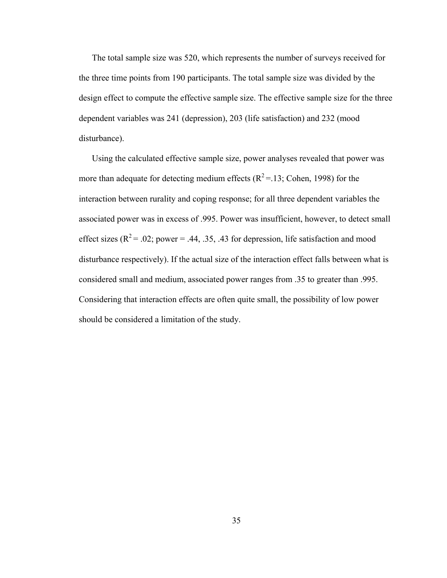The total sample size was 520, which represents the number of surveys received for the three time points from 190 participants. The total sample size was divided by the design effect to compute the effective sample size. The effective sample size for the three dependent variables was 241 (depression), 203 (life satisfaction) and 232 (mood disturbance).

 Using the calculated effective sample size, power analyses revealed that power was more than adequate for detecting medium effects  $(R^2 = 13)$ ; Cohen, 1998) for the interaction between rurality and coping response; for all three dependent variables the associated power was in excess of .995. Power was insufficient, however, to detect small effect sizes ( $R^2$  = .02; power = .44, .35, .43 for depression, life satisfaction and mood disturbance respectively). If the actual size of the interaction effect falls between what is considered small and medium, associated power ranges from .35 to greater than .995. Considering that interaction effects are often quite small, the possibility of low power should be considered a limitation of the study.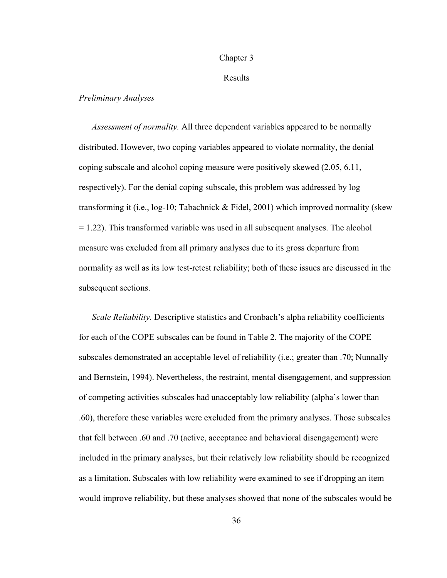### Chapter 3

### Results

## *Preliminary Analyses*

 *Assessment of normality.* All three dependent variables appeared to be normally distributed. However, two coping variables appeared to violate normality, the denial coping subscale and alcohol coping measure were positively skewed (2.05, 6.11, respectively). For the denial coping subscale, this problem was addressed by log transforming it (i.e., log-10; Tabachnick & Fidel, 2001) which improved normality (skew  $= 1.22$ ). This transformed variable was used in all subsequent analyses. The alcohol measure was excluded from all primary analyses due to its gross departure from normality as well as its low test-retest reliability; both of these issues are discussed in the subsequent sections.

 *Scale Reliability.* Descriptive statistics and Cronbach's alpha reliability coefficients for each of the COPE subscales can be found in Table 2. The majority of the COPE subscales demonstrated an acceptable level of reliability (i.e.; greater than .70; Nunnally and Bernstein, 1994). Nevertheless, the restraint, mental disengagement, and suppression of competing activities subscales had unacceptably low reliability (alpha's lower than .60), therefore these variables were excluded from the primary analyses. Those subscales that fell between .60 and .70 (active, acceptance and behavioral disengagement) were included in the primary analyses, but their relatively low reliability should be recognized as a limitation. Subscales with low reliability were examined to see if dropping an item would improve reliability, but these analyses showed that none of the subscales would be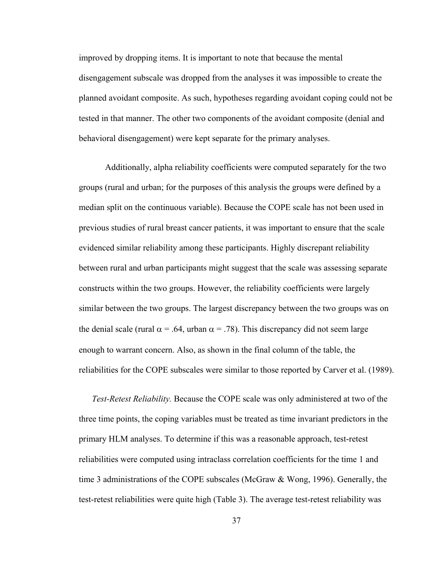improved by dropping items. It is important to note that because the mental disengagement subscale was dropped from the analyses it was impossible to create the planned avoidant composite. As such, hypotheses regarding avoidant coping could not be tested in that manner. The other two components of the avoidant composite (denial and behavioral disengagement) were kept separate for the primary analyses.

 Additionally, alpha reliability coefficients were computed separately for the two groups (rural and urban; for the purposes of this analysis the groups were defined by a median split on the continuous variable). Because the COPE scale has not been used in previous studies of rural breast cancer patients, it was important to ensure that the scale evidenced similar reliability among these participants. Highly discrepant reliability between rural and urban participants might suggest that the scale was assessing separate constructs within the two groups. However, the reliability coefficients were largely similar between the two groups. The largest discrepancy between the two groups was on the denial scale (rural  $\alpha$  = .64, urban  $\alpha$  = .78). This discrepancy did not seem large enough to warrant concern. Also, as shown in the final column of the table, the reliabilities for the COPE subscales were similar to those reported by Carver et al. (1989).

*Test-Retest Reliability.* Because the COPE scale was only administered at two of the three time points, the coping variables must be treated as time invariant predictors in the primary HLM analyses. To determine if this was a reasonable approach, test-retest reliabilities were computed using intraclass correlation coefficients for the time 1 and time 3 administrations of the COPE subscales (McGraw & Wong, 1996). Generally, the test-retest reliabilities were quite high (Table 3). The average test-retest reliability was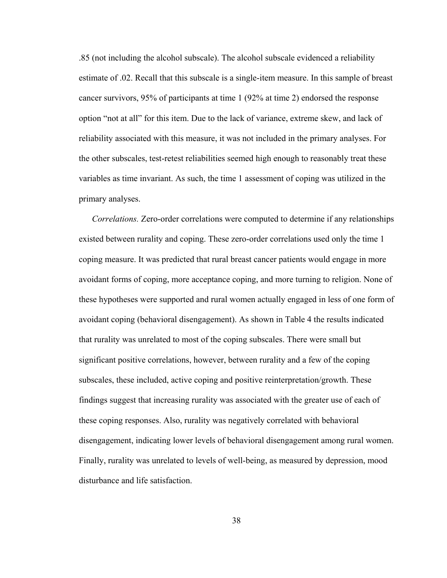.85 (not including the alcohol subscale). The alcohol subscale evidenced a reliability estimate of .02. Recall that this subscale is a single-item measure. In this sample of breast cancer survivors, 95% of participants at time 1 (92% at time 2) endorsed the response option "not at all" for this item. Due to the lack of variance, extreme skew, and lack of reliability associated with this measure, it was not included in the primary analyses. For the other subscales, test-retest reliabilities seemed high enough to reasonably treat these variables as time invariant. As such, the time 1 assessment of coping was utilized in the primary analyses.

*Correlations.* Zero-order correlations were computed to determine if any relationships existed between rurality and coping. These zero-order correlations used only the time 1 coping measure. It was predicted that rural breast cancer patients would engage in more avoidant forms of coping, more acceptance coping, and more turning to religion. None of these hypotheses were supported and rural women actually engaged in less of one form of avoidant coping (behavioral disengagement). As shown in Table 4 the results indicated that rurality was unrelated to most of the coping subscales. There were small but significant positive correlations, however, between rurality and a few of the coping subscales, these included, active coping and positive reinterpretation/growth. These findings suggest that increasing rurality was associated with the greater use of each of these coping responses. Also, rurality was negatively correlated with behavioral disengagement, indicating lower levels of behavioral disengagement among rural women. Finally, rurality was unrelated to levels of well-being, as measured by depression, mood disturbance and life satisfaction.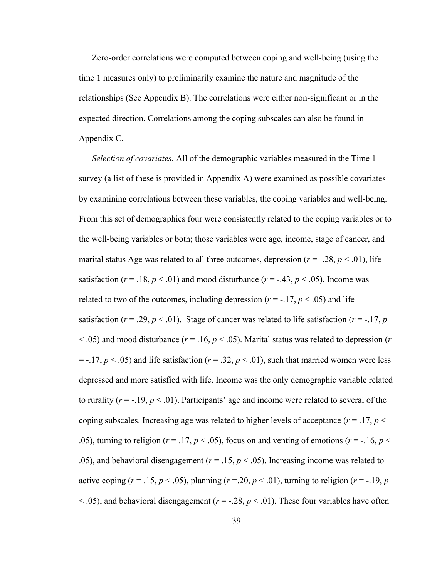Zero-order correlations were computed between coping and well-being (using the time 1 measures only) to preliminarily examine the nature and magnitude of the relationships (See Appendix B). The correlations were either non-significant or in the expected direction. Correlations among the coping subscales can also be found in Appendix C.

*Selection of covariates.* All of the demographic variables measured in the Time 1 survey (a list of these is provided in Appendix A) were examined as possible covariates by examining correlations between these variables, the coping variables and well-being. From this set of demographics four were consistently related to the coping variables or to the well-being variables or both; those variables were age, income, stage of cancer, and marital status Age was related to all three outcomes, depression  $(r = -0.28, p < 0.01)$ , life satisfaction ( $r = .18$ ,  $p < .01$ ) and mood disturbance ( $r = -.43$ ,  $p < .05$ ). Income was related to two of the outcomes, including depression  $(r = -17, p < .05)$  and life satisfaction ( $r = .29$ ,  $p < .01$ ). Stage of cancer was related to life satisfaction ( $r = -.17$ ,  $p$  $<$  0.05) and mood disturbance ( $r = 0.16$ ,  $p < 0.05$ ). Marital status was related to depression ( $r$ )  $=$  -.17,  $p \le 0.05$ ) and life satisfaction ( $r = 0.32$ ,  $p \le 0.01$ ), such that married women were less depressed and more satisfied with life. Income was the only demographic variable related to rurality  $(r = -19, p < 01)$ . Participants' age and income were related to several of the coping subscales. Increasing age was related to higher levels of acceptance ( $r = .17$ ,  $p <$ .05), turning to religion ( $r = .17$ ,  $p < .05$ ), focus on and venting of emotions ( $r = .16$ ,  $p <$ .05), and behavioral disengagement ( $r = .15$ ,  $p < .05$ ). Increasing income was related to active coping ( $r = .15$ ,  $p < .05$ ), planning ( $r = .20$ ,  $p < .01$ ), turning to religion ( $r = -.19$ ,  $p = .01$ )  $<$  0.05), and behavioral disengagement ( $r = -0.28$ ,  $p < 0.01$ ). These four variables have often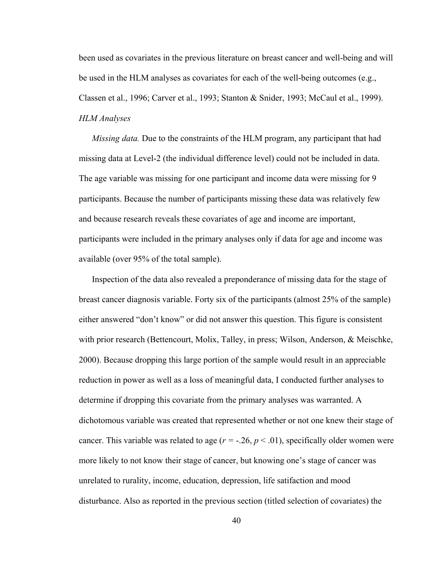been used as covariates in the previous literature on breast cancer and well-being and will be used in the HLM analyses as covariates for each of the well-being outcomes (e.g., Classen et al., 1996; Carver et al., 1993; Stanton & Snider, 1993; McCaul et al., 1999). *HLM Analyses* 

*Missing data.* Due to the constraints of the HLM program, any participant that had missing data at Level-2 (the individual difference level) could not be included in data. The age variable was missing for one participant and income data were missing for 9 participants. Because the number of participants missing these data was relatively few and because research reveals these covariates of age and income are important, participants were included in the primary analyses only if data for age and income was available (over 95% of the total sample).

 Inspection of the data also revealed a preponderance of missing data for the stage of breast cancer diagnosis variable. Forty six of the participants (almost 25% of the sample) either answered "don't know" or did not answer this question. This figure is consistent with prior research (Bettencourt, Molix, Talley, in press; Wilson, Anderson, & Meischke, 2000). Because dropping this large portion of the sample would result in an appreciable reduction in power as well as a loss of meaningful data, I conducted further analyses to determine if dropping this covariate from the primary analyses was warranted. A dichotomous variable was created that represented whether or not one knew their stage of cancer. This variable was related to age  $(r = -0.26, p < 0.01)$ , specifically older women were more likely to not know their stage of cancer, but knowing one's stage of cancer was unrelated to rurality, income, education, depression, life satifaction and mood disturbance. Also as reported in the previous section (titled selection of covariates) the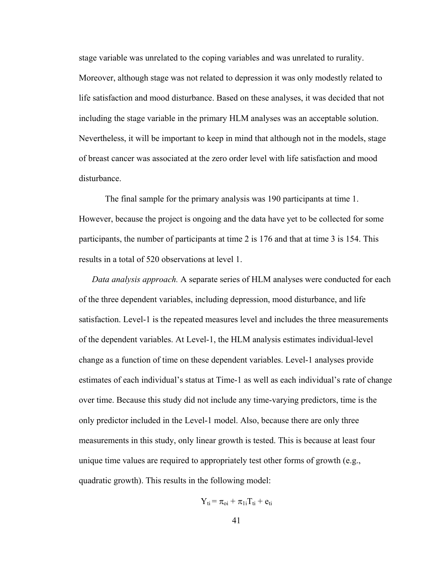stage variable was unrelated to the coping variables and was unrelated to rurality. Moreover, although stage was not related to depression it was only modestly related to life satisfaction and mood disturbance. Based on these analyses, it was decided that not including the stage variable in the primary HLM analyses was an acceptable solution. Nevertheless, it will be important to keep in mind that although not in the models, stage of breast cancer was associated at the zero order level with life satisfaction and mood disturbance.

 The final sample for the primary analysis was 190 participants at time 1. However, because the project is ongoing and the data have yet to be collected for some participants, the number of participants at time 2 is 176 and that at time 3 is 154. This results in a total of 520 observations at level 1.

 *Data analysis approach.* A separate series of HLM analyses were conducted for each of the three dependent variables, including depression, mood disturbance, and life satisfaction. Level-1 is the repeated measures level and includes the three measurements of the dependent variables. At Level-1, the HLM analysis estimates individual-level change as a function of time on these dependent variables. Level-1 analyses provide estimates of each individual's status at Time-1 as well as each individual's rate of change over time. Because this study did not include any time-varying predictors, time is the only predictor included in the Level-1 model. Also, because there are only three measurements in this study, only linear growth is tested. This is because at least four unique time values are required to appropriately test other forms of growth (e.g., quadratic growth). This results in the following model:

$$
Y_{ti}\!=\pi_{oi}+\pi_{1i}T_{ti}+e_{ti}
$$

$$
41\,
$$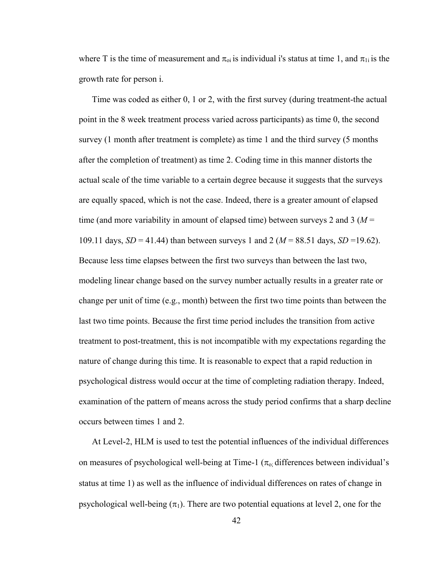where T is the time of measurement and  $\pi_{oi}$  is individual i's status at time 1, and  $\pi_{1i}$  is the growth rate for person i.

 Time was coded as either 0, 1 or 2, with the first survey (during treatment-the actual point in the 8 week treatment process varied across participants) as time 0, the second survey (1 month after treatment is complete) as time 1 and the third survey (5 months after the completion of treatment) as time 2. Coding time in this manner distorts the actual scale of the time variable to a certain degree because it suggests that the surveys are equally spaced, which is not the case. Indeed, there is a greater amount of elapsed time (and more variability in amount of elapsed time) between surveys 2 and 3 (*M* = 109.11 days, *SD* = 41.44) than between surveys 1 and 2 (*M* = 88.51 days, *SD* =19.62). Because less time elapses between the first two surveys than between the last two, modeling linear change based on the survey number actually results in a greater rate or change per unit of time (e.g., month) between the first two time points than between the last two time points. Because the first time period includes the transition from active treatment to post-treatment, this is not incompatible with my expectations regarding the nature of change during this time. It is reasonable to expect that a rapid reduction in psychological distress would occur at the time of completing radiation therapy. Indeed, examination of the pattern of means across the study period confirms that a sharp decline occurs between times 1 and 2.

 At Level-2, HLM is used to test the potential influences of the individual differences on measures of psychological well-being at Time-1 ( $\pi_{\rm o}$ ; differences between individual's status at time 1) as well as the influence of individual differences on rates of change in psychological well-being  $(\pi_1)$ . There are two potential equations at level 2, one for the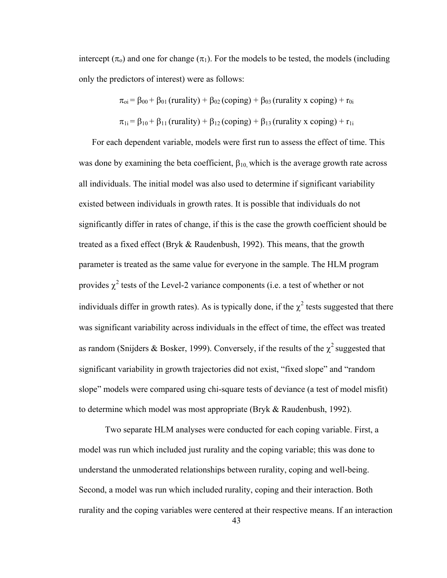intercept ( $\pi_0$ ) and one for change ( $\pi_1$ ). For the models to be tested, the models (including only the predictors of interest) were as follows:

$$
\pi_{oi} = \beta_{00} + \beta_{01} \text{ (rurality)} + \beta_{02} \text{ (coping)} + \beta_{03} \text{ (rurality x coping)} + r_{0i}
$$
\n
$$
\pi_{1i} = \beta_{10} + \beta_{11} \text{ (rurality)} + \beta_{12} \text{ (coping)} + \beta_{13} \text{ (rurality x coping)} + r_{1i}
$$

 For each dependent variable, models were first run to assess the effect of time. This was done by examining the beta coefficient,  $\beta_{10}$ , which is the average growth rate across all individuals. The initial model was also used to determine if significant variability existed between individuals in growth rates. It is possible that individuals do not significantly differ in rates of change, if this is the case the growth coefficient should be treated as a fixed effect (Bryk & Raudenbush, 1992). This means, that the growth parameter is treated as the same value for everyone in the sample. The HLM program provides  $\chi^2$  tests of the Level-2 variance components (i.e. a test of whether or not individuals differ in growth rates). As is typically done, if the  $\chi^2$  tests suggested that there was significant variability across individuals in the effect of time, the effect was treated as random (Snijders & Bosker, 1999). Conversely, if the results of the  $\chi^2$  suggested that significant variability in growth trajectories did not exist, "fixed slope" and "random slope" models were compared using chi-square tests of deviance (a test of model misfit) to determine which model was most appropriate (Bryk & Raudenbush, 1992).

 Two separate HLM analyses were conducted for each coping variable. First, a model was run which included just rurality and the coping variable; this was done to understand the unmoderated relationships between rurality, coping and well-being. Second, a model was run which included rurality, coping and their interaction. Both rurality and the coping variables were centered at their respective means. If an interaction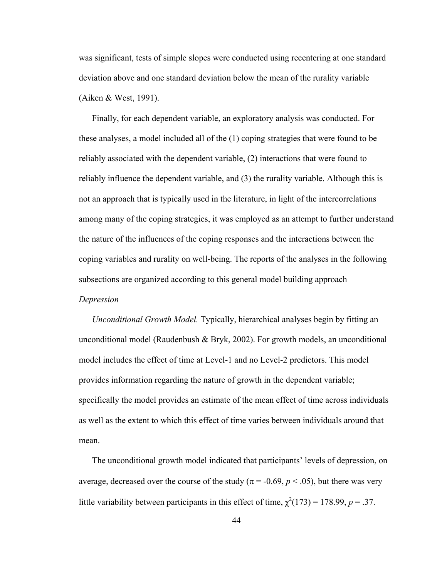was significant, tests of simple slopes were conducted using recentering at one standard deviation above and one standard deviation below the mean of the rurality variable (Aiken & West, 1991).

 Finally, for each dependent variable, an exploratory analysis was conducted. For these analyses, a model included all of the (1) coping strategies that were found to be reliably associated with the dependent variable, (2) interactions that were found to reliably influence the dependent variable, and (3) the rurality variable. Although this is not an approach that is typically used in the literature, in light of the intercorrelations among many of the coping strategies, it was employed as an attempt to further understand the nature of the influences of the coping responses and the interactions between the coping variables and rurality on well-being. The reports of the analyses in the following subsections are organized according to this general model building approach *Depression* 

 *Unconditional Growth Model.* Typically, hierarchical analyses begin by fitting an unconditional model (Raudenbush & Bryk, 2002). For growth models, an unconditional model includes the effect of time at Level-1 and no Level-2 predictors. This model provides information regarding the nature of growth in the dependent variable; specifically the model provides an estimate of the mean effect of time across individuals as well as the extent to which this effect of time varies between individuals around that mean.

 The unconditional growth model indicated that participants' levels of depression, on average, decreased over the course of the study ( $\pi$  = -0.69,  $p$  < .05), but there was very little variability between participants in this effect of time,  $\chi^2(173) = 178.99$ ,  $p = .37$ .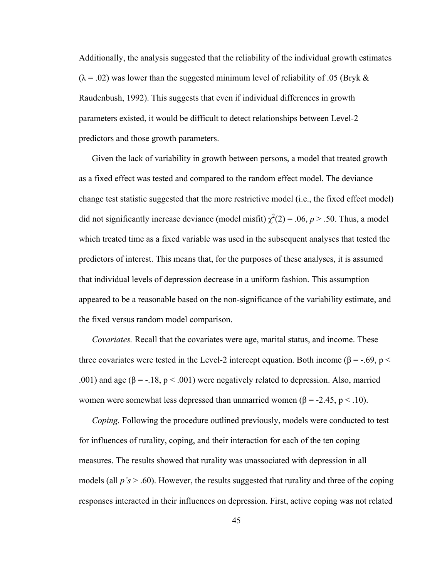Additionally, the analysis suggested that the reliability of the individual growth estimates  $(\lambda = .02)$  was lower than the suggested minimum level of reliability of .05 (Bryk & Raudenbush, 1992). This suggests that even if individual differences in growth parameters existed, it would be difficult to detect relationships between Level-2 predictors and those growth parameters.

 Given the lack of variability in growth between persons, a model that treated growth as a fixed effect was tested and compared to the random effect model. The deviance change test statistic suggested that the more restrictive model (i.e., the fixed effect model) did not significantly increase deviance (model misfit)  $\chi^2(2) = .06$ ,  $p > .50$ . Thus, a model which treated time as a fixed variable was used in the subsequent analyses that tested the predictors of interest. This means that, for the purposes of these analyses, it is assumed that individual levels of depression decrease in a uniform fashion. This assumption appeared to be a reasonable based on the non-significance of the variability estimate, and the fixed versus random model comparison.

 *Covariates.* Recall that the covariates were age, marital status, and income. These three covariates were tested in the Level-2 intercept equation. Both income ( $\beta = -.69$ ,  $p <$ .001) and age ( $\beta = -18$ ,  $p < .001$ ) were negatively related to depression. Also, married women were somewhat less depressed than unmarried women ( $\beta$  = -2.45, p < .10).

*Coping.* Following the procedure outlined previously, models were conducted to test for influences of rurality, coping, and their interaction for each of the ten coping measures. The results showed that rurality was unassociated with depression in all models (all *p's* > .60). However, the results suggested that rurality and three of the coping responses interacted in their influences on depression. First, active coping was not related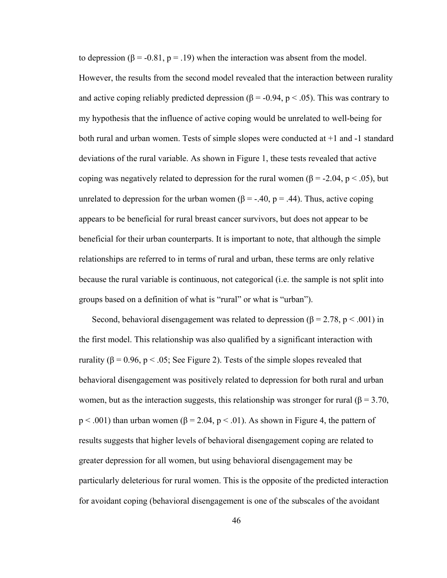to depression ( $\beta$  = -0.81, p = .19) when the interaction was absent from the model. However, the results from the second model revealed that the interaction between rurality and active coping reliably predicted depression ( $\beta$  = -0.94, p < .05). This was contrary to my hypothesis that the influence of active coping would be unrelated to well-being for both rural and urban women. Tests of simple slopes were conducted at +1 and -1 standard deviations of the rural variable. As shown in Figure 1, these tests revealed that active coping was negatively related to depression for the rural women ( $\beta$  = -2.04, p < .05), but unrelated to depression for the urban women ( $\beta = -40$ ,  $p = 0.44$ ). Thus, active coping appears to be beneficial for rural breast cancer survivors, but does not appear to be beneficial for their urban counterparts. It is important to note, that although the simple relationships are referred to in terms of rural and urban, these terms are only relative because the rural variable is continuous, not categorical (i.e. the sample is not split into groups based on a definition of what is "rural" or what is "urban").

Second, behavioral disengagement was related to depression ( $\beta$  = 2.78, p < .001) in the first model. This relationship was also qualified by a significant interaction with rurality (β = 0.96, p < .05; See Figure 2). Tests of the simple slopes revealed that behavioral disengagement was positively related to depression for both rural and urban women, but as the interaction suggests, this relationship was stronger for rural ( $\beta = 3.70$ ,  $p < .001$ ) than urban women ( $\beta = 2.04$ ,  $p < .01$ ). As shown in Figure 4, the pattern of results suggests that higher levels of behavioral disengagement coping are related to greater depression for all women, but using behavioral disengagement may be particularly deleterious for rural women. This is the opposite of the predicted interaction for avoidant coping (behavioral disengagement is one of the subscales of the avoidant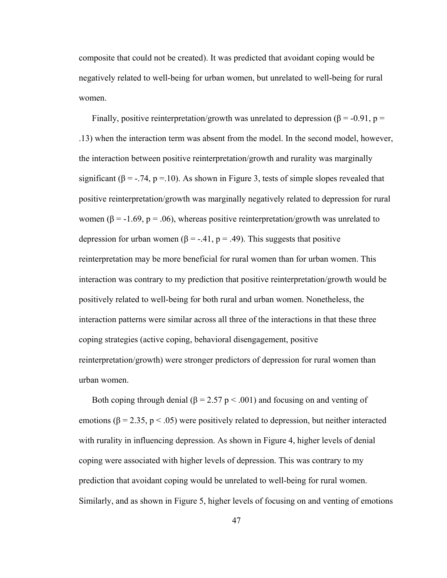composite that could not be created). It was predicted that avoidant coping would be negatively related to well-being for urban women, but unrelated to well-being for rural women.

Finally, positive reinterpretation/growth was unrelated to depression ( $\beta$  = -0.91, p = .13) when the interaction term was absent from the model. In the second model, however, the interaction between positive reinterpretation/growth and rurality was marginally significant ( $\beta$  = -.74, p = 10). As shown in Figure 3, tests of simple slopes revealed that positive reinterpretation/growth was marginally negatively related to depression for rural women ( $\beta$  = -1.69, p = .06), whereas positive reinterpretation/growth was unrelated to depression for urban women ( $\beta = -0.41$ ,  $p = 0.49$ ). This suggests that positive reinterpretation may be more beneficial for rural women than for urban women. This interaction was contrary to my prediction that positive reinterpretation/growth would be positively related to well-being for both rural and urban women. Nonetheless, the interaction patterns were similar across all three of the interactions in that these three coping strategies (active coping, behavioral disengagement, positive reinterpretation/growth) were stronger predictors of depression for rural women than urban women.

Both coping through denial ( $\beta$  = 2.57 p < .001) and focusing on and venting of emotions ( $\beta$  = 2.35, p < .05) were positively related to depression, but neither interacted with rurality in influencing depression. As shown in Figure 4, higher levels of denial coping were associated with higher levels of depression. This was contrary to my prediction that avoidant coping would be unrelated to well-being for rural women. Similarly, and as shown in Figure 5, higher levels of focusing on and venting of emotions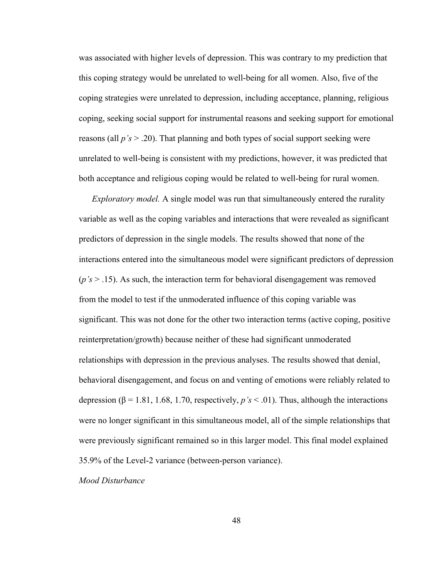was associated with higher levels of depression. This was contrary to my prediction that this coping strategy would be unrelated to well-being for all women. Also, five of the coping strategies were unrelated to depression, including acceptance, planning, religious coping, seeking social support for instrumental reasons and seeking support for emotional reasons (all  $p's > 0.20$ ). That planning and both types of social support seeking were unrelated to well-being is consistent with my predictions, however, it was predicted that both acceptance and religious coping would be related to well-being for rural women.

*Exploratory model.* A single model was run that simultaneously entered the rurality variable as well as the coping variables and interactions that were revealed as significant predictors of depression in the single models. The results showed that none of the interactions entered into the simultaneous model were significant predictors of depression (*p's* > .15). As such, the interaction term for behavioral disengagement was removed from the model to test if the unmoderated influence of this coping variable was significant. This was not done for the other two interaction terms (active coping, positive reinterpretation/growth) because neither of these had significant unmoderated relationships with depression in the previous analyses. The results showed that denial, behavioral disengagement, and focus on and venting of emotions were reliably related to depression (β = 1.81, 1.68, 1.70, respectively,  $p's < .01$ ). Thus, although the interactions were no longer significant in this simultaneous model, all of the simple relationships that were previously significant remained so in this larger model. This final model explained 35.9% of the Level-2 variance (between-person variance).

### *Mood Disturbance*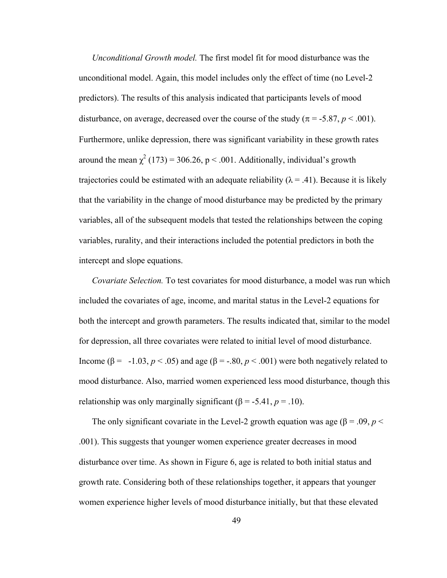*Unconditional Growth model.* The first model fit for mood disturbance was the unconditional model. Again, this model includes only the effect of time (no Level-2 predictors). The results of this analysis indicated that participants levels of mood disturbance, on average, decreased over the course of the study ( $\pi$  = -5.87,  $p$  < .001). Furthermore, unlike depression, there was significant variability in these growth rates around the mean  $\chi^2$  (173) = 306.26, p < .001. Additionally, individual's growth trajectories could be estimated with an adequate reliability ( $\lambda = .41$ ). Because it is likely that the variability in the change of mood disturbance may be predicted by the primary variables, all of the subsequent models that tested the relationships between the coping variables, rurality, and their interactions included the potential predictors in both the intercept and slope equations.

*Covariate Selection.* To test covariates for mood disturbance, a model was run which included the covariates of age, income, and marital status in the Level-2 equations for both the intercept and growth parameters. The results indicated that, similar to the model for depression, all three covariates were related to initial level of mood disturbance. Income (β = -1.03,  $p < .05$ ) and age (β = -.80,  $p < .001$ ) were both negatively related to mood disturbance. Also, married women experienced less mood disturbance, though this relationship was only marginally significant  $(\beta = -5.41, p = .10)$ .

The only significant covariate in the Level-2 growth equation was age ( $\beta$  = .09, *p* < .001). This suggests that younger women experience greater decreases in mood disturbance over time. As shown in Figure 6, age is related to both initial status and growth rate. Considering both of these relationships together, it appears that younger women experience higher levels of mood disturbance initially, but that these elevated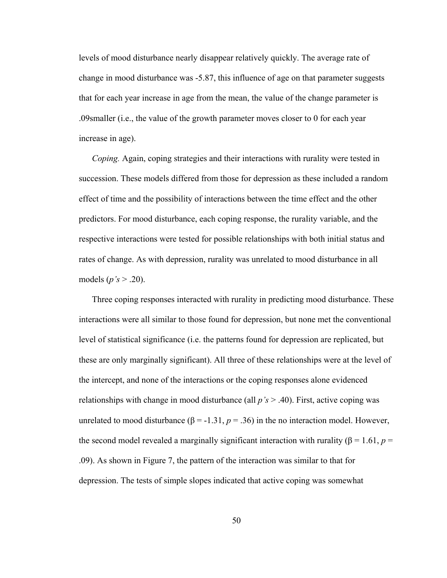levels of mood disturbance nearly disappear relatively quickly. The average rate of change in mood disturbance was -5.87, this influence of age on that parameter suggests that for each year increase in age from the mean, the value of the change parameter is .09smaller (i.e., the value of the growth parameter moves closer to 0 for each year increase in age).

*Coping.* Again, coping strategies and their interactions with rurality were tested in succession. These models differed from those for depression as these included a random effect of time and the possibility of interactions between the time effect and the other predictors. For mood disturbance, each coping response, the rurality variable, and the respective interactions were tested for possible relationships with both initial status and rates of change. As with depression, rurality was unrelated to mood disturbance in all models (*p's* > .20).

Three coping responses interacted with rurality in predicting mood disturbance. These interactions were all similar to those found for depression, but none met the conventional level of statistical significance (i.e. the patterns found for depression are replicated, but these are only marginally significant). All three of these relationships were at the level of the intercept, and none of the interactions or the coping responses alone evidenced relationships with change in mood disturbance (all *p's* > .40). First, active coping was unrelated to mood disturbance (β = -1.31,  $p = .36$ ) in the no interaction model. However, the second model revealed a marginally significant interaction with rurality ( $\beta = 1.61$ ,  $p =$ .09). As shown in Figure 7, the pattern of the interaction was similar to that for depression. The tests of simple slopes indicated that active coping was somewhat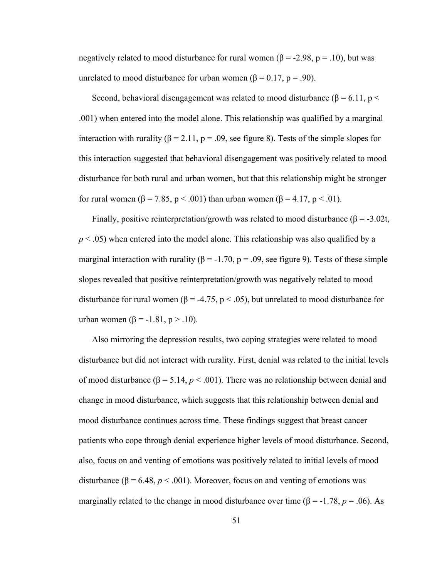negatively related to mood disturbance for rural women (β = -2.98, p = .10), but was unrelated to mood disturbance for urban women (β = 0.17, p = .90).

Second, behavioral disengagement was related to mood disturbance ( $\beta$  = 6.11, p < .001) when entered into the model alone. This relationship was qualified by a marginal interaction with rurality ( $\beta = 2.11$ ,  $p = .09$ , see figure 8). Tests of the simple slopes for this interaction suggested that behavioral disengagement was positively related to mood disturbance for both rural and urban women, but that this relationship might be stronger for rural women ( $\beta$  = 7.85, p < .001) than urban women ( $\beta$  = 4.17, p < .01).

Finally, positive reinterpretation/growth was related to mood disturbance ( $\beta$  = -3.02t,  $p < .05$ ) when entered into the model alone. This relationship was also qualified by a marginal interaction with rurality ( $\beta$  = -1.70, p = .09, see figure 9). Tests of these simple slopes revealed that positive reinterpretation/growth was negatively related to mood disturbance for rural women ( $\beta$  = -4.75, p < .05), but unrelated to mood disturbance for urban women (β = -1.81, p > .10).

 Also mirroring the depression results, two coping strategies were related to mood disturbance but did not interact with rurality. First, denial was related to the initial levels of mood disturbance ( $β = 5.14, p < .001$ ). There was no relationship between denial and change in mood disturbance, which suggests that this relationship between denial and mood disturbance continues across time. These findings suggest that breast cancer patients who cope through denial experience higher levels of mood disturbance. Second, also, focus on and venting of emotions was positively related to initial levels of mood disturbance ( $\beta$  = 6.48,  $p < .001$ ). Moreover, focus on and venting of emotions was marginally related to the change in mood disturbance over time ( $\beta$  = -1.78, *p* = .06). As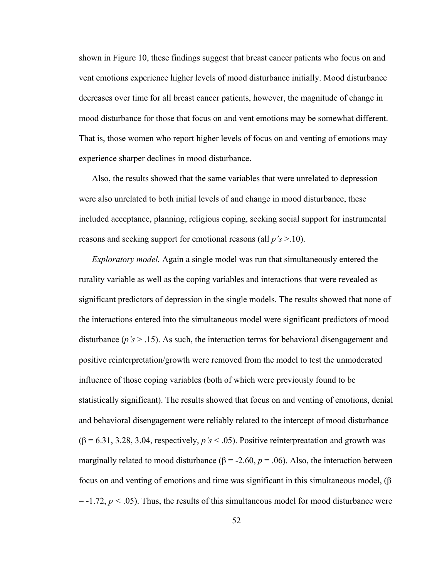shown in Figure 10, these findings suggest that breast cancer patients who focus on and vent emotions experience higher levels of mood disturbance initially. Mood disturbance decreases over time for all breast cancer patients, however, the magnitude of change in mood disturbance for those that focus on and vent emotions may be somewhat different. That is, those women who report higher levels of focus on and venting of emotions may experience sharper declines in mood disturbance.

 Also, the results showed that the same variables that were unrelated to depression were also unrelated to both initial levels of and change in mood disturbance, these included acceptance, planning, religious coping, seeking social support for instrumental reasons and seeking support for emotional reasons (all *p's* >.10).

 *Exploratory model.* Again a single model was run that simultaneously entered the rurality variable as well as the coping variables and interactions that were revealed as significant predictors of depression in the single models. The results showed that none of the interactions entered into the simultaneous model were significant predictors of mood disturbance (*p's* > .15). As such, the interaction terms for behavioral disengagement and positive reinterpretation/growth were removed from the model to test the unmoderated influence of those coping variables (both of which were previously found to be statistically significant). The results showed that focus on and venting of emotions, denial and behavioral disengagement were reliably related to the intercept of mood disturbance  $(\beta = 6.31, 3.28, 3.04,$  respectively,  $p's < .05$ ). Positive reinterpreatation and growth was marginally related to mood disturbance ( $\beta$  = -2.60,  $p$  = .06). Also, the interaction between focus on and venting of emotions and time was significant in this simultaneous model, (β  $=$  -1.72,  $p < .05$ ). Thus, the results of this simultaneous model for mood disturbance were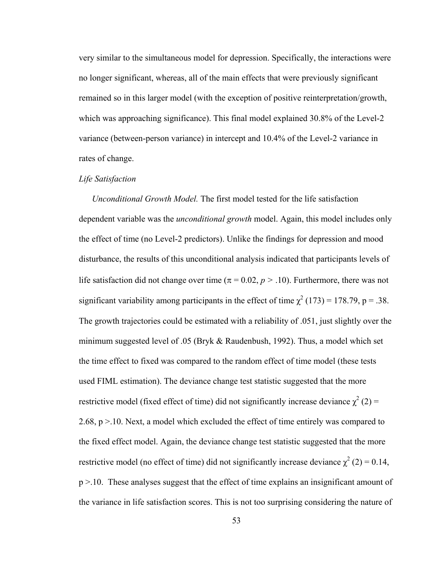very similar to the simultaneous model for depression. Specifically, the interactions were no longer significant, whereas, all of the main effects that were previously significant remained so in this larger model (with the exception of positive reinterpretation/growth, which was approaching significance). This final model explained 30.8% of the Level-2 variance (between-person variance) in intercept and 10.4% of the Level-2 variance in rates of change.

# *Life Satisfaction*

*Unconditional Growth Model.* The first model tested for the life satisfaction dependent variable was the *unconditional growth* model. Again, this model includes only the effect of time (no Level-2 predictors). Unlike the findings for depression and mood disturbance, the results of this unconditional analysis indicated that participants levels of life satisfaction did not change over time ( $\pi$  = 0.02,  $p$  > .10). Furthermore, there was not significant variability among participants in the effect of time  $\chi^2$  (173) = 178.79, p = .38. The growth trajectories could be estimated with a reliability of .051, just slightly over the minimum suggested level of .05 (Bryk & Raudenbush, 1992). Thus, a model which set the time effect to fixed was compared to the random effect of time model (these tests used FIML estimation). The deviance change test statistic suggested that the more restrictive model (fixed effect of time) did not significantly increase deviance  $\chi^2$  (2) = 2.68, p >.10. Next, a model which excluded the effect of time entirely was compared to the fixed effect model. Again, the deviance change test statistic suggested that the more restrictive model (no effect of time) did not significantly increase deviance  $\chi^2$  (2) = 0.14, p >.10. These analyses suggest that the effect of time explains an insignificant amount of the variance in life satisfaction scores. This is not too surprising considering the nature of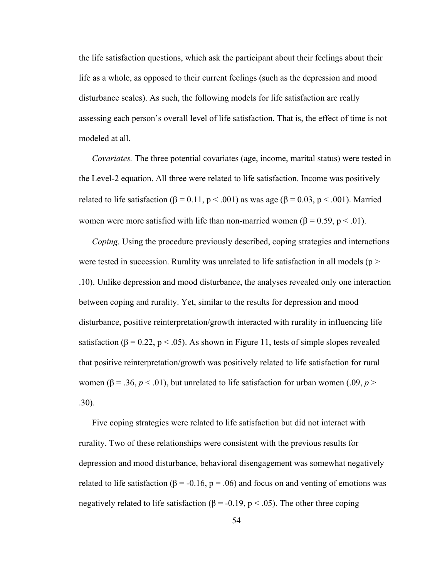the life satisfaction questions, which ask the participant about their feelings about their life as a whole, as opposed to their current feelings (such as the depression and mood disturbance scales). As such, the following models for life satisfaction are really assessing each person's overall level of life satisfaction. That is, the effect of time is not modeled at all.

*Covariates.* The three potential covariates (age, income, marital status) were tested in the Level-2 equation. All three were related to life satisfaction. Income was positively related to life satisfaction (β = 0.11, p < .001) as was age (β = 0.03, p < .001). Married women were more satisfied with life than non-married women ( $\beta = 0.59$ ,  $p < .01$ ).

*Coping.* Using the procedure previously described, coping strategies and interactions were tested in succession. Rurality was unrelated to life satisfaction in all models ( $p >$ .10). Unlike depression and mood disturbance, the analyses revealed only one interaction between coping and rurality. Yet, similar to the results for depression and mood disturbance, positive reinterpretation/growth interacted with rurality in influencing life satisfaction ( $\beta$  = 0.22, p < .05). As shown in Figure 11, tests of simple slopes revealed that positive reinterpretation/growth was positively related to life satisfaction for rural women ( $\beta$  = .36,  $p < 0.01$ ), but unrelated to life satisfaction for urban women (.09,  $p > 0$ .30).

 Five coping strategies were related to life satisfaction but did not interact with rurality. Two of these relationships were consistent with the previous results for depression and mood disturbance, behavioral disengagement was somewhat negatively related to life satisfaction ( $\beta$  = -0.16, p = .06) and focus on and venting of emotions was negatively related to life satisfaction ( $\beta$  = -0.19, p < .05). The other three coping

54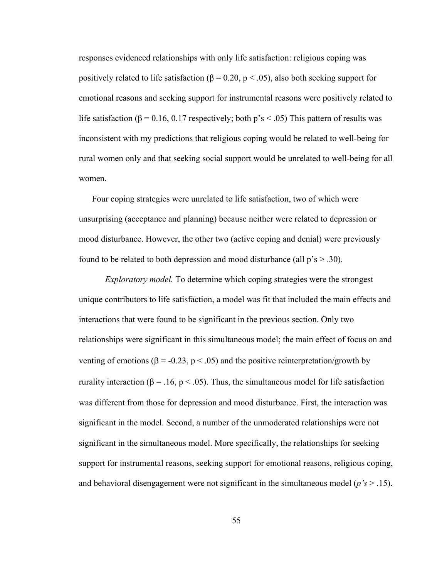responses evidenced relationships with only life satisfaction: religious coping was positively related to life satisfaction ( $\beta$  = 0.20, p < .05), also both seeking support for emotional reasons and seeking support for instrumental reasons were positively related to life satisfaction ( $\beta$  = 0.16, 0.17 respectively; both p's < .05) This pattern of results was inconsistent with my predictions that religious coping would be related to well-being for rural women only and that seeking social support would be unrelated to well-being for all women.

 Four coping strategies were unrelated to life satisfaction, two of which were unsurprising (acceptance and planning) because neither were related to depression or mood disturbance. However, the other two (active coping and denial) were previously found to be related to both depression and mood disturbance (all  $p's > .30$ ).

*Exploratory model.* To determine which coping strategies were the strongest unique contributors to life satisfaction, a model was fit that included the main effects and interactions that were found to be significant in the previous section. Only two relationships were significant in this simultaneous model; the main effect of focus on and venting of emotions (β = -0.23, p < .05) and the positive reinterpretation/growth by rurality interaction (β = .16, p < .05). Thus, the simultaneous model for life satisfaction was different from those for depression and mood disturbance. First, the interaction was significant in the model. Second, a number of the unmoderated relationships were not significant in the simultaneous model. More specifically, the relationships for seeking support for instrumental reasons, seeking support for emotional reasons, religious coping, and behavioral disengagement were not significant in the simultaneous model (*p's* > .15).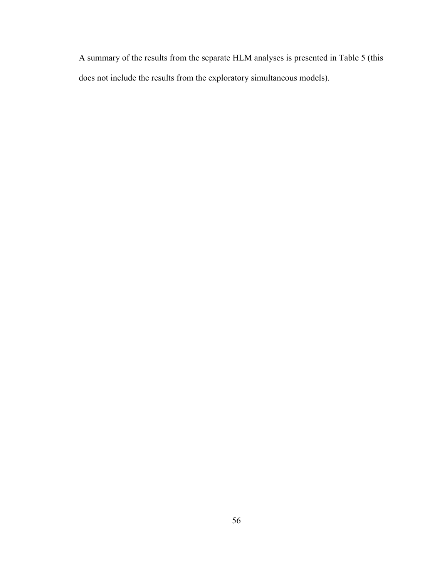A summary of the results from the separate HLM analyses is presented in Table 5 (this does not include the results from the exploratory simultaneous models).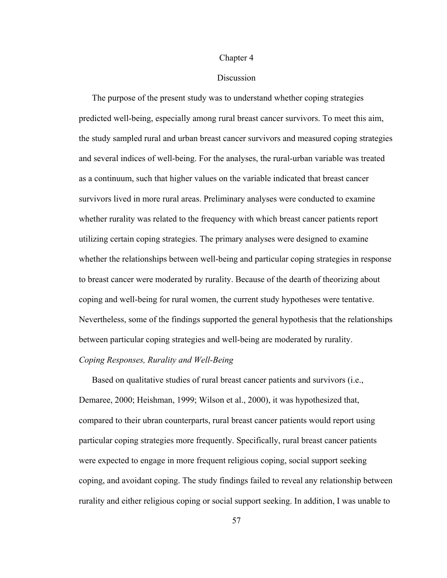### Chapter 4

# **Discussion**

The purpose of the present study was to understand whether coping strategies predicted well-being, especially among rural breast cancer survivors. To meet this aim, the study sampled rural and urban breast cancer survivors and measured coping strategies and several indices of well-being. For the analyses, the rural-urban variable was treated as a continuum, such that higher values on the variable indicated that breast cancer survivors lived in more rural areas. Preliminary analyses were conducted to examine whether rurality was related to the frequency with which breast cancer patients report utilizing certain coping strategies. The primary analyses were designed to examine whether the relationships between well-being and particular coping strategies in response to breast cancer were moderated by rurality. Because of the dearth of theorizing about coping and well-being for rural women, the current study hypotheses were tentative. Nevertheless, some of the findings supported the general hypothesis that the relationships between particular coping strategies and well-being are moderated by rurality.

# *Coping Responses, Rurality and Well-Being*

Based on qualitative studies of rural breast cancer patients and survivors (i.e., Demaree, 2000; Heishman, 1999; Wilson et al., 2000), it was hypothesized that, compared to their ubran counterparts, rural breast cancer patients would report using particular coping strategies more frequently. Specifically, rural breast cancer patients were expected to engage in more frequent religious coping, social support seeking coping, and avoidant coping. The study findings failed to reveal any relationship between rurality and either religious coping or social support seeking. In addition, I was unable to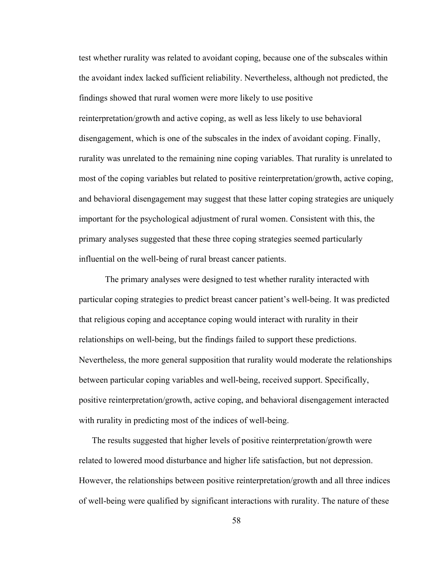test whether rurality was related to avoidant coping, because one of the subscales within the avoidant index lacked sufficient reliability. Nevertheless, although not predicted, the findings showed that rural women were more likely to use positive reinterpretation/growth and active coping, as well as less likely to use behavioral disengagement, which is one of the subscales in the index of avoidant coping. Finally, rurality was unrelated to the remaining nine coping variables. That rurality is unrelated to most of the coping variables but related to positive reinterpretation/growth, active coping, and behavioral disengagement may suggest that these latter coping strategies are uniquely important for the psychological adjustment of rural women. Consistent with this, the primary analyses suggested that these three coping strategies seemed particularly influential on the well-being of rural breast cancer patients.

The primary analyses were designed to test whether rurality interacted with particular coping strategies to predict breast cancer patient's well-being. It was predicted that religious coping and acceptance coping would interact with rurality in their relationships on well-being, but the findings failed to support these predictions. Nevertheless, the more general supposition that rurality would moderate the relationships between particular coping variables and well-being, received support. Specifically, positive reinterpretation/growth, active coping, and behavioral disengagement interacted with rurality in predicting most of the indices of well-being.

 The results suggested that higher levels of positive reinterpretation/growth were related to lowered mood disturbance and higher life satisfaction, but not depression. However, the relationships between positive reinterpretation/growth and all three indices of well-being were qualified by significant interactions with rurality. The nature of these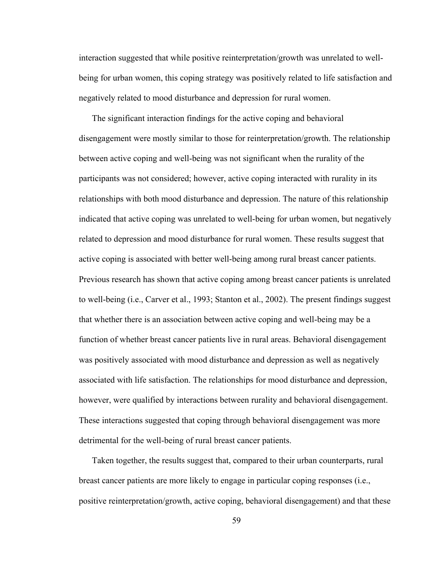interaction suggested that while positive reinterpretation/growth was unrelated to wellbeing for urban women, this coping strategy was positively related to life satisfaction and negatively related to mood disturbance and depression for rural women.

 The significant interaction findings for the active coping and behavioral disengagement were mostly similar to those for reinterpretation/growth. The relationship between active coping and well-being was not significant when the rurality of the participants was not considered; however, active coping interacted with rurality in its relationships with both mood disturbance and depression. The nature of this relationship indicated that active coping was unrelated to well-being for urban women, but negatively related to depression and mood disturbance for rural women. These results suggest that active coping is associated with better well-being among rural breast cancer patients. Previous research has shown that active coping among breast cancer patients is unrelated to well-being (i.e., Carver et al., 1993; Stanton et al., 2002). The present findings suggest that whether there is an association between active coping and well-being may be a function of whether breast cancer patients live in rural areas. Behavioral disengagement was positively associated with mood disturbance and depression as well as negatively associated with life satisfaction. The relationships for mood disturbance and depression, however, were qualified by interactions between rurality and behavioral disengagement. These interactions suggested that coping through behavioral disengagement was more detrimental for the well-being of rural breast cancer patients.

 Taken together, the results suggest that, compared to their urban counterparts, rural breast cancer patients are more likely to engage in particular coping responses (i.e., positive reinterpretation/growth, active coping, behavioral disengagement) and that these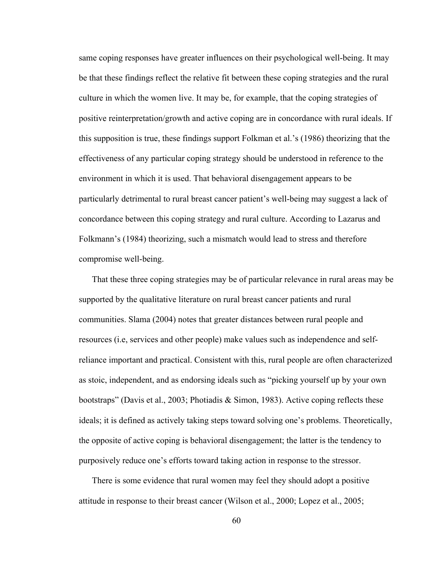same coping responses have greater influences on their psychological well-being. It may be that these findings reflect the relative fit between these coping strategies and the rural culture in which the women live. It may be, for example, that the coping strategies of positive reinterpretation/growth and active coping are in concordance with rural ideals. If this supposition is true, these findings support Folkman et al.'s (1986) theorizing that the effectiveness of any particular coping strategy should be understood in reference to the environment in which it is used. That behavioral disengagement appears to be particularly detrimental to rural breast cancer patient's well-being may suggest a lack of concordance between this coping strategy and rural culture. According to Lazarus and Folkmann's (1984) theorizing, such a mismatch would lead to stress and therefore compromise well-being.

 That these three coping strategies may be of particular relevance in rural areas may be supported by the qualitative literature on rural breast cancer patients and rural communities. Slama (2004) notes that greater distances between rural people and resources (i.e, services and other people) make values such as independence and selfreliance important and practical. Consistent with this, rural people are often characterized as stoic, independent, and as endorsing ideals such as "picking yourself up by your own bootstraps" (Davis et al., 2003; Photiadis & Simon, 1983). Active coping reflects these ideals; it is defined as actively taking steps toward solving one's problems. Theoretically, the opposite of active coping is behavioral disengagement; the latter is the tendency to purposively reduce one's efforts toward taking action in response to the stressor.

 There is some evidence that rural women may feel they should adopt a positive attitude in response to their breast cancer (Wilson et al., 2000; Lopez et al., 2005;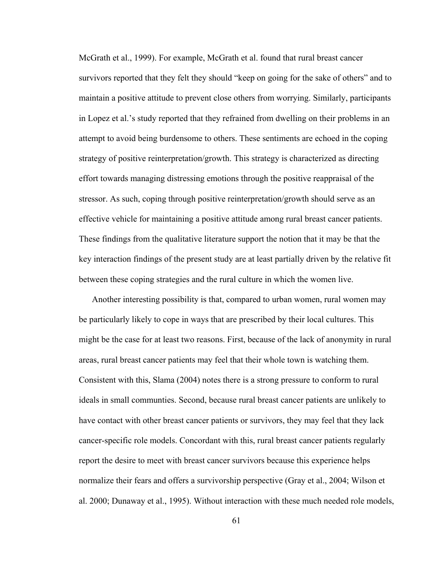McGrath et al., 1999). For example, McGrath et al. found that rural breast cancer survivors reported that they felt they should "keep on going for the sake of others" and to maintain a positive attitude to prevent close others from worrying. Similarly, participants in Lopez et al.'s study reported that they refrained from dwelling on their problems in an attempt to avoid being burdensome to others. These sentiments are echoed in the coping strategy of positive reinterpretation/growth. This strategy is characterized as directing effort towards managing distressing emotions through the positive reappraisal of the stressor. As such, coping through positive reinterpretation/growth should serve as an effective vehicle for maintaining a positive attitude among rural breast cancer patients. These findings from the qualitative literature support the notion that it may be that the key interaction findings of the present study are at least partially driven by the relative fit between these coping strategies and the rural culture in which the women live.

 Another interesting possibility is that, compared to urban women, rural women may be particularly likely to cope in ways that are prescribed by their local cultures. This might be the case for at least two reasons. First, because of the lack of anonymity in rural areas, rural breast cancer patients may feel that their whole town is watching them. Consistent with this, Slama (2004) notes there is a strong pressure to conform to rural ideals in small communties. Second, because rural breast cancer patients are unlikely to have contact with other breast cancer patients or survivors, they may feel that they lack cancer-specific role models. Concordant with this, rural breast cancer patients regularly report the desire to meet with breast cancer survivors because this experience helps normalize their fears and offers a survivorship perspective (Gray et al., 2004; Wilson et al. 2000; Dunaway et al., 1995). Without interaction with these much needed role models,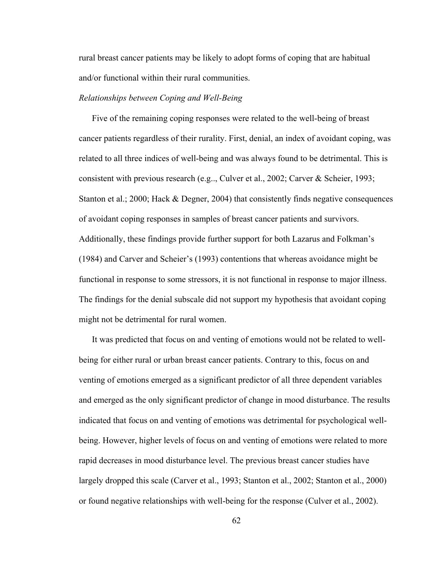rural breast cancer patients may be likely to adopt forms of coping that are habitual and/or functional within their rural communities.

# *Relationships between Coping and Well-Being*

 Five of the remaining coping responses were related to the well-being of breast cancer patients regardless of their rurality. First, denial, an index of avoidant coping, was related to all three indices of well-being and was always found to be detrimental. This is consistent with previous research (e.g.., Culver et al., 2002; Carver & Scheier, 1993; Stanton et al.; 2000; Hack & Degner, 2004) that consistently finds negative consequences of avoidant coping responses in samples of breast cancer patients and survivors. Additionally, these findings provide further support for both Lazarus and Folkman's (1984) and Carver and Scheier's (1993) contentions that whereas avoidance might be functional in response to some stressors, it is not functional in response to major illness. The findings for the denial subscale did not support my hypothesis that avoidant coping might not be detrimental for rural women.

 It was predicted that focus on and venting of emotions would not be related to wellbeing for either rural or urban breast cancer patients. Contrary to this, focus on and venting of emotions emerged as a significant predictor of all three dependent variables and emerged as the only significant predictor of change in mood disturbance. The results indicated that focus on and venting of emotions was detrimental for psychological wellbeing. However, higher levels of focus on and venting of emotions were related to more rapid decreases in mood disturbance level. The previous breast cancer studies have largely dropped this scale (Carver et al., 1993; Stanton et al., 2002; Stanton et al., 2000) or found negative relationships with well-being for the response (Culver et al., 2002).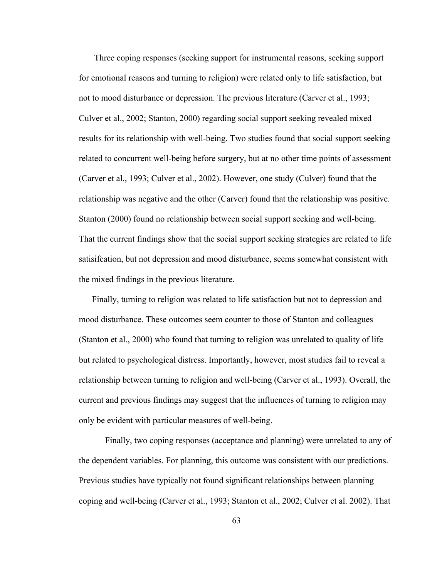Three coping responses (seeking support for instrumental reasons, seeking support for emotional reasons and turning to religion) were related only to life satisfaction, but not to mood disturbance or depression. The previous literature (Carver et al., 1993; Culver et al., 2002; Stanton, 2000) regarding social support seeking revealed mixed results for its relationship with well-being. Two studies found that social support seeking related to concurrent well-being before surgery, but at no other time points of assessment (Carver et al., 1993; Culver et al., 2002). However, one study (Culver) found that the relationship was negative and the other (Carver) found that the relationship was positive. Stanton (2000) found no relationship between social support seeking and well-being. That the current findings show that the social support seeking strategies are related to life satisifcation, but not depression and mood disturbance, seems somewhat consistent with the mixed findings in the previous literature.

 Finally, turning to religion was related to life satisfaction but not to depression and mood disturbance. These outcomes seem counter to those of Stanton and colleagues (Stanton et al., 2000) who found that turning to religion was unrelated to quality of life but related to psychological distress. Importantly, however, most studies fail to reveal a relationship between turning to religion and well-being (Carver et al., 1993). Overall, the current and previous findings may suggest that the influences of turning to religion may only be evident with particular measures of well-being.

 Finally, two coping responses (acceptance and planning) were unrelated to any of the dependent variables. For planning, this outcome was consistent with our predictions. Previous studies have typically not found significant relationships between planning coping and well-being (Carver et al., 1993; Stanton et al., 2002; Culver et al. 2002). That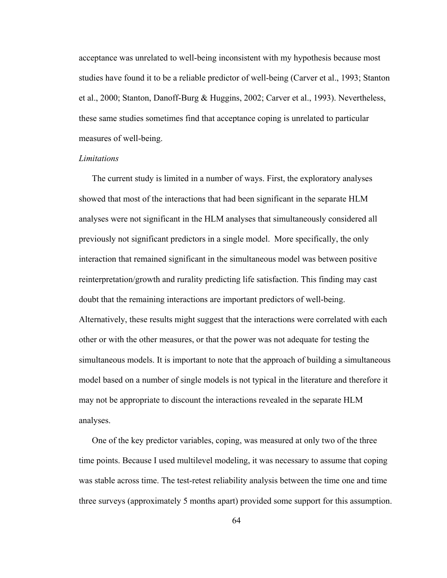acceptance was unrelated to well-being inconsistent with my hypothesis because most studies have found it to be a reliable predictor of well-being (Carver et al., 1993; Stanton et al., 2000; Stanton, Danoff-Burg & Huggins, 2002; Carver et al., 1993). Nevertheless, these same studies sometimes find that acceptance coping is unrelated to particular measures of well-being.

### *Limitations*

The current study is limited in a number of ways. First, the exploratory analyses showed that most of the interactions that had been significant in the separate HLM analyses were not significant in the HLM analyses that simultaneously considered all previously not significant predictors in a single model. More specifically, the only interaction that remained significant in the simultaneous model was between positive reinterpretation/growth and rurality predicting life satisfaction. This finding may cast doubt that the remaining interactions are important predictors of well-being. Alternatively, these results might suggest that the interactions were correlated with each other or with the other measures, or that the power was not adequate for testing the simultaneous models. It is important to note that the approach of building a simultaneous model based on a number of single models is not typical in the literature and therefore it may not be appropriate to discount the interactions revealed in the separate HLM analyses.

 One of the key predictor variables, coping, was measured at only two of the three time points. Because I used multilevel modeling, it was necessary to assume that coping was stable across time. The test-retest reliability analysis between the time one and time three surveys (approximately 5 months apart) provided some support for this assumption.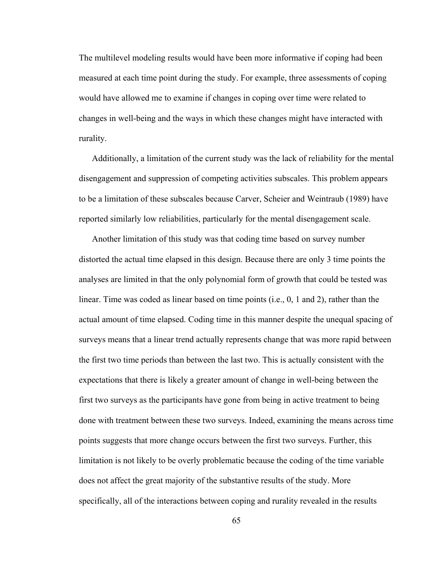The multilevel modeling results would have been more informative if coping had been measured at each time point during the study. For example, three assessments of coping would have allowed me to examine if changes in coping over time were related to changes in well-being and the ways in which these changes might have interacted with rurality.

 Additionally, a limitation of the current study was the lack of reliability for the mental disengagement and suppression of competing activities subscales. This problem appears to be a limitation of these subscales because Carver, Scheier and Weintraub (1989) have reported similarly low reliabilities, particularly for the mental disengagement scale.

 Another limitation of this study was that coding time based on survey number distorted the actual time elapsed in this design. Because there are only 3 time points the analyses are limited in that the only polynomial form of growth that could be tested was linear. Time was coded as linear based on time points (i.e., 0, 1 and 2), rather than the actual amount of time elapsed. Coding time in this manner despite the unequal spacing of surveys means that a linear trend actually represents change that was more rapid between the first two time periods than between the last two. This is actually consistent with the expectations that there is likely a greater amount of change in well-being between the first two surveys as the participants have gone from being in active treatment to being done with treatment between these two surveys. Indeed, examining the means across time points suggests that more change occurs between the first two surveys. Further, this limitation is not likely to be overly problematic because the coding of the time variable does not affect the great majority of the substantive results of the study. More specifically, all of the interactions between coping and rurality revealed in the results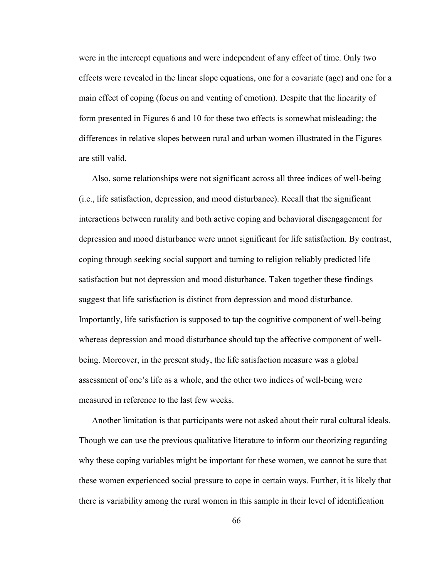were in the intercept equations and were independent of any effect of time. Only two effects were revealed in the linear slope equations, one for a covariate (age) and one for a main effect of coping (focus on and venting of emotion). Despite that the linearity of form presented in Figures 6 and 10 for these two effects is somewhat misleading; the differences in relative slopes between rural and urban women illustrated in the Figures are still valid.

 Also, some relationships were not significant across all three indices of well-being (i.e., life satisfaction, depression, and mood disturbance). Recall that the significant interactions between rurality and both active coping and behavioral disengagement for depression and mood disturbance were unnot significant for life satisfaction. By contrast, coping through seeking social support and turning to religion reliably predicted life satisfaction but not depression and mood disturbance. Taken together these findings suggest that life satisfaction is distinct from depression and mood disturbance. Importantly, life satisfaction is supposed to tap the cognitive component of well-being whereas depression and mood disturbance should tap the affective component of wellbeing. Moreover, in the present study, the life satisfaction measure was a global assessment of one's life as a whole, and the other two indices of well-being were measured in reference to the last few weeks.

 Another limitation is that participants were not asked about their rural cultural ideals. Though we can use the previous qualitative literature to inform our theorizing regarding why these coping variables might be important for these women, we cannot be sure that these women experienced social pressure to cope in certain ways. Further, it is likely that there is variability among the rural women in this sample in their level of identification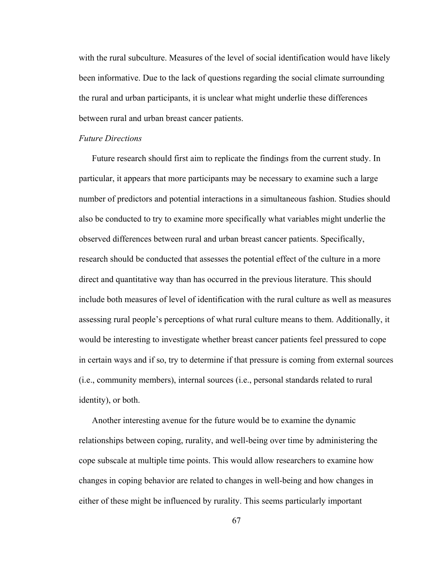with the rural subculture. Measures of the level of social identification would have likely been informative. Due to the lack of questions regarding the social climate surrounding the rural and urban participants, it is unclear what might underlie these differences between rural and urban breast cancer patients.

#### *Future Directions*

Future research should first aim to replicate the findings from the current study. In particular, it appears that more participants may be necessary to examine such a large number of predictors and potential interactions in a simultaneous fashion. Studies should also be conducted to try to examine more specifically what variables might underlie the observed differences between rural and urban breast cancer patients. Specifically, research should be conducted that assesses the potential effect of the culture in a more direct and quantitative way than has occurred in the previous literature. This should include both measures of level of identification with the rural culture as well as measures assessing rural people's perceptions of what rural culture means to them. Additionally, it would be interesting to investigate whether breast cancer patients feel pressured to cope in certain ways and if so, try to determine if that pressure is coming from external sources (i.e., community members), internal sources (i.e., personal standards related to rural identity), or both.

 Another interesting avenue for the future would be to examine the dynamic relationships between coping, rurality, and well-being over time by administering the cope subscale at multiple time points. This would allow researchers to examine how changes in coping behavior are related to changes in well-being and how changes in either of these might be influenced by rurality. This seems particularly important

67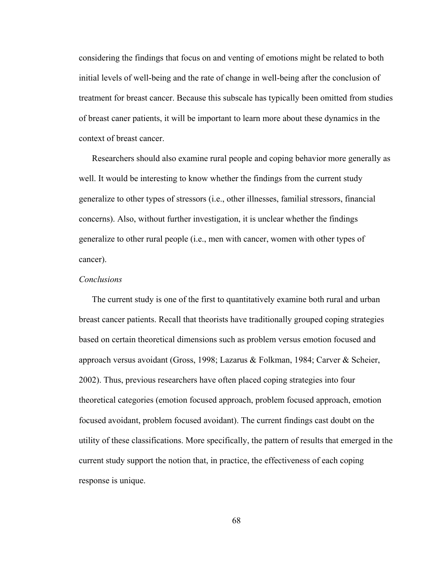considering the findings that focus on and venting of emotions might be related to both initial levels of well-being and the rate of change in well-being after the conclusion of treatment for breast cancer. Because this subscale has typically been omitted from studies of breast caner patients, it will be important to learn more about these dynamics in the context of breast cancer.

 Researchers should also examine rural people and coping behavior more generally as well. It would be interesting to know whether the findings from the current study generalize to other types of stressors (i.e., other illnesses, familial stressors, financial concerns). Also, without further investigation, it is unclear whether the findings generalize to other rural people (i.e., men with cancer, women with other types of cancer).

#### *Conclusions*

The current study is one of the first to quantitatively examine both rural and urban breast cancer patients. Recall that theorists have traditionally grouped coping strategies based on certain theoretical dimensions such as problem versus emotion focused and approach versus avoidant (Gross, 1998; Lazarus & Folkman, 1984; Carver & Scheier, 2002). Thus, previous researchers have often placed coping strategies into four theoretical categories (emotion focused approach, problem focused approach, emotion focused avoidant, problem focused avoidant). The current findings cast doubt on the utility of these classifications. More specifically, the pattern of results that emerged in the current study support the notion that, in practice, the effectiveness of each coping response is unique.

68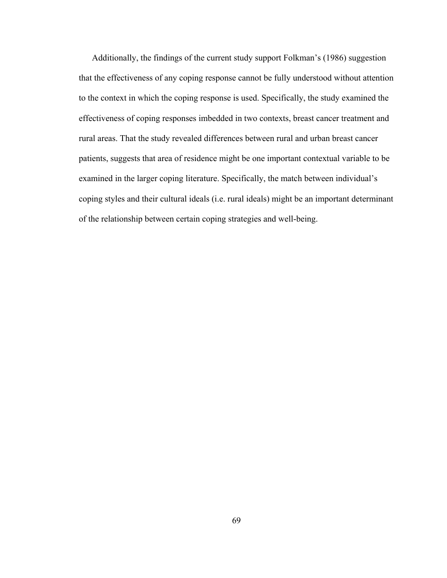Additionally, the findings of the current study support Folkman's (1986) suggestion that the effectiveness of any coping response cannot be fully understood without attention to the context in which the coping response is used. Specifically, the study examined the effectiveness of coping responses imbedded in two contexts, breast cancer treatment and rural areas. That the study revealed differences between rural and urban breast cancer patients, suggests that area of residence might be one important contextual variable to be examined in the larger coping literature. Specifically, the match between individual's coping styles and their cultural ideals (i.e. rural ideals) might be an important determinant of the relationship between certain coping strategies and well-being.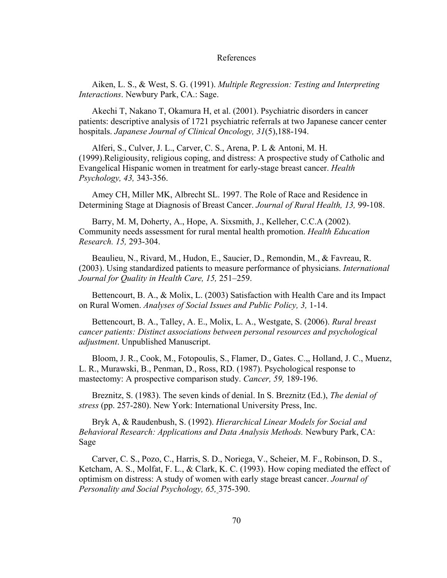#### References

Aiken, L. S., & West, S. G. (1991). *Multiple Regression: Testing and Interpreting Interactions*. Newbury Park, CA.: Sage.

Akechi T, Nakano T, Okamura H, et al. (2001). Psychiatric disorders in cancer patients: descriptive analysis of 1721 psychiatric referrals at two Japanese cancer center hospitals. *Japanese Journal of Clinical Oncology, 31*(5),188-194.

Alferi, S., Culver, J. L., Carver, C. S., Arena, P. L & Antoni, M. H. (1999).Religiousity, religious coping, and distress: A prospective study of Catholic and Evangelical Hispanic women in treatment for early-stage breast cancer. *Health Psychology, 43,* 343-356.

Amey CH, Miller MK, Albrecht SL. 1997. The Role of Race and Residence in Determining Stage at Diagnosis of Breast Cancer. *Journal of Rural Health, 13,* 99-108.

Barry, M. M, Doherty, A., Hope, A. Sixsmith, J., Kelleher, C.C.A (2002). Community needs assessment for rural mental health promotion. *Health Education Research. 15,* 293-304.

Beaulieu, N., Rivard, M., Hudon, E., Saucier, D., Remondin, M., & Favreau, R. (2003). Using standardized patients to measure performance of physicians. *International Journal for Quality in Health Care, 15,* 251–259.

Bettencourt, B. A., & Molix, L. (2003) Satisfaction with Health Care and its Impact on Rural Women. *Analyses of Social Issues and Public Policy, 3,* 1-14.

Bettencourt, B. A., Talley, A. E., Molix, L. A., Westgate, S. (2006). *Rural breast cancer patients: Distinct associations between personal resources and psychological adjustment*. Unpublished Manuscript.

Bloom, J. R., Cook, M., Fotopoulis, S., Flamer, D., Gates. C.,, Holland, J. C., Muenz, L. R., Murawski, B., Penman, D., Ross, RD. (1987). Psychological response to mastectomy: A prospective comparison study. *Cancer, 59,* 189-196.

Breznitz, S. (1983). The seven kinds of denial. In S. Breznitz (Ed.), *The denial of stress* (pp. 257-280). New York: International University Press, Inc.

Bryk A, & Raudenbush, S. (1992). *Hierarchical Linear Models for Social and Behavioral Research: Applications and Data Analysis Methods.* Newbury Park, CA: Sage

Carver, C. S., Pozo, C., Harris, S. D., Noriega, V., Scheier, M. F., Robinson, D. S., Ketcham, A. S., Molfat, F. L., & Clark, K. C. (1993). How coping mediated the effect of optimism on distress: A study of women with early stage breast cancer. *Journal of Personality and Social Psychology, 65,* 375-390.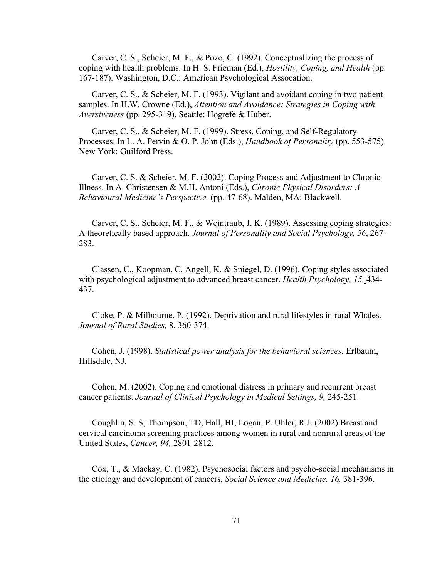Carver, C. S., Scheier, M. F., & Pozo, C. (1992). Conceptualizing the process of coping with health problems. In H. S. Frieman (Ed.), *Hostility, Coping, and Health* (pp. 167-187). Washington, D.C.: American Psychological Assocation.

 Carver, C. S., & Scheier, M. F. (1993). Vigilant and avoidant coping in two patient samples. In H.W. Crowne (Ed.), *Attention and Avoidance: Strategies in Coping with Aversiveness* (pp. 295-319). Seattle: Hogrefe & Huber.

 Carver, C. S., & Scheier, M. F. (1999). Stress, Coping, and Self-Regulatory Processes. In L. A. Pervin & O. P. John (Eds.), *Handbook of Personality* (pp. 553-575). New York: Guilford Press.

 Carver, C. S. & Scheier, M. F. (2002). Coping Process and Adjustment to Chronic Illness. In A. Christensen & M.H. Antoni (Eds.), *Chronic Physical Disorders: A Behavioural Medicine's Perspective.* (pp. 47-68). Malden, MA: Blackwell.

 Carver, C. S., Scheier, M. F., & Weintraub, J. K. (1989). Assessing coping strategies: A theoretically based approach. *Journal of Personality and Social Psychology, 56*, 267- 283.

 Classen, C., Koopman, C. Angell, K. & Spiegel, D. (1996). Coping styles associated with psychological adjustment to advanced breast cancer. *Health Psychology, 15,* 434- 437.

 Cloke, P. & Milbourne, P. (1992). Deprivation and rural lifestyles in rural Whales. *Journal of Rural Studies,* 8, 360-374.

 Cohen, J. (1998). *Statistical power analysis for the behavioral sciences.* Erlbaum, Hillsdale, NJ.

 Cohen, M. (2002). Coping and emotional distress in primary and recurrent breast cancer patients. *Journal of Clinical Psychology in Medical Settings, 9,* 245-251.

 Coughlin, S. S, Thompson, TD, Hall, HI, Logan, P. Uhler, R.J. (2002) Breast and cervical carcinoma screening practices among women in rural and nonrural areas of the United States, *Cancer, 94,* 2801-2812.

 Cox, T., & Mackay, C. (1982). Psychosocial factors and psycho-social mechanisms in the etiology and development of cancers. *Social Science and Medicine, 16,* 381-396.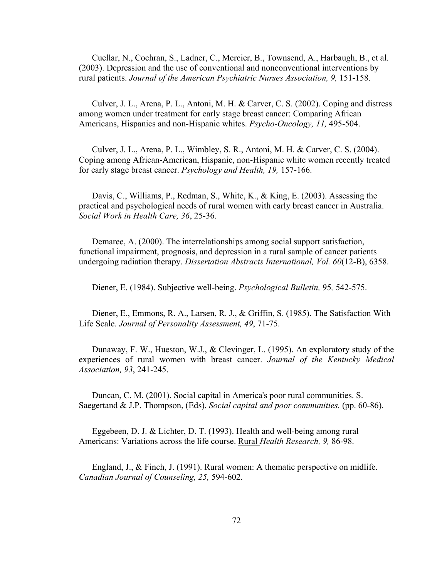Cuellar, N., Cochran, S., Ladner, C., Mercier, B., Townsend, A., Harbaugh, B., et al. (2003). Depression and the use of conventional and nonconventional interventions by rural patients. *Journal of the American Psychiatric Nurses Association, 9,* 151-158.

 Culver, J. L., Arena, P. L., Antoni, M. H. & Carver, C. S. (2002). Coping and distress among women under treatment for early stage breast cancer: Comparing African Americans, Hispanics and non-Hispanic whites. *Psycho-Oncology, 11,* 495-504.

 Culver, J. L., Arena, P. L., Wimbley, S. R., Antoni, M. H. & Carver, C. S. (2004). Coping among African-American, Hispanic, non-Hispanic white women recently treated for early stage breast cancer. *Psychology and Health, 19,* 157-166.

 Davis, C., Williams, P., Redman, S., White, K., & King, E. (2003). Assessing the practical and psychological needs of rural women with early breast cancer in Australia. *Social Work in Health Care, 36*, 25-36.

 Demaree, A. (2000). The interrelationships among social support satisfaction, functional impairment, prognosis, and depression in a rural sample of cancer patients undergoing radiation therapy. *Dissertation Abstracts International, Vol. 60*(12-B), 6358.

Diener, E. (1984). Subjective well-being. *Psychological Bulletin,* 95*,* 542-575.

 Diener, E., Emmons, R. A., Larsen, R. J., & Griffin, S. (1985). The Satisfaction With Life Scale. *Journal of Personality Assessment, 49*, 71-75.

Dunaway, F. W., Hueston, W.J., & Clevinger, L. (1995). An exploratory study of the experiences of rural women with breast cancer. *Journal of the Kentucky Medical Association, 93*, 241-245.

 Duncan, C. M. (2001). Social capital in America's poor rural communities. S. Saegertand & J.P. Thompson, (Eds). *Social capital and poor communities.* (pp. 60-86).

 Eggebeen, D. J. & Lichter, D. T. (1993). Health and well-being among rural Americans: Variations across the life course. Rural *Health Research, 9,* 86-98.

 England, J., & Finch, J. (1991). Rural women: A thematic perspective on midlife. *Canadian Journal of Counseling, 25,* 594-602.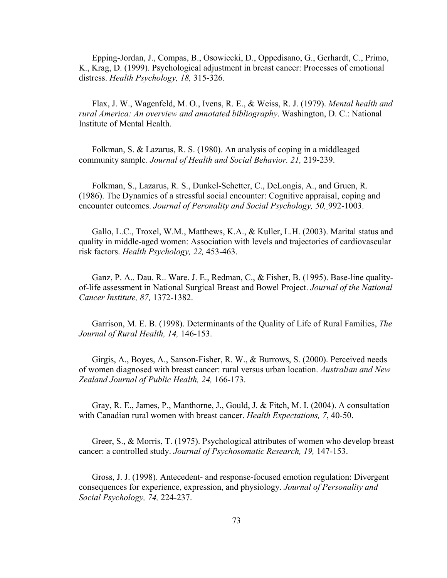Epping-Jordan, J., Compas, B., Osowiecki, D., Oppedisano, G., Gerhardt, C., Primo, K., Krag, D. (1999). Psychological adjustment in breast cancer: Processes of emotional distress. *Health Psychology, 18,* 315-326.

 Flax, J. W., Wagenfeld, M. O., Ivens, R. E., & Weiss, R. J. (1979). *Mental health and rural America: An overview and annotated bibliography*. Washington, D. C.: National Institute of Mental Health.

 Folkman, S. & Lazarus, R. S. (1980). An analysis of coping in a middleaged community sample. *Journal of Health and Social Behavior. 21,* 219-239.

 Folkman, S., Lazarus, R. S., Dunkel-Schetter, C., DeLongis, A., and Gruen, R. (1986). The Dynamics of a stressful social encounter: Cognitive appraisal, coping and encounter outcomes. *Journal of Peronality and Social Psychology, 50,* 992-1003.

 Gallo, L.C., Troxel, W.M., Matthews, K.A., & Kuller, L.H. (2003). Marital status and quality in middle-aged women: Association with levels and trajectories of cardiovascular risk factors. *Health Psychology, 22,* 453-463.

 Ganz, P. A.. Dau. R.. Ware. J. E., Redman, C., & Fisher, B. (1995). Base-line qualityof-life assessment in National Surgical Breast and Bowel Project. *Journal of the National Cancer Institute, 87,* 1372-1382.

 Garrison, M. E. B. (1998). Determinants of the Quality of Life of Rural Families, *The Journal of Rural Health, 14,* 146-153.

 Girgis, A., Boyes, A., Sanson-Fisher, R. W., & Burrows, S. (2000). Perceived needs of women diagnosed with breast cancer: rural versus urban location. *Australian and New Zealand Journal of Public Health, 24,* 166-173.

 Gray, R. E., James, P., Manthorne, J., Gould, J. & Fitch, M. I. (2004). A consultation with Canadian rural women with breast cancer. *Health Expectations, 7*, 40-50.

 Greer, S., & Morris, T. (1975). Psychological attributes of women who develop breast cancer: a controlled study. *Journal of Psychosomatic Research, 19,* 147-153.

 Gross, J. J. (1998). Antecedent- and response-focused emotion regulation: Divergent consequences for experience, expression, and physiology. *Journal of Personality and Social Psychology, 74,* 224-237.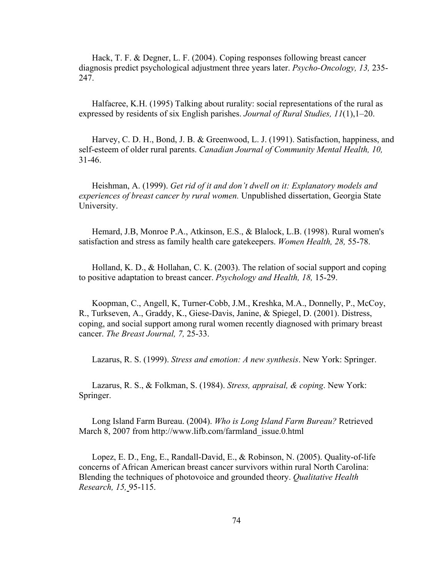Hack, T. F. & Degner, L. F. (2004). Coping responses following breast cancer diagnosis predict psychological adjustment three years later. *Psycho-Oncology, 13,* 235- 247.

Halfacree, K.H. (1995) Talking about rurality: social representations of the rural as expressed by residents of six English parishes. *Journal of Rural Studies, 11*(1),1–20.

 Harvey, C. D. H., Bond, J. B. & Greenwood, L. J. (1991). Satisfaction, happiness, and self-esteem of older rural parents. *Canadian Journal of Community Mental Health, 10,* 31-46.

Heishman, A. (1999). *Get rid of it and don't dwell on it: Explanatory models and experiences of breast cancer by rural women.* Unpublished dissertation, Georgia State University.

 Hemard, J.B, Monroe P.A., Atkinson, E.S., & Blalock, L.B. (1998). Rural women's satisfaction and stress as family health care gatekeepers. *Women Health, 28,* 55-78.

 Holland, K. D., & Hollahan, C. K. (2003). The relation of social support and coping to positive adaptation to breast cancer. *Psychology and Health, 18,* 15-29.

 Koopman, C., Angell, K, Turner-Cobb, J.M., Kreshka, M.A., Donnelly, P., McCoy, R., Turkseven, A., Graddy, K., Giese-Davis, Janine, & Spiegel, D. (2001). Distress, coping, and social support among rural women recently diagnosed with primary breast cancer. *The Breast Journal, 7,* 25-33.

Lazarus, R. S. (1999). *Stress and emotion: A new synthesis*. New York: Springer.

 Lazarus, R. S., & Folkman, S. (1984). *Stress, appraisal, & coping*. New York: Springer.

 Long Island Farm Bureau. (2004). *Who is Long Island Farm Bureau?* Retrieved March 8, 2007 from http://www.lifb.com/farmland\_issue.0.html

 Lopez, E. D., Eng, E., Randall-David, E., & Robinson, N. (2005). Quality-of-life concerns of African American breast cancer survivors within rural North Carolina: Blending the techniques of photovoice and grounded theory. *Qualitative Health Research, 15,* 95-115.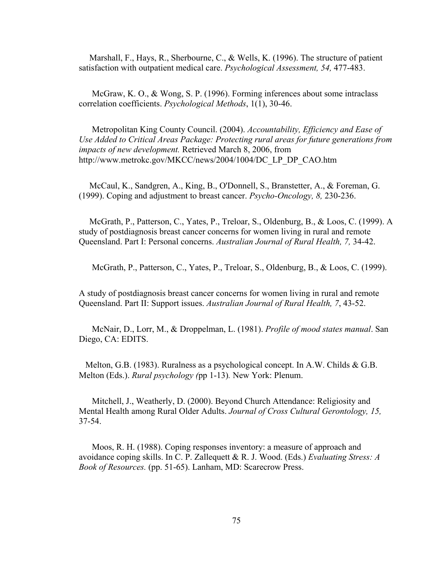Marshall, F., Hays, R., Sherbourne, C., & Wells, K. (1996). The structure of patient satisfaction with outpatient medical care. *Psychological Assessment, 54,* 477-483.

McGraw, K. O., & Wong, S. P. (1996). Forming inferences about some intraclass correlation coefficients. *Psychological Methods*, 1(1), 30-46.

 Metropolitan King County Council. (2004). *Accountability, Efficiency and Ease of Use Added to Critical Areas Package: Protecting rural areas for future generations from impacts of new development.* Retrieved March 8, 2006, from http://www.metrokc.gov/MKCC/news/2004/1004/DC\_LP\_DP\_CAO.htm

McCaul, K., Sandgren, A., King, B., O'Donnell, S., Branstetter, A., & Foreman, G. (1999). Coping and adjustment to breast cancer. *Psycho-Oncology, 8,* 230-236.

McGrath, P., Patterson, C., Yates, P., Treloar, S., Oldenburg, B., & Loos, C. (1999). A study of postdiagnosis breast cancer concerns for women living in rural and remote Queensland. Part I: Personal concerns. *Australian Journal of Rural Health, 7,* 34-42.

McGrath, P., Patterson, C., Yates, P., Treloar, S., Oldenburg, B., & Loos, C. (1999).

A study of postdiagnosis breast cancer concerns for women living in rural and remote Queensland. Part II: Support issues. *Australian Journal of Rural Health, 7*, 43-52.

 McNair, D., Lorr, M., & Droppelman, L. (1981). *Profile of mood states manual*. San Diego, CA: EDITS.

 Melton, G.B. (1983). Ruralness as a psychological concept. In A.W. Childs & G.B. Melton (Eds.). *Rural psychology (*pp 1-13)*.* New York: Plenum.

Mitchell, J., Weatherly, D. (2000). Beyond Church Attendance: Religiosity and Mental Health among Rural Older Adults. *Journal of Cross Cultural Gerontology, 15,* 37-54.

 Moos, R. H. (1988). Coping responses inventory: a measure of approach and avoidance coping skills. In C. P. Zallequett & R. J. Wood. (Eds.) *Evaluating Stress: A Book of Resources.* (pp. 51-65). Lanham, MD: Scarecrow Press.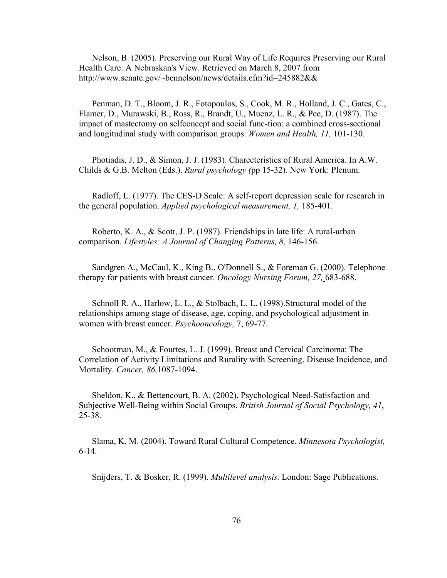Nelson, B. (2005). Preserving our Rural Way of Life Requires Preserving our Rural Health Care: A Nebraskan's View. Retrieved on March 8, 2007 from http://www.senate.gov/~bennelson/news/details.cfm?id=245882&&

 Penman, D. T., Bloom, J. R., Fotopoulos, S., Cook, M. R., Holland, J. C., Gates, C., Flamer, D., Murawski, B., Ross, R., Brandt, U., Muenz, L. R., & Pee, D. (1987). The impact of mastectomy on selfconcept and social func-tion: a combined cross-sectional and longitudinal study with comparison groups. *Women and Health, 11,* 101-130.

 Photiadis, J. D., & Simon, J. J. (1983). Charecteristics of Rural America. In A.W. Childs & G.B. Melton (Eds.). *Rural psychology (*pp 15-32)*.* New York: Plenum.

 Radloff, L. (1977). The CES-D Scale: A self-report depression scale for research in the general population. *Applied psychological measurement, 1,* 185-401.

 Roberto, K. A., & Scott, J. P. (1987). Friendships in late life: A rural-urban comparison. *Lifestyles: A Journal of Changing Patterns, 8,* 146-156.

 Sandgren A., McCaul, K., King B., O'Donnell S., & Foreman G. (2000). Telephone therapy for patients with breast cancer. *Oncology Nursing Forum, 27,* 683-688.

 Schnoll R. A., Harlow, L. L., & Stolbach, L. L. (1998).Structural model of the relationships among stage of disease, age, coping, and psychological adjustment in women with breast cancer. *Psychooncology,* 7, 69-77.

 Schootman, M., & Fourtes, L. J. (1999). Breast and Cervical Carcinoma: The Correlation of Activity Limitations and Rurality with Screening, Disease Incidence, and Mortality. *Cancer, 86,*1087-1094.

 Sheldon, K., & Bettencourt, B. A. (2002). Psychological Need-Satisfaction and Subjective Well-Being within Social Groups. *British Journal of Social Psychology, 41*, 25-38.

 Slama, K. M. (2004). Toward Rural Cultural Competence. *Minnesota Psychologist,*  6-14.

Snijders, T. & Bosker, R. (1999). *Multilevel analysis.* London: Sage Publications.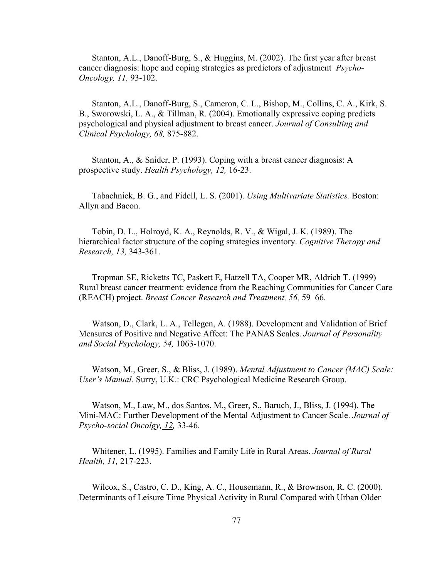Stanton, A.L., Danoff-Burg, S., & Huggins, M. (2002). The first year after breast cancer diagnosis: hope and coping strategies as predictors of adjustment *Psycho-Oncology, 11,* 93-102.

 Stanton, A.L., Danoff-Burg, S., Cameron, C. L., Bishop, M., Collins, C. A., Kirk, S. B., Sworowski, L. A., & Tillman, R. (2004). Emotionally expressive coping predicts psychological and physical adjustment to breast cancer. *Journal of Consulting and Clinical Psychology, 68,* 875-882.

 Stanton, A., & Snider, P. (1993). Coping with a breast cancer diagnosis: A prospective study. *Health Psychology, 12,* 16-23.

 Tabachnick, B. G., and Fidell, L. S. (2001). *Using Multivariate Statistics.* Boston: Allyn and Bacon.

 Tobin, D. L., Holroyd, K. A., Reynolds, R. V., & Wigal, J. K. (1989). The hierarchical factor structure of the coping strategies inventory. *Cognitive Therapy and Research, 13,* 343-361.

Tropman SE, Ricketts TC, Paskett E, Hatzell TA, Cooper MR, Aldrich T. (1999) Rural breast cancer treatment: evidence from the Reaching Communities for Cancer Care (REACH) project. *Breast Cancer Research and Treatment, 56,* 59–66.

Watson, D., Clark, L. A., Tellegen, A. (1988). Development and Validation of Brief Measures of Positive and Negative Affect: The PANAS Scales. *Journal of Personality and Social Psychology, 54,* 1063-1070.

 Watson, M., Greer, S., & Bliss, J. (1989). *Mental Adjustment to Cancer (MAC) Scale: User's Manual*. Surry, U.K.: CRC Psychological Medicine Research Group.

 Watson, M., Law, M., dos Santos, M., Greer, S., Baruch, J., Bliss, J. (1994). The Mini-MAC: Further Development of the Mental Adjustment to Cancer Scale. *Journal of Psycho-social Oncolgy, 12,* 33-46.

 Whitener, L. (1995). Families and Family Life in Rural Areas. *Journal of Rural Health, 11,* 217-223.

 Wilcox, S., Castro, C. D., King, A. C., Housemann, R., & Brownson, R. C. (2000). Determinants of Leisure Time Physical Activity in Rural Compared with Urban Older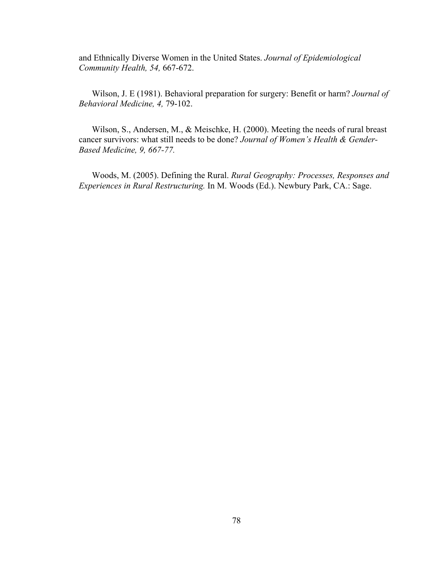and Ethnically Diverse Women in the United States. *Journal of Epidemiological Community Health, 54,* 667-672.

Wilson, J. E (1981). Behavioral preparation for surgery: Benefit or harm? *Journal of Behavioral Medicine, 4,* 79-102.

 Wilson, S., Andersen, M., & Meischke, H. (2000). Meeting the needs of rural breast cancer survivors: what still needs to be done? *Journal of Women's Health & Gender-Based Medicine, 9, 667-77.* 

Woods, M. (2005). Defining the Rural. *Rural Geography: Processes, Responses and Experiences in Rural Restructuring.* In M. Woods (Ed.). Newbury Park, CA.: Sage.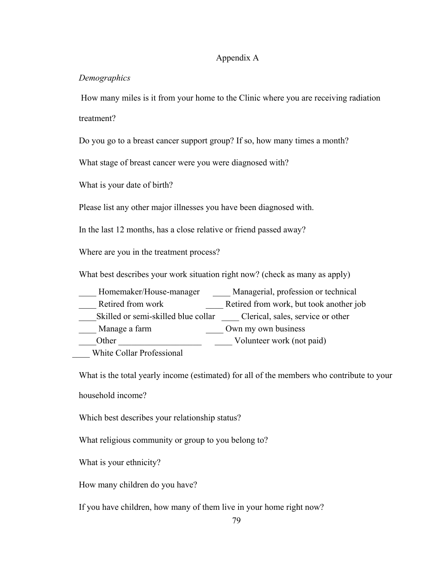#### Appendix A

#### *Demographics*

 How many miles is it from your home to the Clinic where you are receiving radiation treatment?

Do you go to a breast cancer support group? If so, how many times a month?

What stage of breast cancer were you were diagnosed with?

What is your date of birth?

Please list any other major illnesses you have been diagnosed with.

In the last 12 months, has a close relative or friend passed away?

Where are you in the treatment process?

What best describes your work situation right now? (check as many as apply)

Homemaker/House-manager Managerial, profession or technical

Lacked from work **Example 20** Retired from work, but took another job

Skilled or semi-skilled blue collar Clerical, sales, service or other

\_\_\_\_\_ Manage a farm \_\_\_\_\_\_\_\_\_\_\_\_\_\_\_\_\_\_\_\_ Own my own business

Other Volunteer work (not paid)

\_\_\_\_ White Collar Professional

What is the total yearly income (estimated) for all of the members who contribute to your

household income?

Which best describes your relationship status?

What religious community or group to you belong to?

What is your ethnicity?

How many children do you have?

If you have children, how many of them live in your home right now?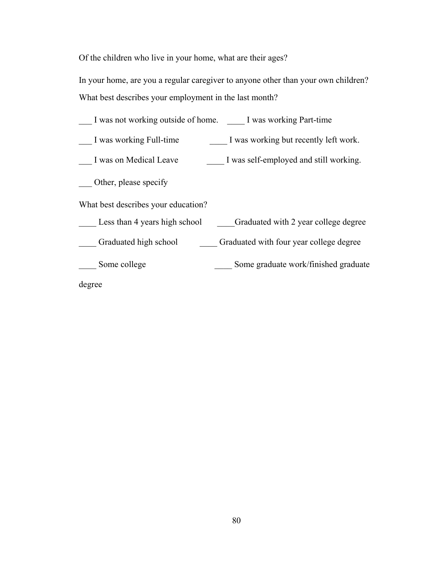Of the children who live in your home, what are their ages?

In your home, are you a regular caregiver to anyone other than your own children? What best describes your employment in the last month?

| I was not working outside of home. I was working Part-time            |
|-----------------------------------------------------------------------|
| I was working but recently left work.<br>I was working Full-time      |
| I was self-employed and still working.<br>I was on Medical Leave      |
| Other, please specify                                                 |
| What best describes your education?                                   |
| Less than 4 years high school<br>Graduated with 2 year college degree |
| Graduated high school<br>Graduated with four year college degree      |
| Some college<br>Some graduate work/finished graduate                  |
| degree                                                                |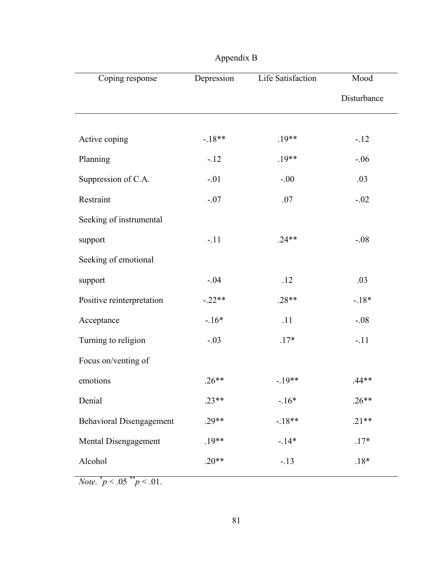| Coping response                 | Depression | Life Satisfaction | Mood        |
|---------------------------------|------------|-------------------|-------------|
|                                 |            |                   | Disturbance |
| Active coping                   | $-18**$    | $.19**$           | $-.12$      |
| Planning                        | $-12$      | $.19**$           | $-.06$      |
| Suppression of C.A.             | $-.01$     | $-.00$            | .03         |
| Restraint                       | $-.07$     | .07               | $-.02$      |
| Seeking of instrumental         |            |                   |             |
| support                         | $-.11$     | $.24**$           | $-.08$      |
| Seeking of emotional            |            |                   |             |
| support                         | $-.04$     | .12               | .03         |
| Positive reinterpretation       | $-.22**$   | $.28**$           | $-18*$      |
| Acceptance                      | $-16*$     | .11               | $-.08$      |
| Turning to religion             | $-.03$     | $.17*$            | $-.11$      |
| Focus on/venting of             |            |                   |             |
| emotions                        | $.26**$    | $-.19**$          | $.44**$     |
| Denial                          | $.23**$    | $-16*$            | $.26**$     |
| <b>Behavioral Disengagement</b> | $.29**$    | $-18**$           | $.21**$     |
| Mental Disengagement            | $.19**$    | $-14*$            | $.17*$      |
| Alcohol                         | $.20**$    | $-.13$            | $.18*$      |

*Note.*  $\frac{*}{p}$  < .05  $\frac{*}{p}$  < .01.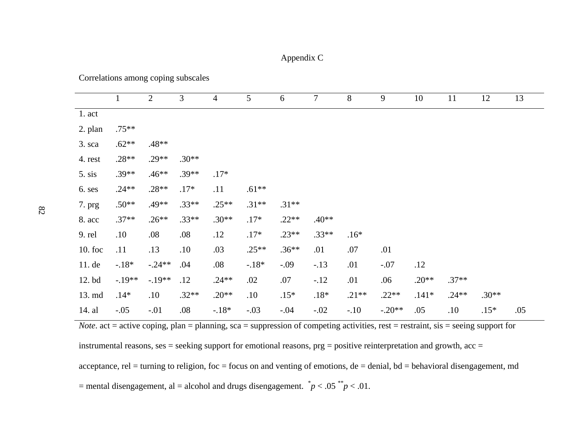### Appendix C

Correlations among coping subscales

|          | $\mathbf{1}$ | $\overline{2}$ | 3       | $\overline{4}$ | $5\overline{)}$ | 6       | $\tau$  | $8\,$   | 9        | 10      | 11      | 12      | 13  |
|----------|--------------|----------------|---------|----------------|-----------------|---------|---------|---------|----------|---------|---------|---------|-----|
| $1.$ act |              |                |         |                |                 |         |         |         |          |         |         |         |     |
| 2. plan  | $.75**$      |                |         |                |                 |         |         |         |          |         |         |         |     |
| 3. sca   | $.62**$      | $.48**$        |         |                |                 |         |         |         |          |         |         |         |     |
| 4. rest  | $.28**$      | $.29**$        | $.30**$ |                |                 |         |         |         |          |         |         |         |     |
| 5. sis   | $.39**$      | $.46**$        | $.39**$ | $.17*$         |                 |         |         |         |          |         |         |         |     |
| 6. ses   | $.24**$      | $.28**$        | $.17*$  | .11            | $.61**$         |         |         |         |          |         |         |         |     |
| 7. prg   | $.50**$      | .49**          | $.33**$ | $.25**$        | $.31**$         | $.31**$ |         |         |          |         |         |         |     |
| 8. acc   | $.37**$      | $.26**$        | $.33**$ | $.30**$        | $.17*$          | $.22**$ | $.40**$ |         |          |         |         |         |     |
| 9. rel   | .10          | .08            | .08     | .12            | $.17*$          | $.23**$ | $.33**$ | $.16*$  |          |         |         |         |     |
| 10. foc  | .11          | .13            | .10     | .03            | $.25**$         | $.36**$ | .01     | .07     | .01      |         |         |         |     |
| 11. de   | $-18*$       | $-.24**$       | .04     | .08            | $-.18*$         | $-.09$  | $-.13$  | .01     | $-.07$   | .12     |         |         |     |
| 12. bd   | $-.19**$     | $-.19**$       | .12     | $.24**$        | .02             | .07     | $-.12$  | .01     | .06      | $.20**$ | $.37**$ |         |     |
| 13. md   | $.14*$       | .10            | $.32**$ | $.20**$        | .10             | $.15*$  | $.18*$  | $.21**$ | $.22**$  | $.141*$ | $.24**$ | $.30**$ |     |
| 14. al   | $-.05$       | $-.01$         | .08     | $-18*$         | $-.03$          | $-.04$  | $-.02$  | $-.10$  | $-.20**$ | .05     | .10     | $.15*$  | .05 |

*Note*. act = active coping, plan = planning, sca = suppression of competing activities, rest = restraint, sis = seeing support for

instrumental reasons, ses = seeking support for emotional reasons, prg = positive reinterpretation and growth, acc =

acceptance, rel = turning to religion, foc = focus on and venting of emotions, de = denial, bd = behavioral disengagement, md = mental disengagement, al = alcohol and drugs disengagement.  $\dot{p}$  < .05  $\dot{p}$  < .01.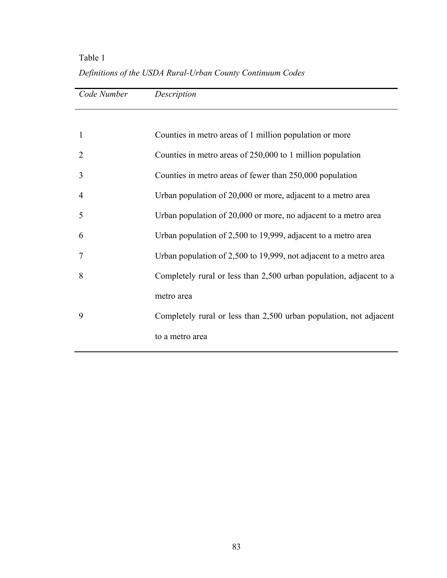# Table 1 *Definitions of the USDA Rural-Urban County Continuum Codes*

| Code Number | Description                                                         |
|-------------|---------------------------------------------------------------------|
|             |                                                                     |
| 1           | Counties in metro areas of 1 million population or more             |
| 2           | Counties in metro areas of 250,000 to 1 million population          |
| 3           | Counties in metro areas of fewer than 250,000 population            |
| 4           | Urban population of 20,000 or more, adjacent to a metro area        |
| 5           | Urban population of 20,000 or more, no adjacent to a metro area     |
| 6           | Urban population of 2,500 to 19,999, adjacent to a metro area       |
| 7           | Urban population of 2,500 to 19,999, not adjacent to a metro area   |
| 8           | Completely rural or less than 2,500 urban population, adjacent to a |
|             | metro area                                                          |
| 9           | Completely rural or less than 2,500 urban population, not adjacent  |
|             | to a metro area                                                     |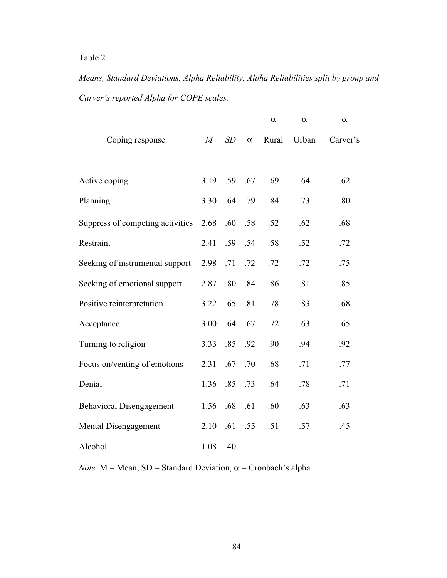*Means, Standard Deviations, Alpha Reliability, Alpha Reliabilities split by group and Carver's reported Alpha for COPE scales.* 

|                                  |      |     |          | $\alpha$ | $\alpha$ | $\alpha$ |
|----------------------------------|------|-----|----------|----------|----------|----------|
| Coping response                  | M    | SD  | $\alpha$ | Rural    | Urban    | Carver's |
|                                  |      |     |          |          |          |          |
| Active coping                    | 3.19 | .59 | .67      | .69      | .64      | .62      |
| Planning                         | 3.30 | .64 | .79      | .84      | .73      | .80      |
| Suppress of competing activities | 2.68 | .60 | .58      | .52      | .62      | .68      |
| Restraint                        | 2.41 | .59 | .54      | .58      | .52      | .72      |
| Seeking of instrumental support  | 2.98 | .71 | .72      | .72      | .72      | .75      |
| Seeking of emotional support     | 2.87 | .80 | .84      | .86      | .81      | .85      |
| Positive reinterpretation        | 3.22 | .65 | .81      | .78      | .83      | .68      |
| Acceptance                       | 3.00 | .64 | .67      | .72      | .63      | .65      |
| Turning to religion              | 3.33 | .85 | .92      | .90      | .94      | .92      |
| Focus on/venting of emotions     | 2.31 | .67 | .70      | .68      | .71      | .77      |
| Denial                           | 1.36 | .85 | .73      | .64      | .78      | .71      |
| <b>Behavioral Disengagement</b>  | 1.56 | .68 | .61      | .60      | .63      | .63      |
| Mental Disengagement             | 2.10 | .61 | .55      | .51      | .57      | .45      |
| Alcohol                          | 1.08 | .40 |          |          |          |          |

*Note.*  $M = Mean$ ,  $SD = Standard Deviation$ ,  $\alpha = Cronbach's alpha$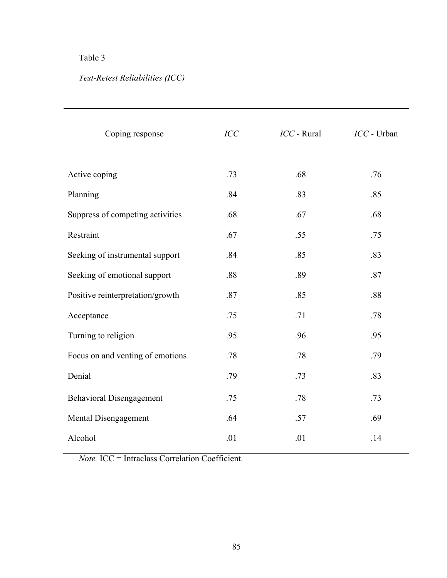# *Test-Retest Reliabilities (ICC)*

| Coping response                  | ICC | $ICC$ - Rural | ICC - Urban |
|----------------------------------|-----|---------------|-------------|
|                                  |     |               |             |
| Active coping                    | .73 | .68           | .76         |
| Planning                         | .84 | .83           | .85         |
| Suppress of competing activities | .68 | .67           | .68         |
| Restraint                        | .67 | .55           | .75         |
| Seeking of instrumental support  | .84 | .85           | .83         |
| Seeking of emotional support     | .88 | .89           | .87         |
| Positive reinterpretation/growth | .87 | .85           | .88         |
| Acceptance                       | .75 | .71           | .78         |
| Turning to religion              | .95 | .96           | .95         |
| Focus on and venting of emotions | .78 | .78           | .79         |
| Denial                           | .79 | .73           | .83         |
| <b>Behavioral Disengagement</b>  | .75 | .78           | .73         |
| Mental Disengagement             | .64 | .57           | .69         |
| Alcohol                          | .01 | .01           | .14         |
|                                  |     |               |             |

*Note.* ICC = Intraclass Correlation Coefficient.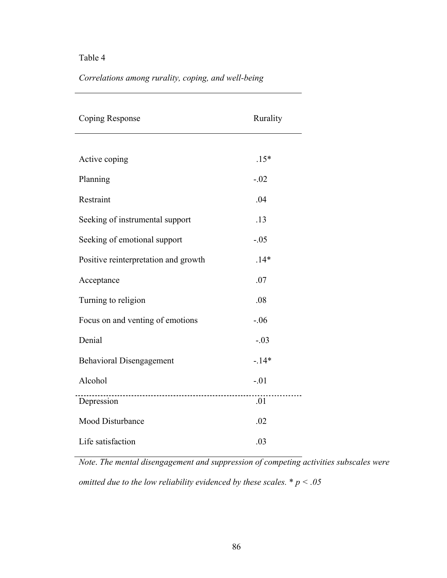*Correlations among rurality, coping, and well-being* 

| Coping Response                      | Rurality        |
|--------------------------------------|-----------------|
|                                      |                 |
| Active coping                        | $.15*$          |
| Planning                             | $-.02$          |
| Restraint                            | .04             |
| Seeking of instrumental support      | .13             |
| Seeking of emotional support         | $-.05$          |
| Positive reinterpretation and growth | $.14*$          |
| Acceptance                           | .07             |
| Turning to religion                  | .08             |
| Focus on and venting of emotions     | $-.06$          |
| Denial                               | $-.03$          |
| <b>Behavioral Disengagement</b>      | $-14*$          |
| Alcohol                              | $-.01$          |
| Depression                           | $\overline{01}$ |
| Mood Disturbance                     | .02             |
| Life satisfaction                    | .03             |

*Note*. *The mental disengagement and suppression of competing activities subscales were omitted due to the low reliability evidenced by these scales.* \* *p < .05*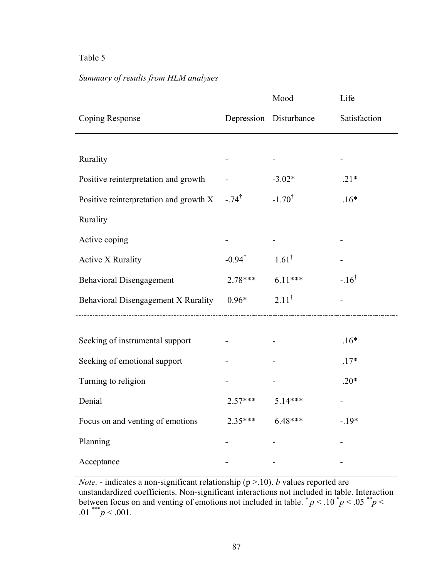$\bar{z}$ 

## *Summary of results from HLM analyses*

|                                        |                      | Mood                   | Life            |
|----------------------------------------|----------------------|------------------------|-----------------|
| Coping Response                        |                      | Depression Disturbance | Satisfaction    |
|                                        |                      |                        |                 |
| Rurality                               |                      |                        |                 |
| Positive reinterpretation and growth   |                      | $-3.02*$               | $.21*$          |
| Positive reinterpretation and growth X | $-.74^{\dagger}$     | $-1.70^{\dagger}$      | $.16*$          |
| Rurality                               |                      |                        |                 |
| Active coping                          |                      |                        |                 |
| <b>Active X Rurality</b>               | $-0.94$ <sup>*</sup> | $1.61^{\dagger}$       |                 |
| <b>Behavioral Disengagement</b>        | $2.78***$            | $6.11***$              | $-16^{\dagger}$ |
| Behavioral Disengagement X Rurality    | $0.96*$              | $2.11^{\dagger}$       |                 |
|                                        |                      |                        |                 |
| Seeking of instrumental support        |                      |                        | $.16*$          |
| Seeking of emotional support           |                      |                        | $.17*$          |
| Turning to religion                    |                      |                        | $.20*$          |
| Denial                                 | $2.57***$            | $5.14***$              |                 |
| Focus on and venting of emotions       | $2.35***$            | $6.48***$              | $-.19*$         |
| Planning                               |                      |                        |                 |
| Acceptance                             |                      |                        |                 |

*Note.* - indicates a non-significant relationship (p >.10). *b* values reported are unstandardized coefficients. Non-significant interactions not included in table. Interaction between focus on and venting of emotions not included in table.  $\phi$   $p$  < .10  $\phi$   $p$  < .05  $\phi$ .01 \*\*\* *p* < .001.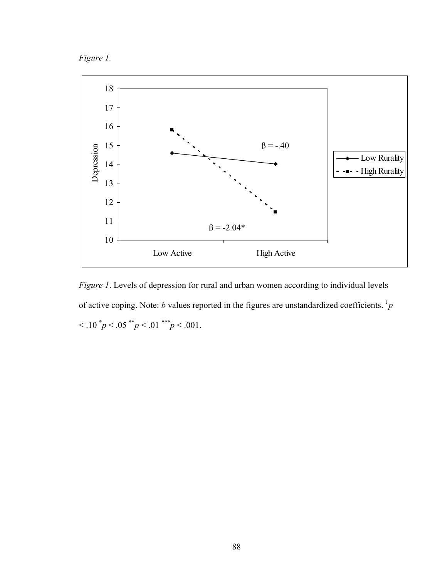



*Figure 1*. Levels of depression for rural and urban women according to individual levels of active coping. Note: *b* values reported in the figures are unstandardized coefficients.  ${}^{\text{t}}p$  $< 0.10^{*} p < 0.05^{*} p < 0.01^{*} p < 0.001$ .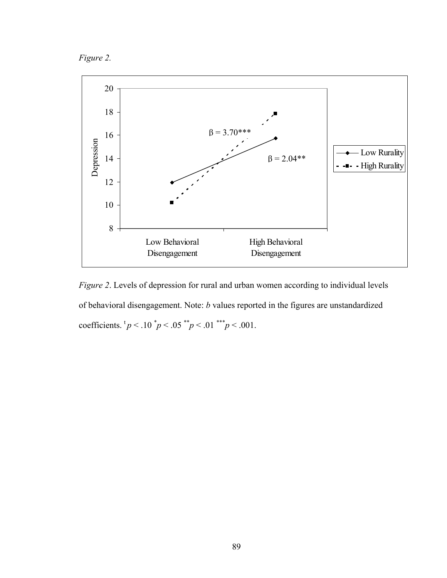*Figure 2.* 



*Figure 2*. Levels of depression for rural and urban women according to individual levels of behavioral disengagement. Note: *b* values reported in the figures are unstandardized coefficients.  ${}^{\text{t}}p < .10 \ {}^{\text{t}}p < .05 \ {}^{\text{t}}p < .01 \ {}^{\text{t}}p < .001$ .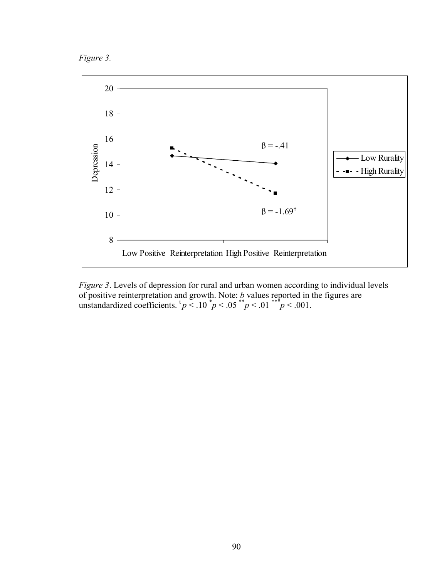



*Figure 3*. Levels of depression for rural and urban women according to individual levels of positive reinterpretation and growth. Note: *b* values reported in the figures are unstandardized coefficients.  $\frac{p}{q}$  < .10  $\frac{p}{q}$  < .05  $\frac{p}{q}$  < .01  $\frac{p}{q}$  < .001.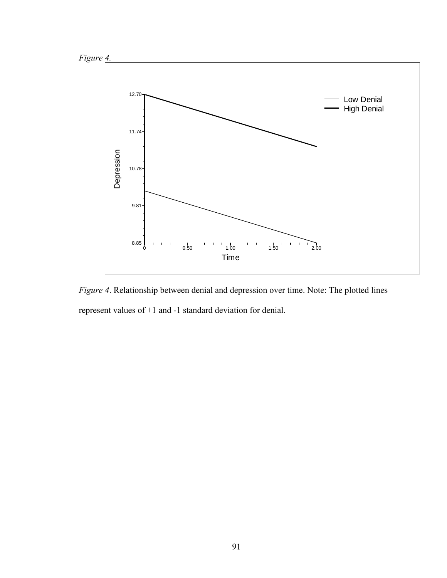

*Figure 4*. Relationship between denial and depression over time. Note: The plotted lines represent values of +1 and -1 standard deviation for denial.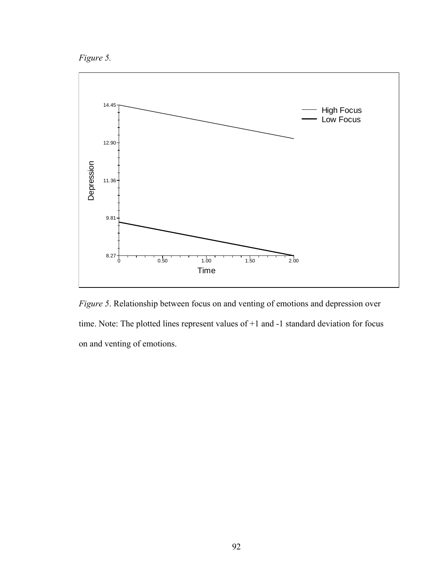*Figure 5.* 



*Figure 5*. Relationship between focus on and venting of emotions and depression over time. Note: The plotted lines represent values of +1 and -1 standard deviation for focus on and venting of emotions.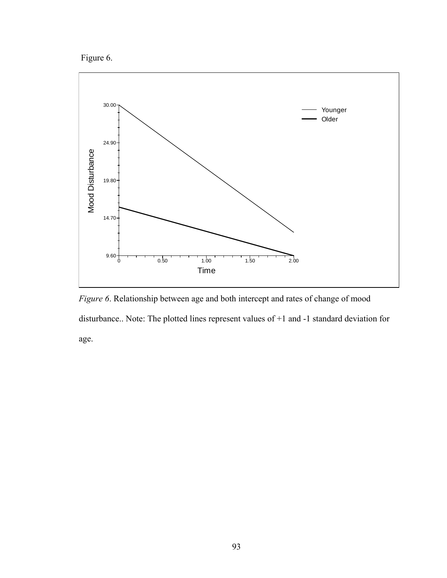Figure 6.



*Figure 6*. Relationship between age and both intercept and rates of change of mood disturbance.. Note: The plotted lines represent values of +1 and -1 standard deviation for age.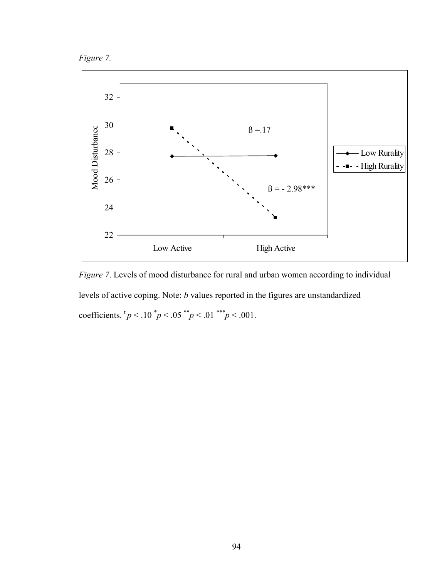



*Figure 7*. Levels of mood disturbance for rural and urban women according to individual levels of active coping. Note: *b* values reported in the figures are unstandardized coefficients.  ${}^{\text{t}}p < .10 {}^*p < .05 {}^*{}^*p < .01 {}^*{}^*p < .001$ .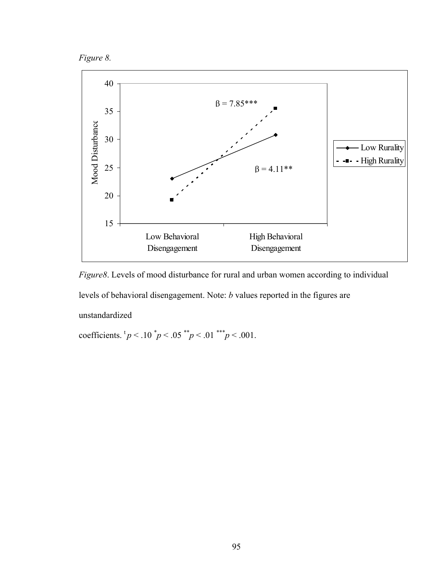



*Figure8*. Levels of mood disturbance for rural and urban women according to individual levels of behavioral disengagement. Note: *b* values reported in the figures are unstandardized

coefficients.  ${}^{\text{t}}p < .10 \ {}^{\text{t}}p < .05 \ {}^{\text{t}}p < .01 \ {}^{\text{t}}p < .001$ .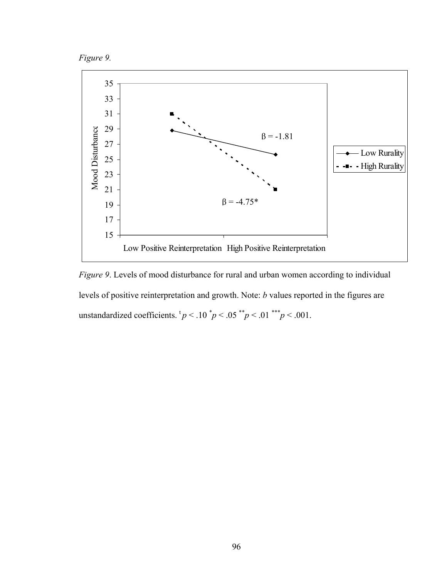



*Figure 9*. Levels of mood disturbance for rural and urban women according to individual levels of positive reinterpretation and growth. Note: *b* values reported in the figures are unstandardized coefficients.  $tp < .10^*p < .05^{**}p < .01^{***}p < .001$ .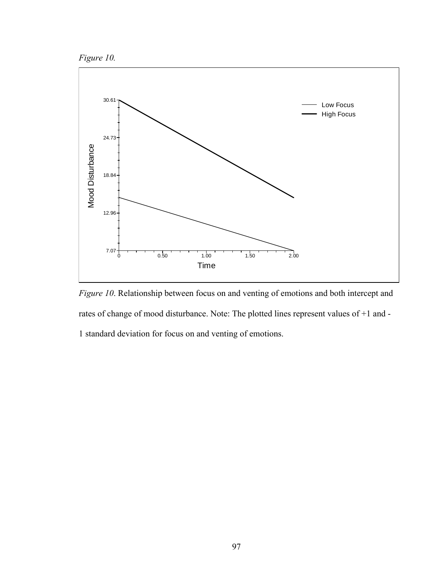



*Figure 10*. Relationship between focus on and venting of emotions and both intercept and rates of change of mood disturbance. Note: The plotted lines represent values of +1 and - 1 standard deviation for focus on and venting of emotions.